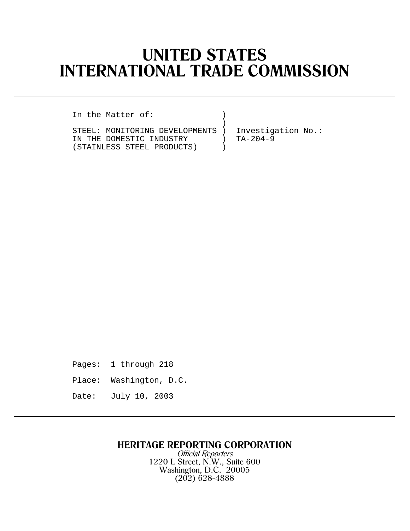# **UNITED STATES INTERNATIONAL TRADE COMMISSION**

)

In the Matter of:

STEEL: MONITORING DEVELOPMENTS ) Investigation No.: IN THE DOMESTIC INDUSTRY ) TA-204-9<br>(STAINLESS STEEL PRODUCTS) (STAINLESS STEEL PRODUCTS) )

Pages: 1 through 218

Place: Washington, D.C.

Date: July 10, 2003

## **HERITAGE REPORTING CORPORATION**

Official Reporters 1220 L Street, N.W., Suite 600 Washington, D.C. 20005 (202) 628-4888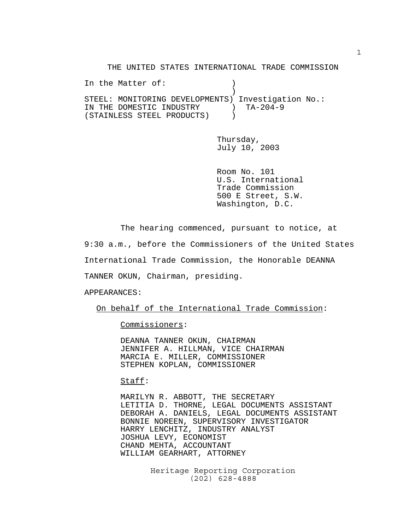THE UNITED STATES INTERNATIONAL TRADE COMMISSION

In the Matter of:  $)$  ) STEEL: MONITORING DEVELOPMENTS) Investigation No.: IN THE DOMESTIC INDUSTRY ) TA-204-9 (STAINLESS STEEL PRODUCTS) )

> Thursday, July 10, 2003

Room No. 101 U.S. International Trade Commission 500 E Street, S.W. Washington, D.C.

The hearing commenced, pursuant to notice, at

9:30 a.m., before the Commissioners of the United States

International Trade Commission, the Honorable DEANNA

TANNER OKUN, Chairman, presiding.

APPEARANCES:

On behalf of the International Trade Commission:

Commissioners:

DEANNA TANNER OKUN, CHAIRMAN JENNIFER A. HILLMAN, VICE CHAIRMAN MARCIA E. MILLER, COMMISSIONER STEPHEN KOPLAN, COMMISSIONER

Staff:

MARILYN R. ABBOTT, THE SECRETARY LETITIA D. THORNE, LEGAL DOCUMENTS ASSISTANT DEBORAH A. DANIELS, LEGAL DOCUMENTS ASSISTANT BONNIE NOREEN, SUPERVISORY INVESTIGATOR HARRY LENCHITZ, INDUSTRY ANALYST JOSHUA LEVY, ECONOMIST CHAND MEHTA, ACCOUNTANT WILLIAM GEARHART, ATTORNEY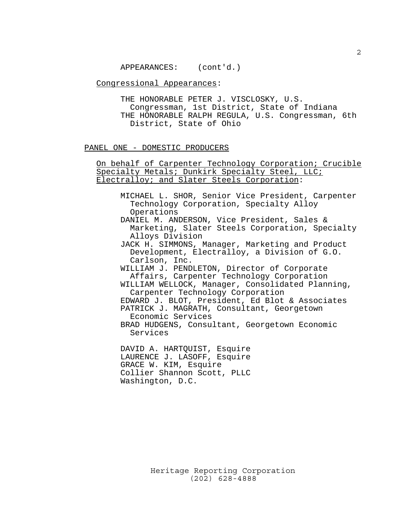APPEARANCES: (cont'd.)

#### Congressional Appearances:

THE HONORABLE PETER J. VISCLOSKY, U.S. Congressman, 1st District, State of Indiana THE HONORABLE RALPH REGULA, U.S. Congressman, 6th District, State of Ohio

#### PANEL ONE - DOMESTIC PRODUCERS

On behalf of Carpenter Technology Corporation; Crucible Specialty Metals; Dunkirk Specialty Steel, LLC; Electralloy; and Slater Steels Corporation:

- MICHAEL L. SHOR, Senior Vice President, Carpenter Technology Corporation, Specialty Alloy Operations
- DANIEL M. ANDERSON, Vice President, Sales & Marketing, Slater Steels Corporation, Specialty Alloys Division
- JACK H. SIMMONS, Manager, Marketing and Product Development, Electralloy, a Division of G.O. Carlson, Inc.
- WILLIAM J. PENDLETON, Director of Corporate Affairs, Carpenter Technology Corporation
- WILLIAM WELLOCK, Manager, Consolidated Planning, Carpenter Technology Corporation EDWARD J. BLOT, President, Ed Blot & Associates
- PATRICK J. MAGRATH, Consultant, Georgetown Economic Services
- BRAD HUDGENS, Consultant, Georgetown Economic Services

DAVID A. HARTQUIST, Esquire LAURENCE J. LASOFF, Esquire GRACE W. KIM, Esquire Collier Shannon Scott, PLLC Washington, D.C.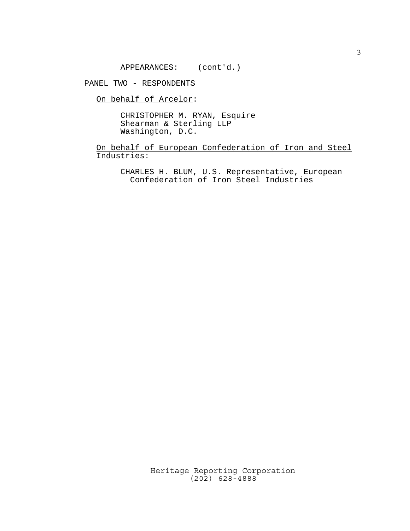APPEARANCES: (cont'd.)

PANEL TWO - RESPONDENTS

On behalf of Arcelor:

CHRISTOPHER M. RYAN, Esquire Shearman & Sterling LLP Washington, D.C.

On behalf of European Confederation of Iron and Steel Industries:

CHARLES H. BLUM, U.S. Representative, European Confederation of Iron Steel Industries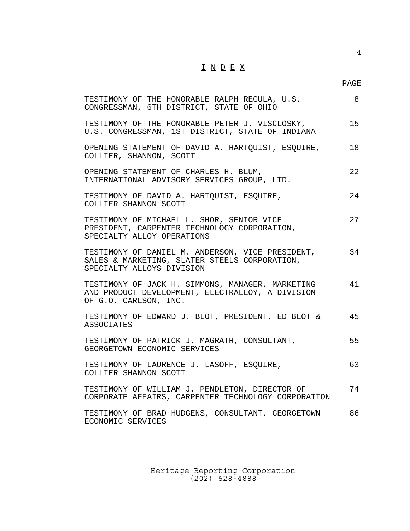## $\underline{\texttt{I}} \ \underline{\texttt{N}} \ \underline{\texttt{D}} \ \underline{\texttt{E}} \ \underline{\texttt{X}}$

4

| TESTIMONY OF THE HONORABLE RALPH REGULA, U.S.<br>CONGRESSMAN, 6TH DISTRICT, STATE OF OHIO                                      | 8  |
|--------------------------------------------------------------------------------------------------------------------------------|----|
| TESTIMONY OF THE HONORABLE PETER J. VISCLOSKY,<br>U.S. CONGRESSMAN, 1ST DISTRICT, STATE OF INDIANA                             | 15 |
| OPENING STATEMENT OF DAVID A. HARTQUIST, ESQUIRE,<br>COLLIER, SHANNON, SCOTT                                                   | 18 |
| OPENING STATEMENT OF CHARLES H. BLUM,<br>INTERNATIONAL ADVISORY SERVICES GROUP, LTD.                                           | 22 |
| TESTIMONY OF DAVID A. HARTQUIST, ESQUIRE,<br>COLLIER SHANNON SCOTT                                                             | 24 |
| TESTIMONY OF MICHAEL L. SHOR, SENIOR VICE<br>PRESIDENT, CARPENTER TECHNOLOGY CORPORATION,<br>SPECIALTY ALLOY OPERATIONS        | 27 |
| TESTIMONY OF DANIEL M. ANDERSON, VICE PRESIDENT,<br>SALES & MARKETING, SLATER STEELS CORPORATION,<br>SPECIALTY ALLOYS DIVISION | 34 |
| TESTIMONY OF JACK H. SIMMONS, MANAGER, MARKETING<br>AND PRODUCT DEVELOPMENT, ELECTRALLOY, A DIVISION<br>OF G.O. CARLSON, INC.  | 41 |
| TESTIMONY OF EDWARD J. BLOT, PRESIDENT, ED BLOT &<br><b>ASSOCIATES</b>                                                         | 45 |
| TESTIMONY OF PATRICK J. MAGRATH, CONSULTANT,<br>GEORGETOWN ECONOMIC SERVICES                                                   | 55 |
| TESTIMONY OF LAURENCE J. LASOFF, ESQUIRE,<br>COLLIER SHANNON SCOTT                                                             | 63 |
| TESTIMONY OF WILLIAM J. PENDLETON, DIRECTOR OF<br>CORPORATE AFFAIRS, CARPENTER TECHNOLOGY CORPORATION                          | 74 |
| TESTIMONY OF BRAD HUDGENS, CONSULTANT, GEORGETOWN<br>ECONOMIC SERVICES                                                         | 86 |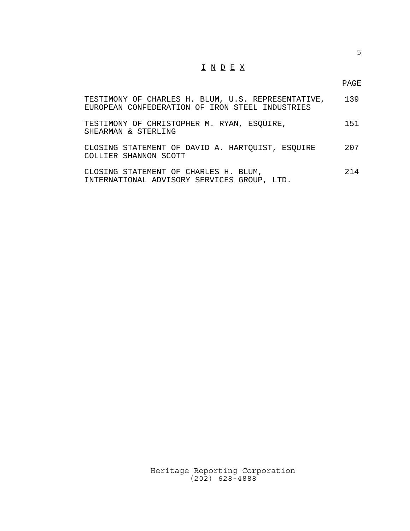## I N D E X

PAGE

| TESTIMONY OF CHARLES H. BLUM, U.S. REPRESENTATIVE,<br>EUROPEAN CONFEDERATION OF IRON STEEL INDUSTRIES | 139 |
|-------------------------------------------------------------------------------------------------------|-----|
| TESTIMONY OF CHRISTOPHER M. RYAN, ESOUIRE,<br>SHEARMAN & STERLING                                     | 151 |
| CLOSING STATEMENT OF DAVID A. HARTQUIST, ESQUIRE<br>COLLIER SHANNON SCOTT                             | 207 |
| CLOSING STATEMENT OF CHARLES H. BLUM,<br>INTERNATIONAL ADVISORY SERVICES GROUP, LTD.                  | 214 |

Heritage Reporting Corporation (202) 628-4888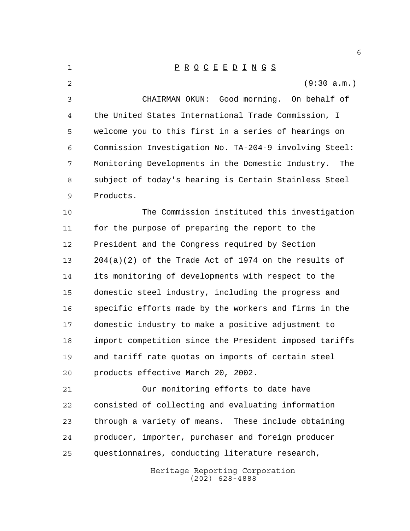Heritage Reporting Corporation P R O C E E D I N G S (9:30 a.m.) CHAIRMAN OKUN: Good morning. On behalf of the United States International Trade Commission, I welcome you to this first in a series of hearings on Commission Investigation No. TA-204-9 involving Steel: Monitoring Developments in the Domestic Industry. The subject of today's hearing is Certain Stainless Steel Products. The Commission instituted this investigation for the purpose of preparing the report to the President and the Congress required by Section 204(a)(2) of the Trade Act of 1974 on the results of its monitoring of developments with respect to the domestic steel industry, including the progress and specific efforts made by the workers and firms in the domestic industry to make a positive adjustment to import competition since the President imposed tariffs and tariff rate quotas on imports of certain steel products effective March 20, 2002. Our monitoring efforts to date have consisted of collecting and evaluating information through a variety of means. These include obtaining producer, importer, purchaser and foreign producer questionnaires, conducting literature research,

(202) 628-4888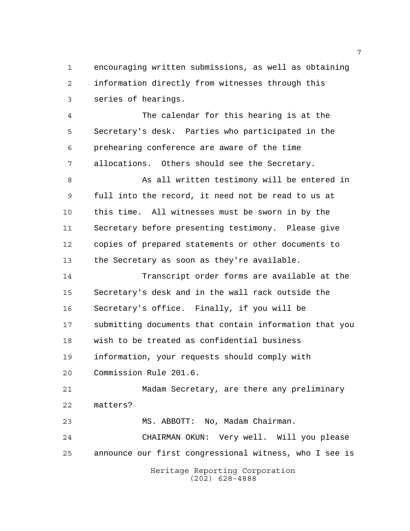encouraging written submissions, as well as obtaining information directly from witnesses through this series of hearings.

 The calendar for this hearing is at the Secretary's desk. Parties who participated in the prehearing conference are aware of the time allocations. Others should see the Secretary.

 As all written testimony will be entered in full into the record, it need not be read to us at this time. All witnesses must be sworn in by the Secretary before presenting testimony. Please give copies of prepared statements or other documents to the Secretary as soon as they're available.

 Transcript order forms are available at the Secretary's desk and in the wall rack outside the Secretary's office. Finally, if you will be submitting documents that contain information that you wish to be treated as confidential business information, your requests should comply with Commission Rule 201.6.

 Madam Secretary, are there any preliminary matters?

MS. ABBOTT: No, Madam Chairman.

 CHAIRMAN OKUN: Very well. Will you please announce our first congressional witness, who I see is

Heritage Reporting Corporation (202) 628-4888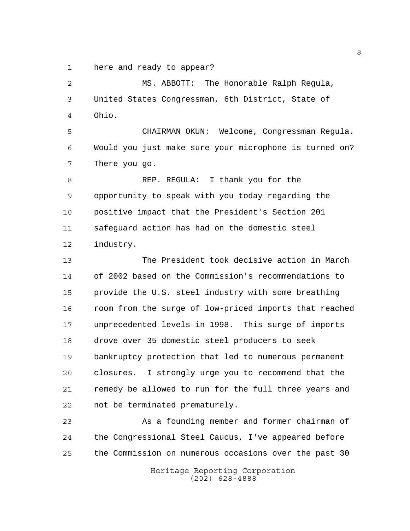here and ready to appear?

 MS. ABBOTT: The Honorable Ralph Regula, United States Congressman, 6th District, State of Ohio.

 CHAIRMAN OKUN: Welcome, Congressman Regula. Would you just make sure your microphone is turned on? There you go.

8 REP. REGULA: I thank you for the opportunity to speak with you today regarding the positive impact that the President's Section 201 safeguard action has had on the domestic steel industry.

 The President took decisive action in March of 2002 based on the Commission's recommendations to provide the U.S. steel industry with some breathing room from the surge of low-priced imports that reached unprecedented levels in 1998. This surge of imports drove over 35 domestic steel producers to seek bankruptcy protection that led to numerous permanent closures. I strongly urge you to recommend that the remedy be allowed to run for the full three years and not be terminated prematurely.

 As a founding member and former chairman of the Congressional Steel Caucus, I've appeared before the Commission on numerous occasions over the past 30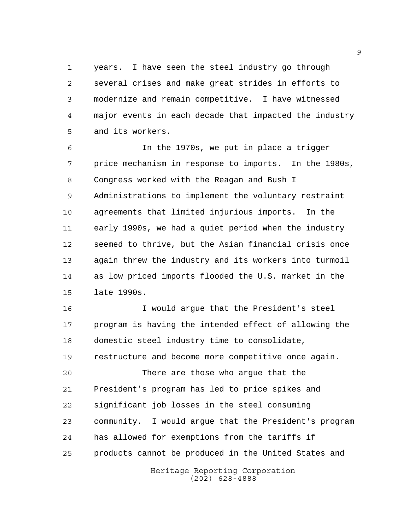years. I have seen the steel industry go through several crises and make great strides in efforts to modernize and remain competitive. I have witnessed major events in each decade that impacted the industry and its workers.

 In the 1970s, we put in place a trigger price mechanism in response to imports. In the 1980s, Congress worked with the Reagan and Bush I Administrations to implement the voluntary restraint agreements that limited injurious imports. In the early 1990s, we had a quiet period when the industry seemed to thrive, but the Asian financial crisis once again threw the industry and its workers into turmoil as low priced imports flooded the U.S. market in the late 1990s.

 I would argue that the President's steel program is having the intended effect of allowing the domestic steel industry time to consolidate, restructure and become more competitive once again.

 There are those who argue that the President's program has led to price spikes and significant job losses in the steel consuming community. I would argue that the President's program has allowed for exemptions from the tariffs if products cannot be produced in the United States and

> Heritage Reporting Corporation (202) 628-4888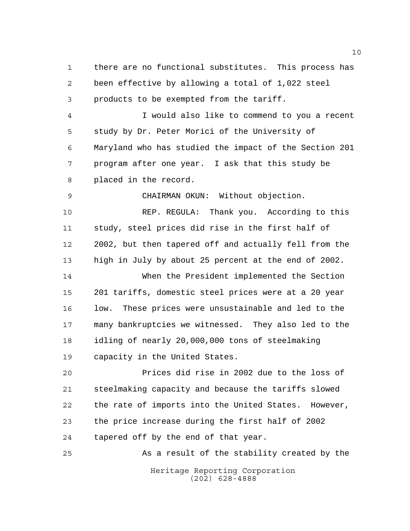there are no functional substitutes. This process has been effective by allowing a total of 1,022 steel products to be exempted from the tariff.

 I would also like to commend to you a recent study by Dr. Peter Morici of the University of Maryland who has studied the impact of the Section 201 program after one year. I ask that this study be placed in the record.

CHAIRMAN OKUN: Without objection.

 REP. REGULA: Thank you. According to this study, steel prices did rise in the first half of 2002, but then tapered off and actually fell from the high in July by about 25 percent at the end of 2002.

 When the President implemented the Section 201 tariffs, domestic steel prices were at a 20 year 16 low. These prices were unsustainable and led to the many bankruptcies we witnessed. They also led to the idling of nearly 20,000,000 tons of steelmaking capacity in the United States.

 Prices did rise in 2002 due to the loss of steelmaking capacity and because the tariffs slowed the rate of imports into the United States. However, the price increase during the first half of 2002 tapered off by the end of that year.

Heritage Reporting Corporation (202) 628-4888 As a result of the stability created by the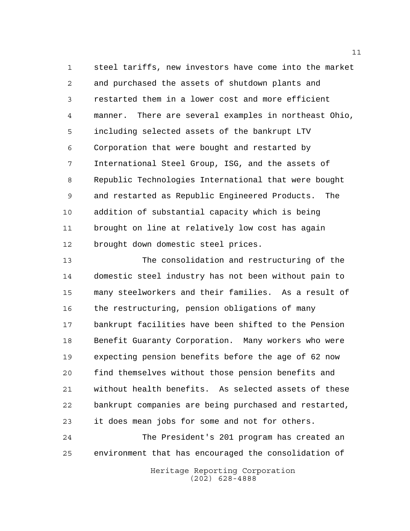steel tariffs, new investors have come into the market and purchased the assets of shutdown plants and restarted them in a lower cost and more efficient manner. There are several examples in northeast Ohio, including selected assets of the bankrupt LTV Corporation that were bought and restarted by International Steel Group, ISG, and the assets of Republic Technologies International that were bought and restarted as Republic Engineered Products. The addition of substantial capacity which is being brought on line at relatively low cost has again brought down domestic steel prices.

 The consolidation and restructuring of the domestic steel industry has not been without pain to many steelworkers and their families. As a result of the restructuring, pension obligations of many bankrupt facilities have been shifted to the Pension Benefit Guaranty Corporation. Many workers who were expecting pension benefits before the age of 62 now find themselves without those pension benefits and without health benefits. As selected assets of these bankrupt companies are being purchased and restarted, it does mean jobs for some and not for others.

 The President's 201 program has created an environment that has encouraged the consolidation of

> Heritage Reporting Corporation (202) 628-4888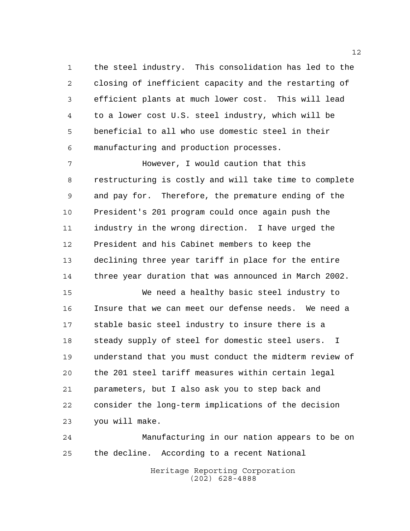the steel industry. This consolidation has led to the closing of inefficient capacity and the restarting of efficient plants at much lower cost. This will lead to a lower cost U.S. steel industry, which will be beneficial to all who use domestic steel in their manufacturing and production processes.

 However, I would caution that this restructuring is costly and will take time to complete and pay for. Therefore, the premature ending of the President's 201 program could once again push the industry in the wrong direction. I have urged the President and his Cabinet members to keep the declining three year tariff in place for the entire three year duration that was announced in March 2002.

 We need a healthy basic steel industry to Insure that we can meet our defense needs. We need a stable basic steel industry to insure there is a steady supply of steel for domestic steel users. I understand that you must conduct the midterm review of the 201 steel tariff measures within certain legal parameters, but I also ask you to step back and consider the long-term implications of the decision you will make.

 Manufacturing in our nation appears to be on the decline. According to a recent National

> Heritage Reporting Corporation (202) 628-4888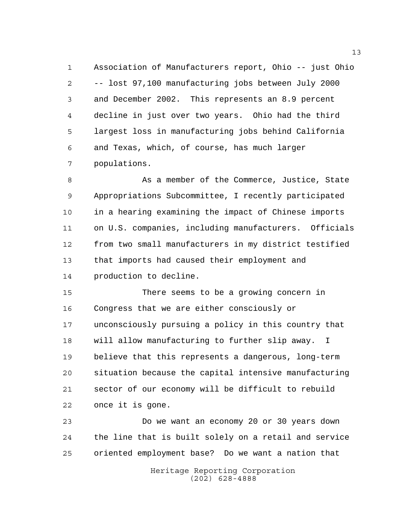Association of Manufacturers report, Ohio -- just Ohio -- lost 97,100 manufacturing jobs between July 2000 and December 2002. This represents an 8.9 percent decline in just over two years. Ohio had the third largest loss in manufacturing jobs behind California and Texas, which, of course, has much larger populations.

8 As a member of the Commerce, Justice, State Appropriations Subcommittee, I recently participated in a hearing examining the impact of Chinese imports on U.S. companies, including manufacturers. Officials from two small manufacturers in my district testified that imports had caused their employment and production to decline.

 There seems to be a growing concern in Congress that we are either consciously or unconsciously pursuing a policy in this country that will allow manufacturing to further slip away. I believe that this represents a dangerous, long-term situation because the capital intensive manufacturing sector of our economy will be difficult to rebuild once it is gone.

 Do we want an economy 20 or 30 years down the line that is built solely on a retail and service oriented employment base? Do we want a nation that

> Heritage Reporting Corporation (202) 628-4888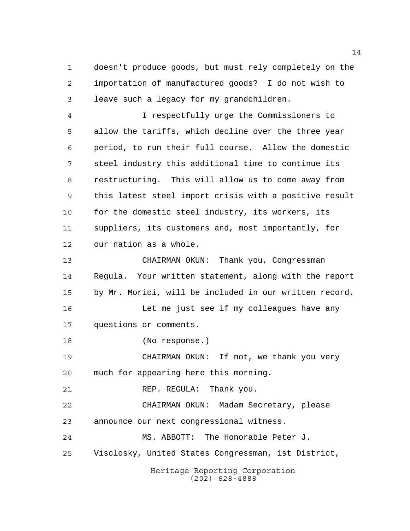doesn't produce goods, but must rely completely on the importation of manufactured goods? I do not wish to leave such a legacy for my grandchildren.

 I respectfully urge the Commissioners to allow the tariffs, which decline over the three year period, to run their full course. Allow the domestic steel industry this additional time to continue its restructuring. This will allow us to come away from this latest steel import crisis with a positive result for the domestic steel industry, its workers, its suppliers, its customers and, most importantly, for our nation as a whole.

 CHAIRMAN OKUN: Thank you, Congressman Regula. Your written statement, along with the report by Mr. Morici, will be included in our written record. Let me just see if my colleagues have any

questions or comments.

(No response.)

 CHAIRMAN OKUN: If not, we thank you very much for appearing here this morning.

21 REP. REGULA: Thank you.

 CHAIRMAN OKUN: Madam Secretary, please announce our next congressional witness.

 MS. ABBOTT: The Honorable Peter J. Visclosky, United States Congressman, 1st District,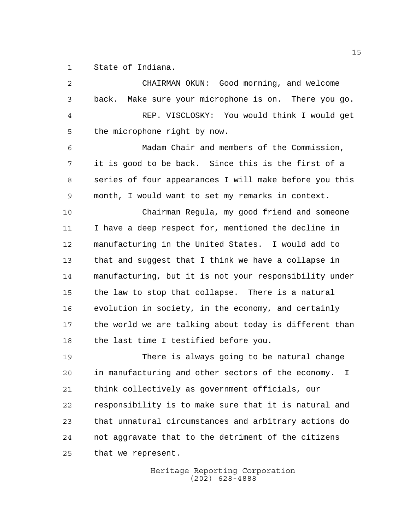State of Indiana.

| 2  | CHAIRMAN OKUN: Good morning, and welcome                |
|----|---------------------------------------------------------|
| 3  | Make sure your microphone is on. There you go.<br>back. |
| 4  | REP. VISCLOSKY: You would think I would get             |
| 5  | the microphone right by now.                            |
| 6  | Madam Chair and members of the Commission,              |
| 7  | it is good to be back. Since this is the first of a     |
| 8  | series of four appearances I will make before you this  |
| 9  | month, I would want to set my remarks in context.       |
| 10 | Chairman Regula, my good friend and someone             |
| 11 | I have a deep respect for, mentioned the decline in     |
| 12 | manufacturing in the United States. I would add to      |
| 13 | that and suggest that I think we have a collapse in     |
| 14 | manufacturing, but it is not your responsibility under  |
| 15 | the law to stop that collapse. There is a natural       |
| 16 | evolution in society, in the economy, and certainly     |
| 17 | the world we are talking about today is different than  |
| 18 | the last time I testified before you.                   |
| 19 | There is always going to be natural change              |
| 20 | in manufacturing and other sectors of the economy. I    |
| 21 | think collectively as government officials, our         |
| 22 | responsibility is to make sure that it is natural and   |
| 23 | that unnatural circumstances and arbitrary actions do   |
| 24 | not aggravate that to the detriment of the citizens     |
| 25 | that we represent.                                      |
|    | Heritage Reporting Corporation                          |

(202) 628-4888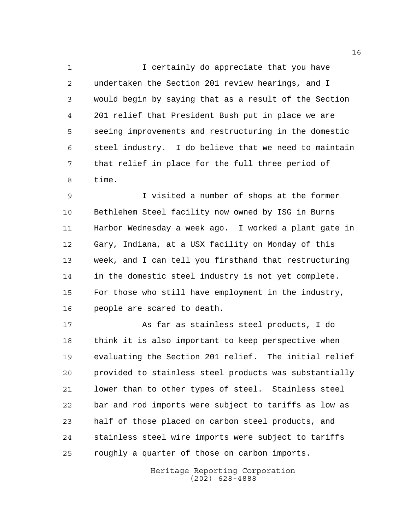I certainly do appreciate that you have undertaken the Section 201 review hearings, and I would begin by saying that as a result of the Section 201 relief that President Bush put in place we are seeing improvements and restructuring in the domestic steel industry. I do believe that we need to maintain that relief in place for the full three period of time.

 I visited a number of shops at the former Bethlehem Steel facility now owned by ISG in Burns Harbor Wednesday a week ago. I worked a plant gate in Gary, Indiana, at a USX facility on Monday of this week, and I can tell you firsthand that restructuring in the domestic steel industry is not yet complete. For those who still have employment in the industry, people are scared to death.

 As far as stainless steel products, I do think it is also important to keep perspective when evaluating the Section 201 relief. The initial relief provided to stainless steel products was substantially lower than to other types of steel. Stainless steel bar and rod imports were subject to tariffs as low as half of those placed on carbon steel products, and stainless steel wire imports were subject to tariffs roughly a quarter of those on carbon imports.

> Heritage Reporting Corporation (202) 628-4888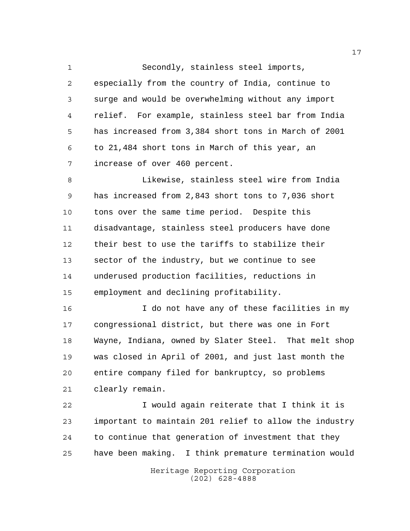Secondly, stainless steel imports, especially from the country of India, continue to surge and would be overwhelming without any import relief. For example, stainless steel bar from India has increased from 3,384 short tons in March of 2001 to 21,484 short tons in March of this year, an increase of over 460 percent.

 Likewise, stainless steel wire from India has increased from 2,843 short tons to 7,036 short tons over the same time period. Despite this disadvantage, stainless steel producers have done their best to use the tariffs to stabilize their sector of the industry, but we continue to see underused production facilities, reductions in employment and declining profitability.

 I do not have any of these facilities in my congressional district, but there was one in Fort Wayne, Indiana, owned by Slater Steel. That melt shop was closed in April of 2001, and just last month the entire company filed for bankruptcy, so problems clearly remain.

 I would again reiterate that I think it is important to maintain 201 relief to allow the industry to continue that generation of investment that they have been making. I think premature termination would

> Heritage Reporting Corporation (202) 628-4888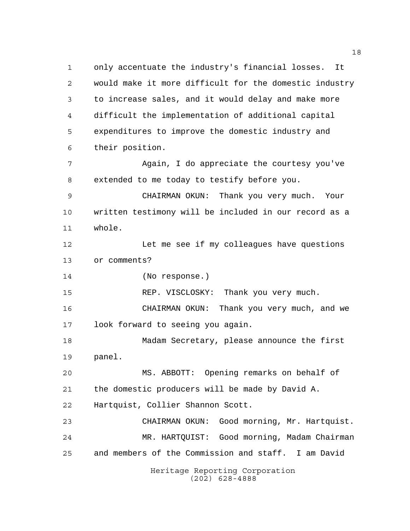Heritage Reporting Corporation (202) 628-4888 only accentuate the industry's financial losses. It would make it more difficult for the domestic industry to increase sales, and it would delay and make more difficult the implementation of additional capital expenditures to improve the domestic industry and their position. Again, I do appreciate the courtesy you've extended to me today to testify before you. CHAIRMAN OKUN: Thank you very much. Your written testimony will be included in our record as a whole. 12 Let me see if my colleagues have questions or comments? (No response.) REP. VISCLOSKY: Thank you very much. CHAIRMAN OKUN: Thank you very much, and we look forward to seeing you again. Madam Secretary, please announce the first panel. MS. ABBOTT: Opening remarks on behalf of the domestic producers will be made by David A. Hartquist, Collier Shannon Scott. CHAIRMAN OKUN: Good morning, Mr. Hartquist. MR. HARTQUIST: Good morning, Madam Chairman and members of the Commission and staff. I am David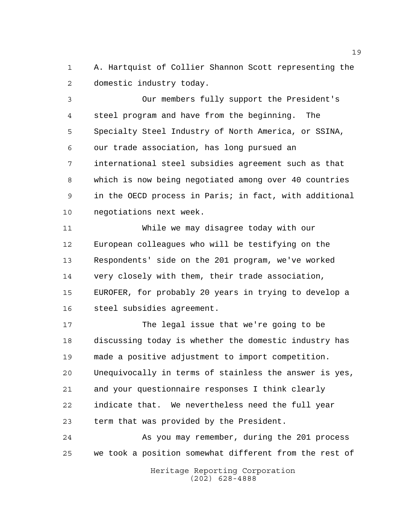A. Hartquist of Collier Shannon Scott representing the domestic industry today.

 Our members fully support the President's steel program and have from the beginning. The Specialty Steel Industry of North America, or SSINA, our trade association, has long pursued an international steel subsidies agreement such as that which is now being negotiated among over 40 countries in the OECD process in Paris; in fact, with additional negotiations next week.

 While we may disagree today with our European colleagues who will be testifying on the Respondents' side on the 201 program, we've worked very closely with them, their trade association, EUROFER, for probably 20 years in trying to develop a steel subsidies agreement.

 The legal issue that we're going to be discussing today is whether the domestic industry has made a positive adjustment to import competition. Unequivocally in terms of stainless the answer is yes, and your questionnaire responses I think clearly indicate that. We nevertheless need the full year term that was provided by the President.

 As you may remember, during the 201 process we took a position somewhat different from the rest of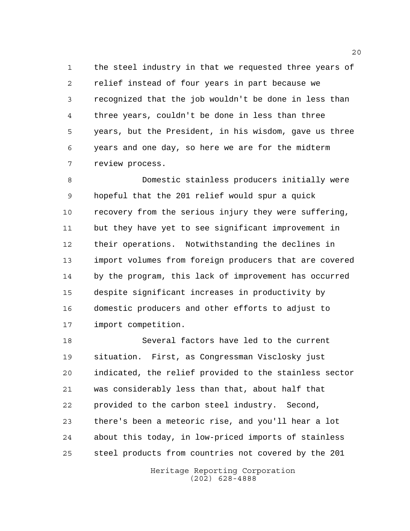the steel industry in that we requested three years of relief instead of four years in part because we recognized that the job wouldn't be done in less than three years, couldn't be done in less than three years, but the President, in his wisdom, gave us three years and one day, so here we are for the midterm review process.

 Domestic stainless producers initially were hopeful that the 201 relief would spur a quick recovery from the serious injury they were suffering, but they have yet to see significant improvement in their operations. Notwithstanding the declines in import volumes from foreign producers that are covered by the program, this lack of improvement has occurred despite significant increases in productivity by domestic producers and other efforts to adjust to import competition.

 Several factors have led to the current situation. First, as Congressman Visclosky just indicated, the relief provided to the stainless sector was considerably less than that, about half that provided to the carbon steel industry. Second, there's been a meteoric rise, and you'll hear a lot about this today, in low-priced imports of stainless steel products from countries not covered by the 201

> Heritage Reporting Corporation (202) 628-4888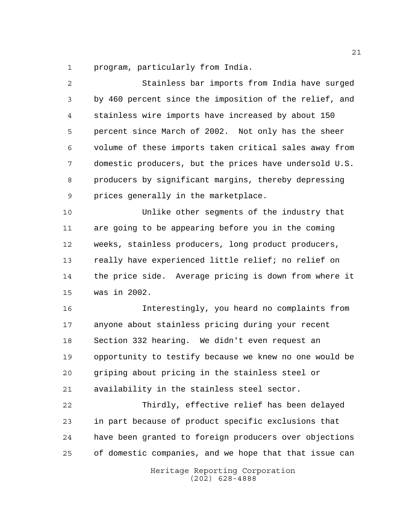program, particularly from India.

 Stainless bar imports from India have surged by 460 percent since the imposition of the relief, and stainless wire imports have increased by about 150 percent since March of 2002. Not only has the sheer volume of these imports taken critical sales away from domestic producers, but the prices have undersold U.S. producers by significant margins, thereby depressing prices generally in the marketplace. Unlike other segments of the industry that are going to be appearing before you in the coming weeks, stainless producers, long product producers, really have experienced little relief; no relief on the price side. Average pricing is down from where it was in 2002. Interestingly, you heard no complaints from anyone about stainless pricing during your recent Section 332 hearing. We didn't even request an opportunity to testify because we knew no one would be griping about pricing in the stainless steel or availability in the stainless steel sector. Thirdly, effective relief has been delayed in part because of product specific exclusions that have been granted to foreign producers over objections of domestic companies, and we hope that that issue can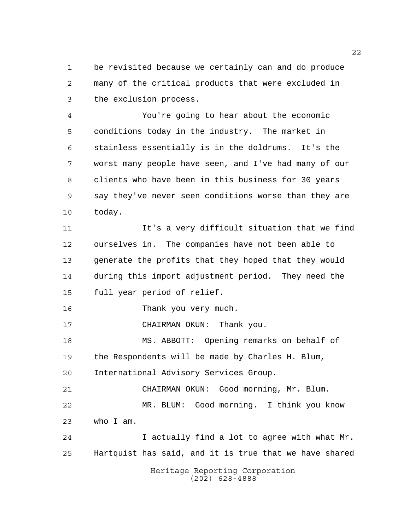be revisited because we certainly can and do produce many of the critical products that were excluded in the exclusion process.

 You're going to hear about the economic conditions today in the industry. The market in stainless essentially is in the doldrums. It's the worst many people have seen, and I've had many of our clients who have been in this business for 30 years say they've never seen conditions worse than they are today.

 It's a very difficult situation that we find ourselves in. The companies have not been able to generate the profits that they hoped that they would during this import adjustment period. They need the full year period of relief.

Thank you very much.

CHAIRMAN OKUN: Thank you.

 MS. ABBOTT: Opening remarks on behalf of the Respondents will be made by Charles H. Blum, International Advisory Services Group.

 CHAIRMAN OKUN: Good morning, Mr. Blum. MR. BLUM: Good morning. I think you know who I am.

 I actually find a lot to agree with what Mr. Hartquist has said, and it is true that we have shared

> Heritage Reporting Corporation (202) 628-4888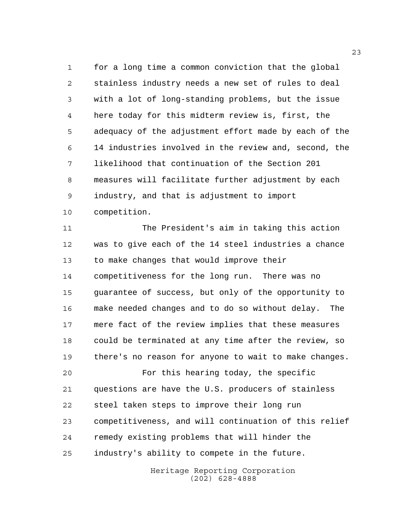for a long time a common conviction that the global stainless industry needs a new set of rules to deal with a lot of long-standing problems, but the issue here today for this midterm review is, first, the adequacy of the adjustment effort made by each of the 14 industries involved in the review and, second, the likelihood that continuation of the Section 201 measures will facilitate further adjustment by each industry, and that is adjustment to import competition.

 The President's aim in taking this action was to give each of the 14 steel industries a chance to make changes that would improve their competitiveness for the long run. There was no guarantee of success, but only of the opportunity to make needed changes and to do so without delay. The mere fact of the review implies that these measures could be terminated at any time after the review, so there's no reason for anyone to wait to make changes.

 For this hearing today, the specific questions are have the U.S. producers of stainless steel taken steps to improve their long run competitiveness, and will continuation of this relief remedy existing problems that will hinder the industry's ability to compete in the future.

> Heritage Reporting Corporation (202) 628-4888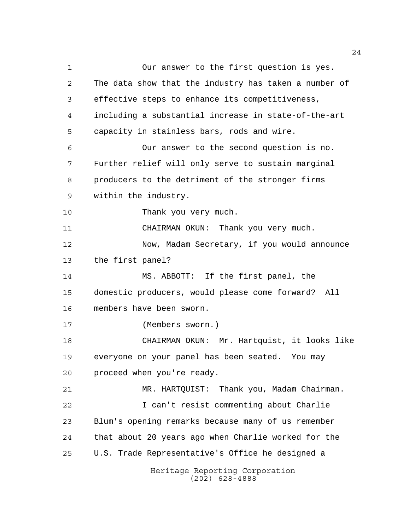Heritage Reporting Corporation (202) 628-4888 Our answer to the first question is yes. The data show that the industry has taken a number of effective steps to enhance its competitiveness, including a substantial increase in state-of-the-art capacity in stainless bars, rods and wire. Our answer to the second question is no. Further relief will only serve to sustain marginal producers to the detriment of the stronger firms within the industry. 10 Thank you very much. CHAIRMAN OKUN: Thank you very much. 12 Now, Madam Secretary, if you would announce the first panel? MS. ABBOTT: If the first panel, the domestic producers, would please come forward? All members have been sworn. (Members sworn.) CHAIRMAN OKUN: Mr. Hartquist, it looks like everyone on your panel has been seated. You may proceed when you're ready. MR. HARTQUIST: Thank you, Madam Chairman. I can't resist commenting about Charlie Blum's opening remarks because many of us remember that about 20 years ago when Charlie worked for the U.S. Trade Representative's Office he designed a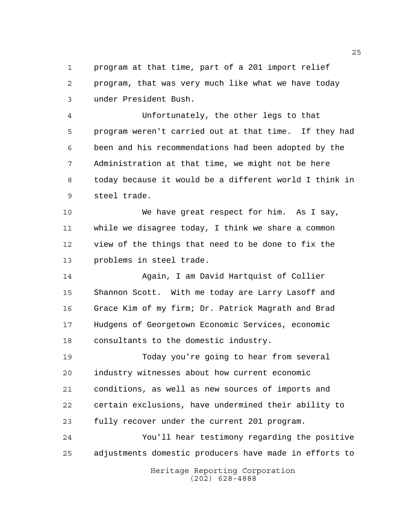program at that time, part of a 201 import relief program, that was very much like what we have today under President Bush.

 Unfortunately, the other legs to that program weren't carried out at that time. If they had been and his recommendations had been adopted by the Administration at that time, we might not be here today because it would be a different world I think in steel trade.

 We have great respect for him. As I say, while we disagree today, I think we share a common view of the things that need to be done to fix the problems in steel trade.

 Again, I am David Hartquist of Collier Shannon Scott. With me today are Larry Lasoff and Grace Kim of my firm; Dr. Patrick Magrath and Brad Hudgens of Georgetown Economic Services, economic consultants to the domestic industry.

 Today you're going to hear from several industry witnesses about how current economic conditions, as well as new sources of imports and certain exclusions, have undermined their ability to fully recover under the current 201 program.

Heritage Reporting Corporation You'll hear testimony regarding the positive adjustments domestic producers have made in efforts to

(202) 628-4888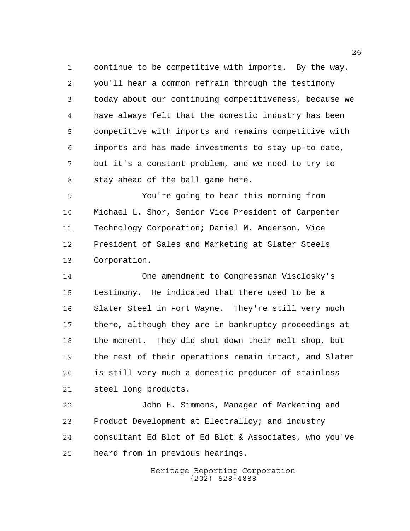continue to be competitive with imports. By the way, you'll hear a common refrain through the testimony today about our continuing competitiveness, because we have always felt that the domestic industry has been competitive with imports and remains competitive with imports and has made investments to stay up-to-date, but it's a constant problem, and we need to try to stay ahead of the ball game here.

 You're going to hear this morning from Michael L. Shor, Senior Vice President of Carpenter Technology Corporation; Daniel M. Anderson, Vice President of Sales and Marketing at Slater Steels Corporation.

 One amendment to Congressman Visclosky's testimony. He indicated that there used to be a Slater Steel in Fort Wayne. They're still very much there, although they are in bankruptcy proceedings at the moment. They did shut down their melt shop, but the rest of their operations remain intact, and Slater is still very much a domestic producer of stainless steel long products.

 John H. Simmons, Manager of Marketing and Product Development at Electralloy; and industry consultant Ed Blot of Ed Blot & Associates, who you've heard from in previous hearings.

> Heritage Reporting Corporation (202) 628-4888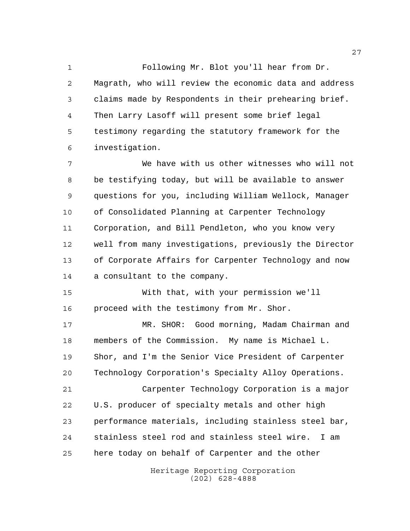Following Mr. Blot you'll hear from Dr. Magrath, who will review the economic data and address claims made by Respondents in their prehearing brief. Then Larry Lasoff will present some brief legal testimony regarding the statutory framework for the investigation.

 We have with us other witnesses who will not be testifying today, but will be available to answer questions for you, including William Wellock, Manager of Consolidated Planning at Carpenter Technology Corporation, and Bill Pendleton, who you know very well from many investigations, previously the Director of Corporate Affairs for Carpenter Technology and now a consultant to the company.

 With that, with your permission we'll proceed with the testimony from Mr. Shor.

 MR. SHOR: Good morning, Madam Chairman and members of the Commission. My name is Michael L. Shor, and I'm the Senior Vice President of Carpenter Technology Corporation's Specialty Alloy Operations. Carpenter Technology Corporation is a major U.S. producer of specialty metals and other high performance materials, including stainless steel bar,

 stainless steel rod and stainless steel wire. I am here today on behalf of Carpenter and the other

> Heritage Reporting Corporation (202) 628-4888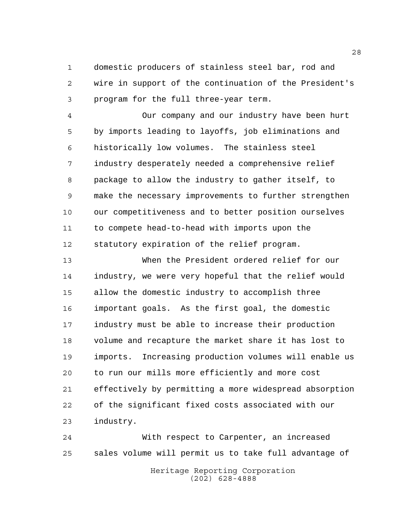domestic producers of stainless steel bar, rod and wire in support of the continuation of the President's program for the full three-year term.

 Our company and our industry have been hurt by imports leading to layoffs, job eliminations and historically low volumes. The stainless steel industry desperately needed a comprehensive relief package to allow the industry to gather itself, to make the necessary improvements to further strengthen our competitiveness and to better position ourselves to compete head-to-head with imports upon the statutory expiration of the relief program.

 When the President ordered relief for our industry, we were very hopeful that the relief would allow the domestic industry to accomplish three important goals. As the first goal, the domestic industry must be able to increase their production volume and recapture the market share it has lost to imports. Increasing production volumes will enable us to run our mills more efficiently and more cost effectively by permitting a more widespread absorption of the significant fixed costs associated with our industry.

 With respect to Carpenter, an increased sales volume will permit us to take full advantage of

Heritage Reporting Corporation (202) 628-4888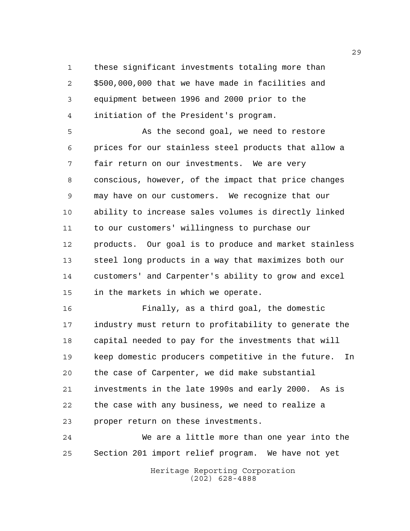these significant investments totaling more than \$500,000,000 that we have made in facilities and equipment between 1996 and 2000 prior to the initiation of the President's program.

 As the second goal, we need to restore prices for our stainless steel products that allow a fair return on our investments. We are very conscious, however, of the impact that price changes may have on our customers. We recognize that our ability to increase sales volumes is directly linked to our customers' willingness to purchase our products. Our goal is to produce and market stainless steel long products in a way that maximizes both our customers' and Carpenter's ability to grow and excel in the markets in which we operate.

 Finally, as a third goal, the domestic industry must return to profitability to generate the capital needed to pay for the investments that will keep domestic producers competitive in the future. In the case of Carpenter, we did make substantial investments in the late 1990s and early 2000. As is the case with any business, we need to realize a proper return on these investments.

 We are a little more than one year into the Section 201 import relief program. We have not yet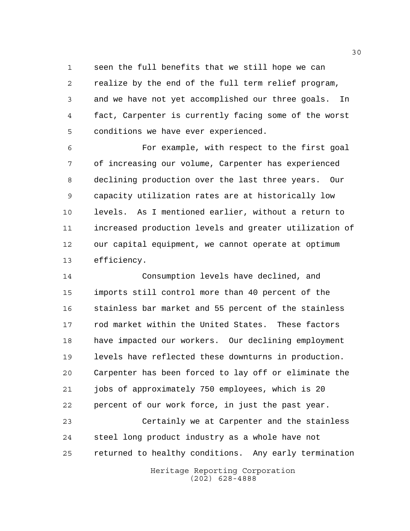seen the full benefits that we still hope we can

 realize by the end of the full term relief program, and we have not yet accomplished our three goals. In fact, Carpenter is currently facing some of the worst conditions we have ever experienced.

 For example, with respect to the first goal of increasing our volume, Carpenter has experienced declining production over the last three years. Our capacity utilization rates are at historically low levels. As I mentioned earlier, without a return to increased production levels and greater utilization of our capital equipment, we cannot operate at optimum efficiency.

 Consumption levels have declined, and imports still control more than 40 percent of the stainless bar market and 55 percent of the stainless rod market within the United States. These factors have impacted our workers. Our declining employment levels have reflected these downturns in production. Carpenter has been forced to lay off or eliminate the jobs of approximately 750 employees, which is 20 percent of our work force, in just the past year.

 Certainly we at Carpenter and the stainless steel long product industry as a whole have not returned to healthy conditions. Any early termination

> Heritage Reporting Corporation (202) 628-4888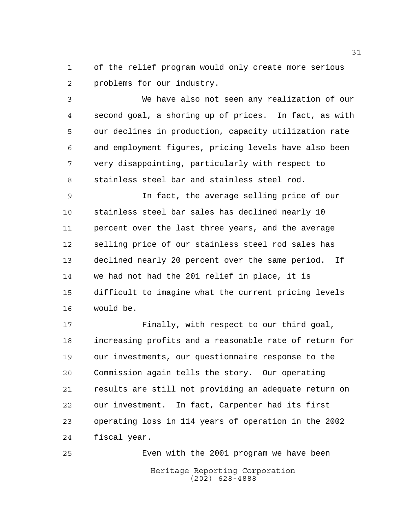of the relief program would only create more serious problems for our industry.

 We have also not seen any realization of our second goal, a shoring up of prices. In fact, as with our declines in production, capacity utilization rate and employment figures, pricing levels have also been very disappointing, particularly with respect to stainless steel bar and stainless steel rod.

 In fact, the average selling price of our stainless steel bar sales has declined nearly 10 percent over the last three years, and the average selling price of our stainless steel rod sales has declined nearly 20 percent over the same period. If we had not had the 201 relief in place, it is difficult to imagine what the current pricing levels would be.

 Finally, with respect to our third goal, increasing profits and a reasonable rate of return for our investments, our questionnaire response to the Commission again tells the story. Our operating results are still not providing an adequate return on our investment. In fact, Carpenter had its first operating loss in 114 years of operation in the 2002 fiscal year.

Heritage Reporting Corporation (202) 628-4888 Even with the 2001 program we have been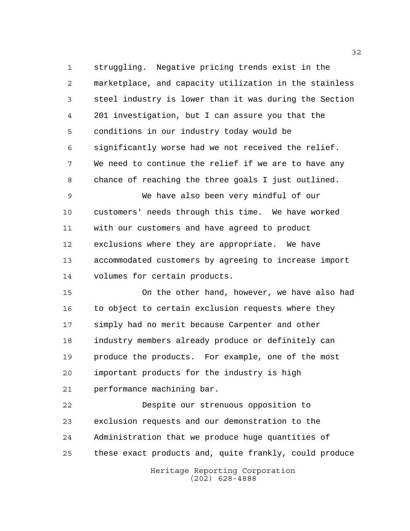struggling. Negative pricing trends exist in the marketplace, and capacity utilization in the stainless steel industry is lower than it was during the Section 201 investigation, but I can assure you that the conditions in our industry today would be significantly worse had we not received the relief. We need to continue the relief if we are to have any chance of reaching the three goals I just outlined.

 We have also been very mindful of our customers' needs through this time. We have worked with our customers and have agreed to product exclusions where they are appropriate. We have accommodated customers by agreeing to increase import volumes for certain products.

 On the other hand, however, we have also had to object to certain exclusion requests where they simply had no merit because Carpenter and other industry members already produce or definitely can produce the products. For example, one of the most important products for the industry is high performance machining bar.

 Despite our strenuous opposition to exclusion requests and our demonstration to the Administration that we produce huge quantities of these exact products and, quite frankly, could produce

> Heritage Reporting Corporation (202) 628-4888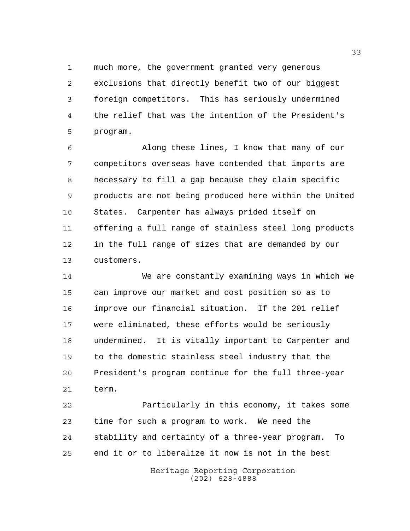much more, the government granted very generous exclusions that directly benefit two of our biggest foreign competitors. This has seriously undermined the relief that was the intention of the President's program.

 Along these lines, I know that many of our competitors overseas have contended that imports are necessary to fill a gap because they claim specific products are not being produced here within the United States. Carpenter has always prided itself on offering a full range of stainless steel long products in the full range of sizes that are demanded by our customers.

 We are constantly examining ways in which we can improve our market and cost position so as to improve our financial situation. If the 201 relief were eliminated, these efforts would be seriously undermined. It is vitally important to Carpenter and to the domestic stainless steel industry that the President's program continue for the full three-year term.

 Particularly in this economy, it takes some time for such a program to work. We need the stability and certainty of a three-year program. To end it or to liberalize it now is not in the best

> Heritage Reporting Corporation (202) 628-4888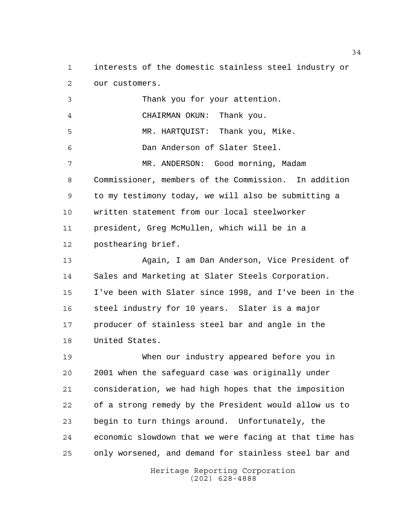interests of the domestic stainless steel industry or our customers.

 Thank you for your attention. CHAIRMAN OKUN: Thank you. MR. HARTQUIST: Thank you, Mike. Dan Anderson of Slater Steel. MR. ANDERSON: Good morning, Madam Commissioner, members of the Commission. In addition to my testimony today, we will also be submitting a written statement from our local steelworker president, Greg McMullen, which will be in a posthearing brief. Again, I am Dan Anderson, Vice President of Sales and Marketing at Slater Steels Corporation. I've been with Slater since 1998, and I've been in the steel industry for 10 years. Slater is a major producer of stainless steel bar and angle in the United States. When our industry appeared before you in 2001 when the safeguard case was originally under

 consideration, we had high hopes that the imposition of a strong remedy by the President would allow us to begin to turn things around. Unfortunately, the economic slowdown that we were facing at that time has only worsened, and demand for stainless steel bar and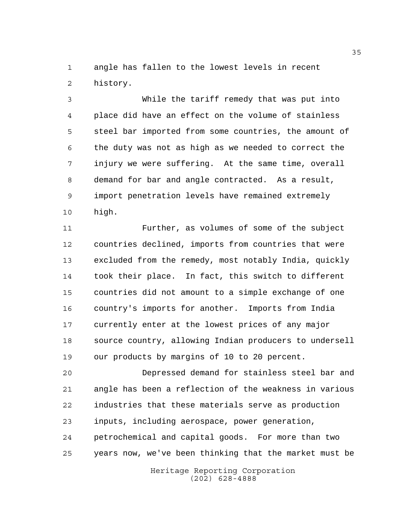angle has fallen to the lowest levels in recent history.

 While the tariff remedy that was put into place did have an effect on the volume of stainless steel bar imported from some countries, the amount of the duty was not as high as we needed to correct the injury we were suffering. At the same time, overall demand for bar and angle contracted. As a result, import penetration levels have remained extremely high.

 Further, as volumes of some of the subject countries declined, imports from countries that were excluded from the remedy, most notably India, quickly took their place. In fact, this switch to different countries did not amount to a simple exchange of one country's imports for another. Imports from India currently enter at the lowest prices of any major source country, allowing Indian producers to undersell our products by margins of 10 to 20 percent.

 Depressed demand for stainless steel bar and angle has been a reflection of the weakness in various industries that these materials serve as production inputs, including aerospace, power generation, petrochemical and capital goods. For more than two years now, we've been thinking that the market must be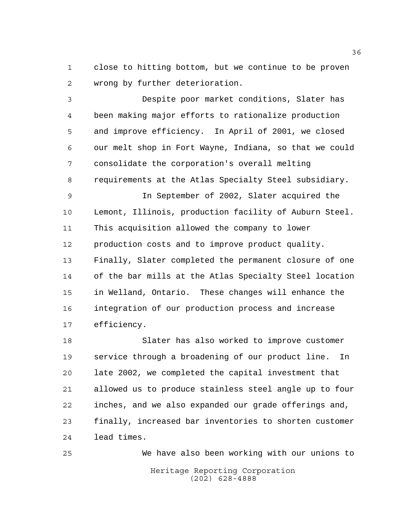close to hitting bottom, but we continue to be proven wrong by further deterioration.

 Despite poor market conditions, Slater has been making major efforts to rationalize production and improve efficiency. In April of 2001, we closed our melt shop in Fort Wayne, Indiana, so that we could consolidate the corporation's overall melting requirements at the Atlas Specialty Steel subsidiary.

 In September of 2002, Slater acquired the Lemont, Illinois, production facility of Auburn Steel. This acquisition allowed the company to lower production costs and to improve product quality. Finally, Slater completed the permanent closure of one of the bar mills at the Atlas Specialty Steel location in Welland, Ontario. These changes will enhance the integration of our production process and increase efficiency.

 Slater has also worked to improve customer service through a broadening of our product line. In late 2002, we completed the capital investment that allowed us to produce stainless steel angle up to four inches, and we also expanded our grade offerings and, finally, increased bar inventories to shorten customer lead times.

Heritage Reporting Corporation (202) 628-4888 We have also been working with our unions to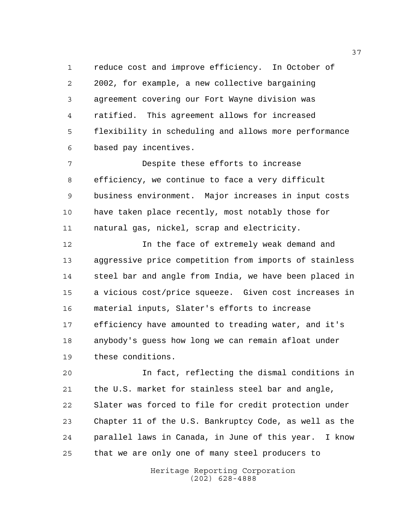reduce cost and improve efficiency. In October of 2002, for example, a new collective bargaining agreement covering our Fort Wayne division was ratified. This agreement allows for increased flexibility in scheduling and allows more performance based pay incentives.

 Despite these efforts to increase efficiency, we continue to face a very difficult business environment. Major increases in input costs have taken place recently, most notably those for natural gas, nickel, scrap and electricity.

 In the face of extremely weak demand and aggressive price competition from imports of stainless steel bar and angle from India, we have been placed in a vicious cost/price squeeze. Given cost increases in material inputs, Slater's efforts to increase efficiency have amounted to treading water, and it's anybody's guess how long we can remain afloat under these conditions.

 In fact, reflecting the dismal conditions in the U.S. market for stainless steel bar and angle, Slater was forced to file for credit protection under Chapter 11 of the U.S. Bankruptcy Code, as well as the parallel laws in Canada, in June of this year. I know that we are only one of many steel producers to

> Heritage Reporting Corporation (202) 628-4888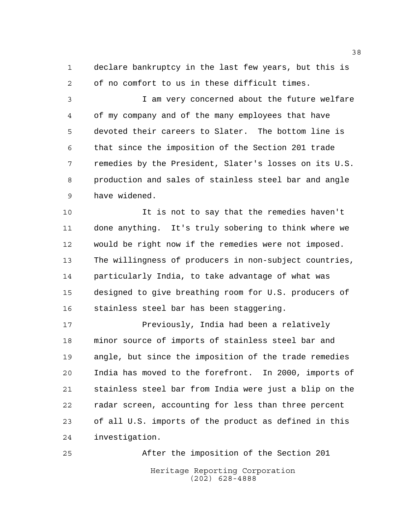declare bankruptcy in the last few years, but this is of no comfort to us in these difficult times.

 I am very concerned about the future welfare of my company and of the many employees that have devoted their careers to Slater. The bottom line is that since the imposition of the Section 201 trade remedies by the President, Slater's losses on its U.S. production and sales of stainless steel bar and angle have widened.

 It is not to say that the remedies haven't done anything. It's truly sobering to think where we would be right now if the remedies were not imposed. The willingness of producers in non-subject countries, particularly India, to take advantage of what was designed to give breathing room for U.S. producers of stainless steel bar has been staggering.

**Previously, India had been a relatively**  minor source of imports of stainless steel bar and angle, but since the imposition of the trade remedies India has moved to the forefront. In 2000, imports of stainless steel bar from India were just a blip on the radar screen, accounting for less than three percent of all U.S. imports of the product as defined in this investigation.

Heritage Reporting Corporation (202) 628-4888 After the imposition of the Section 201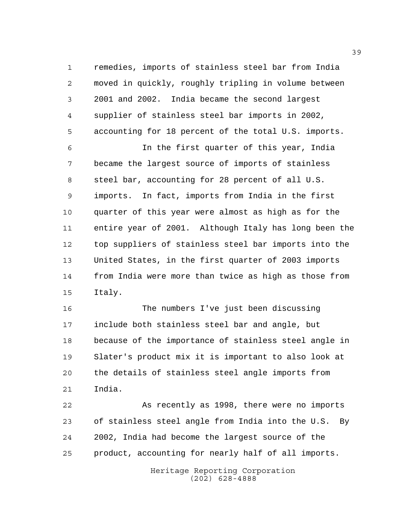remedies, imports of stainless steel bar from India moved in quickly, roughly tripling in volume between 2001 and 2002. India became the second largest supplier of stainless steel bar imports in 2002, accounting for 18 percent of the total U.S. imports.

 In the first quarter of this year, India became the largest source of imports of stainless steel bar, accounting for 28 percent of all U.S. imports. In fact, imports from India in the first quarter of this year were almost as high as for the entire year of 2001. Although Italy has long been the top suppliers of stainless steel bar imports into the United States, in the first quarter of 2003 imports from India were more than twice as high as those from Italy.

 The numbers I've just been discussing include both stainless steel bar and angle, but because of the importance of stainless steel angle in Slater's product mix it is important to also look at the details of stainless steel angle imports from India.

 As recently as 1998, there were no imports of stainless steel angle from India into the U.S. By 2002, India had become the largest source of the product, accounting for nearly half of all imports.

> Heritage Reporting Corporation (202) 628-4888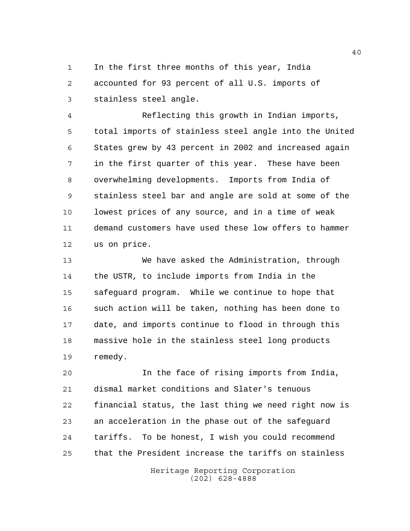In the first three months of this year, India accounted for 93 percent of all U.S. imports of stainless steel angle.

 Reflecting this growth in Indian imports, total imports of stainless steel angle into the United States grew by 43 percent in 2002 and increased again in the first quarter of this year. These have been overwhelming developments. Imports from India of stainless steel bar and angle are sold at some of the lowest prices of any source, and in a time of weak demand customers have used these low offers to hammer us on price.

 We have asked the Administration, through the USTR, to include imports from India in the safeguard program. While we continue to hope that such action will be taken, nothing has been done to date, and imports continue to flood in through this massive hole in the stainless steel long products remedy.

 In the face of rising imports from India, dismal market conditions and Slater's tenuous financial status, the last thing we need right now is an acceleration in the phase out of the safeguard tariffs. To be honest, I wish you could recommend that the President increase the tariffs on stainless

> Heritage Reporting Corporation (202) 628-4888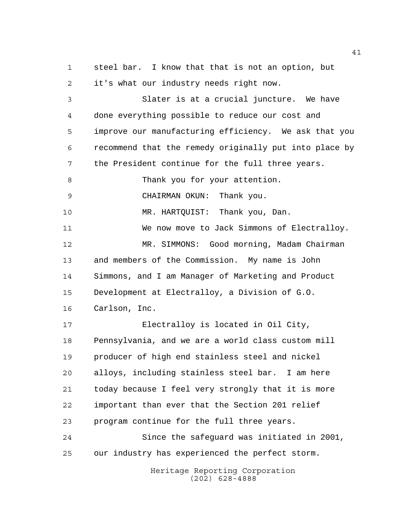steel bar. I know that that is not an option, but it's what our industry needs right now.

 Slater is at a crucial juncture. We have done everything possible to reduce our cost and improve our manufacturing efficiency. We ask that you recommend that the remedy originally put into place by the President continue for the full three years. 8 Thank you for your attention. CHAIRMAN OKUN: Thank you. MR. HARTQUIST: Thank you, Dan. We now move to Jack Simmons of Electralloy. MR. SIMMONS: Good morning, Madam Chairman and members of the Commission. My name is John Simmons, and I am Manager of Marketing and Product

Development at Electralloy, a Division of G.O.

Carlson, Inc.

 Electralloy is located in Oil City, Pennsylvania, and we are a world class custom mill producer of high end stainless steel and nickel alloys, including stainless steel bar. I am here today because I feel very strongly that it is more important than ever that the Section 201 relief program continue for the full three years.

 Since the safeguard was initiated in 2001, our industry has experienced the perfect storm.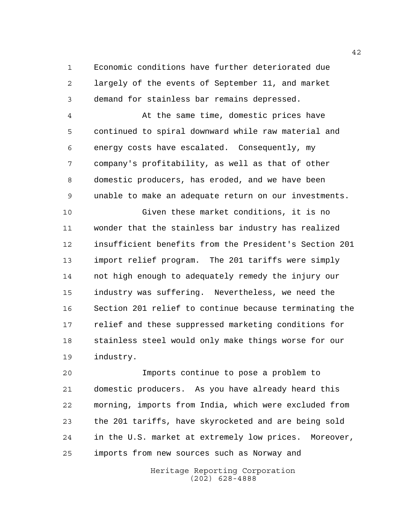Economic conditions have further deteriorated due largely of the events of September 11, and market demand for stainless bar remains depressed.

 At the same time, domestic prices have continued to spiral downward while raw material and energy costs have escalated. Consequently, my company's profitability, as well as that of other domestic producers, has eroded, and we have been unable to make an adequate return on our investments.

 Given these market conditions, it is no wonder that the stainless bar industry has realized insufficient benefits from the President's Section 201 import relief program. The 201 tariffs were simply not high enough to adequately remedy the injury our industry was suffering. Nevertheless, we need the Section 201 relief to continue because terminating the relief and these suppressed marketing conditions for stainless steel would only make things worse for our industry.

 Imports continue to pose a problem to domestic producers. As you have already heard this morning, imports from India, which were excluded from the 201 tariffs, have skyrocketed and are being sold in the U.S. market at extremely low prices. Moreover, imports from new sources such as Norway and

> Heritage Reporting Corporation (202) 628-4888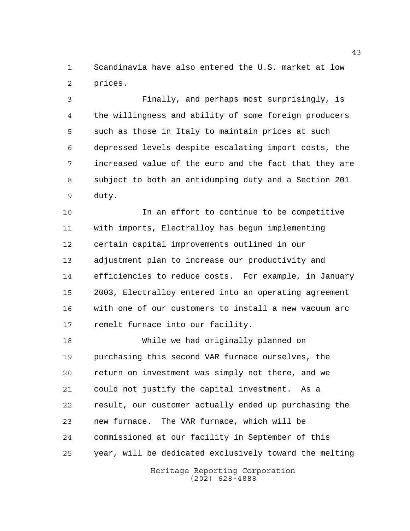Scandinavia have also entered the U.S. market at low prices.

 Finally, and perhaps most surprisingly, is the willingness and ability of some foreign producers such as those in Italy to maintain prices at such depressed levels despite escalating import costs, the increased value of the euro and the fact that they are subject to both an antidumping duty and a Section 201 duty.

 In an effort to continue to be competitive with imports, Electralloy has begun implementing certain capital improvements outlined in our adjustment plan to increase our productivity and efficiencies to reduce costs. For example, in January 2003, Electralloy entered into an operating agreement with one of our customers to install a new vacuum arc remelt furnace into our facility.

 While we had originally planned on purchasing this second VAR furnace ourselves, the return on investment was simply not there, and we could not justify the capital investment. As a result, our customer actually ended up purchasing the new furnace. The VAR furnace, which will be commissioned at our facility in September of this year, will be dedicated exclusively toward the melting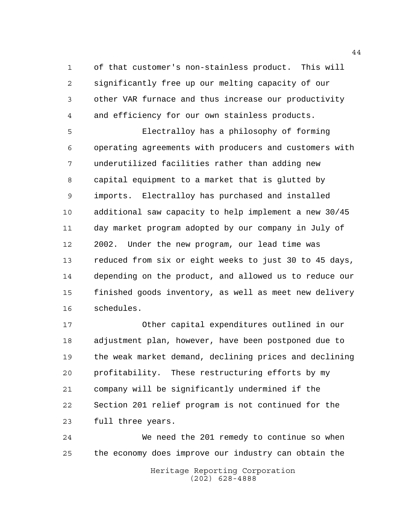of that customer's non-stainless product. This will significantly free up our melting capacity of our other VAR furnace and thus increase our productivity and efficiency for our own stainless products.

 Electralloy has a philosophy of forming operating agreements with producers and customers with underutilized facilities rather than adding new capital equipment to a market that is glutted by imports. Electralloy has purchased and installed additional saw capacity to help implement a new 30/45 day market program adopted by our company in July of 2002. Under the new program, our lead time was reduced from six or eight weeks to just 30 to 45 days, depending on the product, and allowed us to reduce our finished goods inventory, as well as meet new delivery schedules.

 Other capital expenditures outlined in our adjustment plan, however, have been postponed due to the weak market demand, declining prices and declining profitability. These restructuring efforts by my company will be significantly undermined if the Section 201 relief program is not continued for the full three years.

Heritage Reporting Corporation We need the 201 remedy to continue so when the economy does improve our industry can obtain the

(202) 628-4888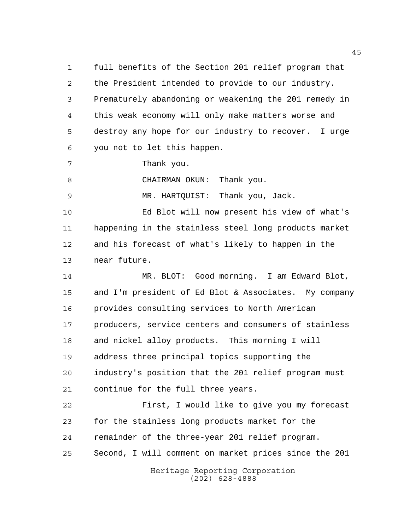full benefits of the Section 201 relief program that the President intended to provide to our industry. Prematurely abandoning or weakening the 201 remedy in this weak economy will only make matters worse and destroy any hope for our industry to recover. I urge you not to let this happen.

Thank you.

8 CHAIRMAN OKUN: Thank you.

MR. HARTQUIST: Thank you, Jack.

 Ed Blot will now present his view of what's happening in the stainless steel long products market and his forecast of what's likely to happen in the near future.

 MR. BLOT: Good morning. I am Edward Blot, and I'm president of Ed Blot & Associates. My company provides consulting services to North American producers, service centers and consumers of stainless and nickel alloy products. This morning I will address three principal topics supporting the industry's position that the 201 relief program must continue for the full three years.

 First, I would like to give you my forecast for the stainless long products market for the remainder of the three-year 201 relief program. Second, I will comment on market prices since the 201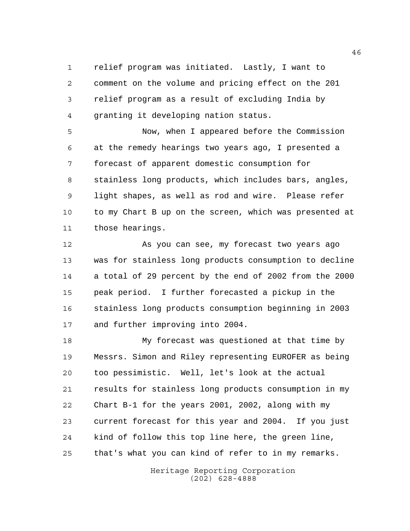relief program was initiated. Lastly, I want to comment on the volume and pricing effect on the 201 relief program as a result of excluding India by granting it developing nation status.

 Now, when I appeared before the Commission at the remedy hearings two years ago, I presented a forecast of apparent domestic consumption for stainless long products, which includes bars, angles, light shapes, as well as rod and wire. Please refer to my Chart B up on the screen, which was presented at those hearings.

 As you can see, my forecast two years ago was for stainless long products consumption to decline a total of 29 percent by the end of 2002 from the 2000 peak period. I further forecasted a pickup in the stainless long products consumption beginning in 2003 and further improving into 2004.

 My forecast was questioned at that time by Messrs. Simon and Riley representing EUROFER as being too pessimistic. Well, let's look at the actual results for stainless long products consumption in my Chart B-1 for the years 2001, 2002, along with my current forecast for this year and 2004. If you just kind of follow this top line here, the green line, that's what you can kind of refer to in my remarks.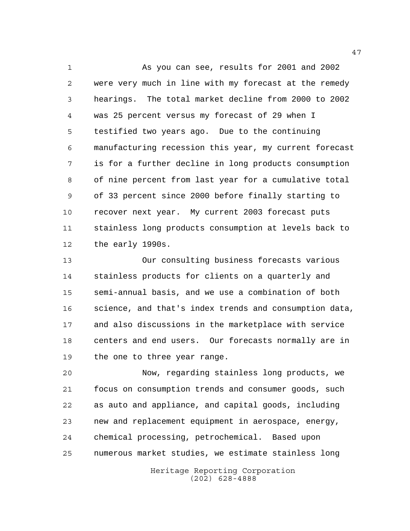As you can see, results for 2001 and 2002 were very much in line with my forecast at the remedy hearings. The total market decline from 2000 to 2002 was 25 percent versus my forecast of 29 when I testified two years ago. Due to the continuing manufacturing recession this year, my current forecast is for a further decline in long products consumption of nine percent from last year for a cumulative total of 33 percent since 2000 before finally starting to recover next year. My current 2003 forecast puts stainless long products consumption at levels back to the early 1990s.

 Our consulting business forecasts various stainless products for clients on a quarterly and semi-annual basis, and we use a combination of both science, and that's index trends and consumption data, and also discussions in the marketplace with service centers and end users. Our forecasts normally are in 19 the one to three year range.

 Now, regarding stainless long products, we focus on consumption trends and consumer goods, such as auto and appliance, and capital goods, including new and replacement equipment in aerospace, energy, chemical processing, petrochemical. Based upon numerous market studies, we estimate stainless long

> Heritage Reporting Corporation (202) 628-4888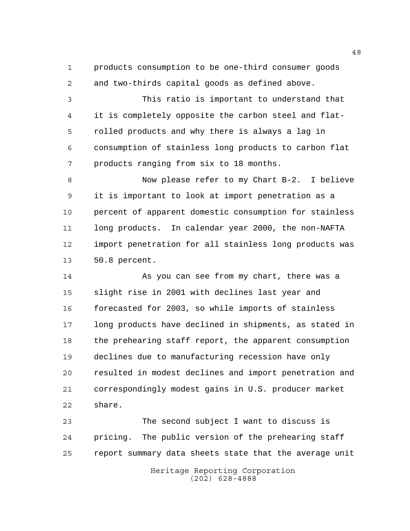products consumption to be one-third consumer goods and two-thirds capital goods as defined above.

 This ratio is important to understand that it is completely opposite the carbon steel and flat- rolled products and why there is always a lag in consumption of stainless long products to carbon flat products ranging from six to 18 months.

 Now please refer to my Chart B-2. I believe it is important to look at import penetration as a percent of apparent domestic consumption for stainless long products. In calendar year 2000, the non-NAFTA import penetration for all stainless long products was 50.8 percent.

 As you can see from my chart, there was a slight rise in 2001 with declines last year and forecasted for 2003, so while imports of stainless long products have declined in shipments, as stated in the prehearing staff report, the apparent consumption declines due to manufacturing recession have only resulted in modest declines and import penetration and correspondingly modest gains in U.S. producer market share.

 The second subject I want to discuss is pricing. The public version of the prehearing staff report summary data sheets state that the average unit

> Heritage Reporting Corporation (202) 628-4888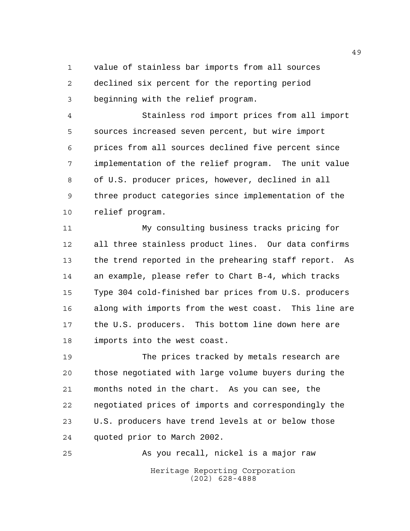value of stainless bar imports from all sources declined six percent for the reporting period beginning with the relief program.

 Stainless rod import prices from all import sources increased seven percent, but wire import prices from all sources declined five percent since implementation of the relief program. The unit value of U.S. producer prices, however, declined in all three product categories since implementation of the relief program.

 My consulting business tracks pricing for all three stainless product lines. Our data confirms the trend reported in the prehearing staff report. As an example, please refer to Chart B-4, which tracks Type 304 cold-finished bar prices from U.S. producers along with imports from the west coast. This line are the U.S. producers. This bottom line down here are imports into the west coast.

 The prices tracked by metals research are those negotiated with large volume buyers during the months noted in the chart. As you can see, the negotiated prices of imports and correspondingly the U.S. producers have trend levels at or below those quoted prior to March 2002.

Heritage Reporting Corporation (202) 628-4888 As you recall, nickel is a major raw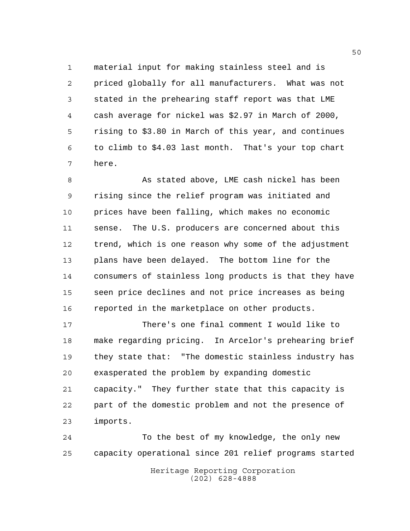material input for making stainless steel and is priced globally for all manufacturers. What was not stated in the prehearing staff report was that LME cash average for nickel was \$2.97 in March of 2000, rising to \$3.80 in March of this year, and continues to climb to \$4.03 last month. That's your top chart here.

 As stated above, LME cash nickel has been rising since the relief program was initiated and prices have been falling, which makes no economic sense. The U.S. producers are concerned about this trend, which is one reason why some of the adjustment plans have been delayed. The bottom line for the consumers of stainless long products is that they have seen price declines and not price increases as being reported in the marketplace on other products.

 There's one final comment I would like to make regarding pricing. In Arcelor's prehearing brief they state that: "The domestic stainless industry has exasperated the problem by expanding domestic capacity." They further state that this capacity is part of the domestic problem and not the presence of imports.

 To the best of my knowledge, the only new capacity operational since 201 relief programs started

> Heritage Reporting Corporation (202) 628-4888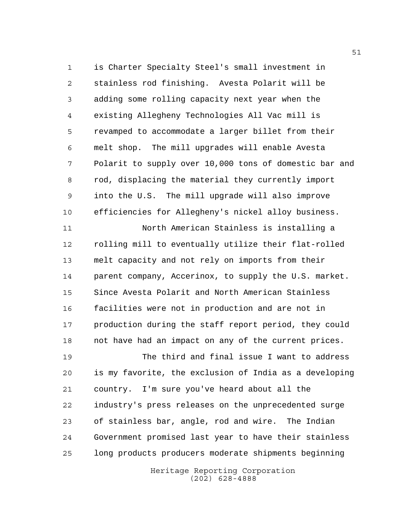is Charter Specialty Steel's small investment in stainless rod finishing. Avesta Polarit will be adding some rolling capacity next year when the existing Allegheny Technologies All Vac mill is revamped to accommodate a larger billet from their melt shop. The mill upgrades will enable Avesta Polarit to supply over 10,000 tons of domestic bar and rod, displacing the material they currently import into the U.S. The mill upgrade will also improve efficiencies for Allegheny's nickel alloy business.

 North American Stainless is installing a rolling mill to eventually utilize their flat-rolled melt capacity and not rely on imports from their parent company, Accerinox, to supply the U.S. market. Since Avesta Polarit and North American Stainless facilities were not in production and are not in production during the staff report period, they could not have had an impact on any of the current prices.

 The third and final issue I want to address is my favorite, the exclusion of India as a developing country. I'm sure you've heard about all the industry's press releases on the unprecedented surge of stainless bar, angle, rod and wire. The Indian Government promised last year to have their stainless long products producers moderate shipments beginning

> Heritage Reporting Corporation (202) 628-4888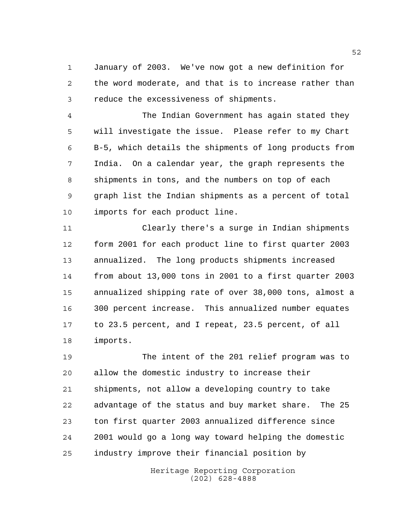January of 2003. We've now got a new definition for the word moderate, and that is to increase rather than reduce the excessiveness of shipments.

 The Indian Government has again stated they will investigate the issue. Please refer to my Chart B-5, which details the shipments of long products from India. On a calendar year, the graph represents the shipments in tons, and the numbers on top of each graph list the Indian shipments as a percent of total imports for each product line.

 Clearly there's a surge in Indian shipments form 2001 for each product line to first quarter 2003 annualized. The long products shipments increased from about 13,000 tons in 2001 to a first quarter 2003 annualized shipping rate of over 38,000 tons, almost a 300 percent increase. This annualized number equates to 23.5 percent, and I repeat, 23.5 percent, of all imports.

 The intent of the 201 relief program was to allow the domestic industry to increase their shipments, not allow a developing country to take advantage of the status and buy market share. The 25 ton first quarter 2003 annualized difference since 2001 would go a long way toward helping the domestic industry improve their financial position by

> Heritage Reporting Corporation (202) 628-4888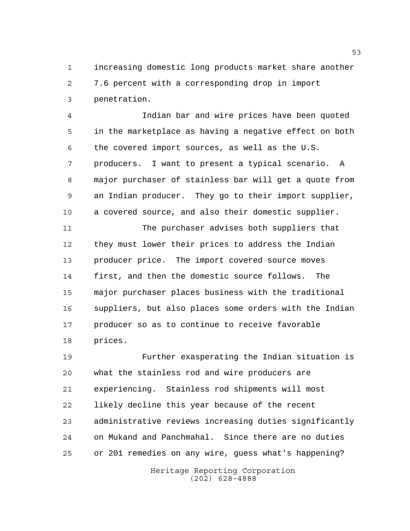increasing domestic long products market share another 7.6 percent with a corresponding drop in import penetration.

 Indian bar and wire prices have been quoted in the marketplace as having a negative effect on both the covered import sources, as well as the U.S. producers. I want to present a typical scenario. A major purchaser of stainless bar will get a quote from an Indian producer. They go to their import supplier, a covered source, and also their domestic supplier.

 The purchaser advises both suppliers that they must lower their prices to address the Indian producer price. The import covered source moves first, and then the domestic source follows. The major purchaser places business with the traditional suppliers, but also places some orders with the Indian producer so as to continue to receive favorable prices.

 Further exasperating the Indian situation is what the stainless rod and wire producers are experiencing. Stainless rod shipments will most likely decline this year because of the recent administrative reviews increasing duties significantly on Mukand and Panchmahal. Since there are no duties or 201 remedies on any wire, guess what's happening?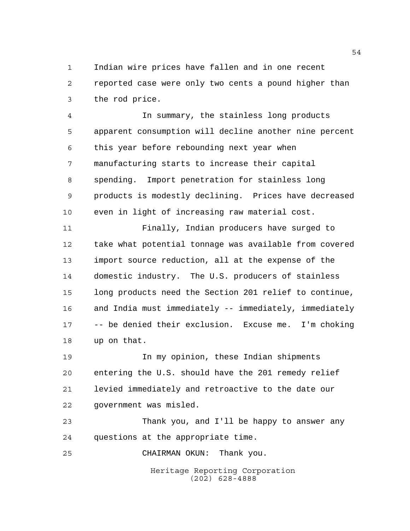Indian wire prices have fallen and in one recent reported case were only two cents a pound higher than the rod price.

 In summary, the stainless long products apparent consumption will decline another nine percent this year before rebounding next year when manufacturing starts to increase their capital spending. Import penetration for stainless long products is modestly declining. Prices have decreased even in light of increasing raw material cost.

 Finally, Indian producers have surged to take what potential tonnage was available from covered import source reduction, all at the expense of the domestic industry. The U.S. producers of stainless long products need the Section 201 relief to continue, and India must immediately -- immediately, immediately -- be denied their exclusion. Excuse me. I'm choking up on that.

 In my opinion, these Indian shipments entering the U.S. should have the 201 remedy relief levied immediately and retroactive to the date our government was misled.

 Thank you, and I'll be happy to answer any questions at the appropriate time.

CHAIRMAN OKUN: Thank you.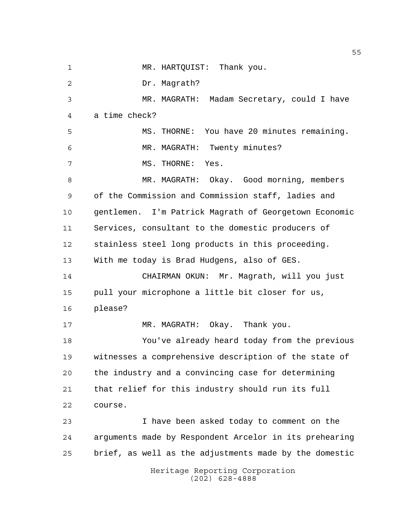Heritage Reporting Corporation (202) 628-4888 1 MR. HARTQUIST: Thank you. Dr. Magrath? MR. MAGRATH: Madam Secretary, could I have a time check? MS. THORNE: You have 20 minutes remaining. MR. MAGRATH: Twenty minutes? MS. THORNE: Yes. MR. MAGRATH: Okay. Good morning, members of the Commission and Commission staff, ladies and gentlemen. I'm Patrick Magrath of Georgetown Economic Services, consultant to the domestic producers of stainless steel long products in this proceeding. With me today is Brad Hudgens, also of GES. CHAIRMAN OKUN: Mr. Magrath, will you just pull your microphone a little bit closer for us, please? MR. MAGRATH: Okay. Thank you. You've already heard today from the previous witnesses a comprehensive description of the state of the industry and a convincing case for determining that relief for this industry should run its full course. I have been asked today to comment on the arguments made by Respondent Arcelor in its prehearing brief, as well as the adjustments made by the domestic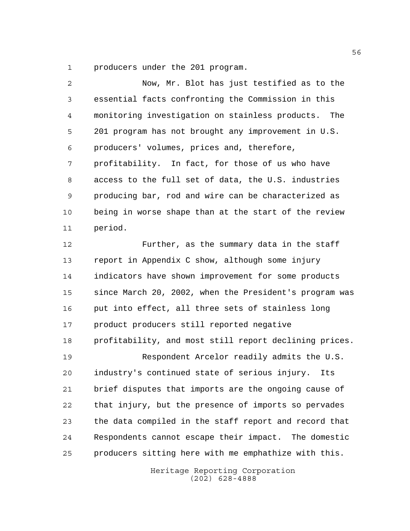producers under the 201 program.

| 2  | Now, Mr. Blot has just testified as to the           |
|----|------------------------------------------------------|
| 3  | essential facts confronting the Commission in this   |
| 4  | monitoring investigation on stainless products. The  |
| 5  | 201 program has not brought any improvement in U.S.  |
| 6  | producers' volumes, prices and, therefore,           |
| 7  | profitability. In fact, for those of us who have     |
| 8  | access to the full set of data, the U.S. industries  |
| 9  | producing bar, rod and wire can be characterized as  |
| 10 | being in worse shape than at the start of the review |
| 11 | period.                                              |

 Further, as the summary data in the staff report in Appendix C show, although some injury indicators have shown improvement for some products since March 20, 2002, when the President's program was put into effect, all three sets of stainless long product producers still reported negative profitability, and most still report declining prices.

 Respondent Arcelor readily admits the U.S. industry's continued state of serious injury. Its brief disputes that imports are the ongoing cause of that injury, but the presence of imports so pervades the data compiled in the staff report and record that Respondents cannot escape their impact. The domestic producers sitting here with me emphathize with this.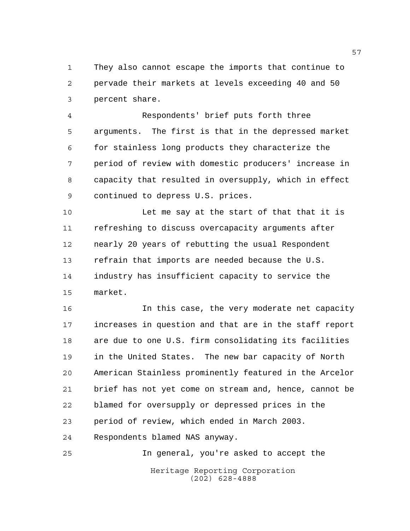They also cannot escape the imports that continue to pervade their markets at levels exceeding 40 and 50 percent share.

 Respondents' brief puts forth three arguments. The first is that in the depressed market for stainless long products they characterize the period of review with domestic producers' increase in capacity that resulted in oversupply, which in effect continued to depress U.S. prices.

10 Let me say at the start of that that it is refreshing to discuss overcapacity arguments after nearly 20 years of rebutting the usual Respondent refrain that imports are needed because the U.S. industry has insufficient capacity to service the market.

 In this case, the very moderate net capacity increases in question and that are in the staff report are due to one U.S. firm consolidating its facilities in the United States. The new bar capacity of North American Stainless prominently featured in the Arcelor brief has not yet come on stream and, hence, cannot be blamed for oversupply or depressed prices in the period of review, which ended in March 2003. Respondents blamed NAS anyway.

Heritage Reporting Corporation (202) 628-4888 In general, you're asked to accept the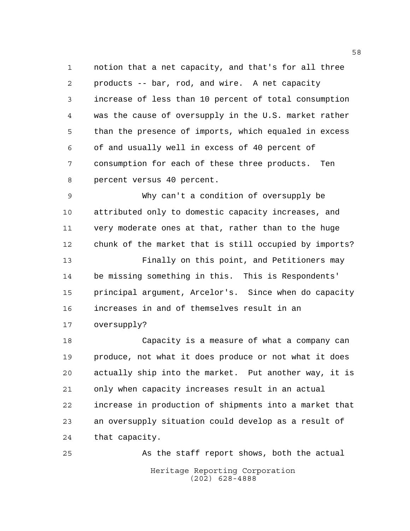notion that a net capacity, and that's for all three products -- bar, rod, and wire. A net capacity increase of less than 10 percent of total consumption was the cause of oversupply in the U.S. market rather than the presence of imports, which equaled in excess of and usually well in excess of 40 percent of consumption for each of these three products. Ten percent versus 40 percent.

 Why can't a condition of oversupply be attributed only to domestic capacity increases, and very moderate ones at that, rather than to the huge chunk of the market that is still occupied by imports?

 Finally on this point, and Petitioners may be missing something in this. This is Respondents' principal argument, Arcelor's. Since when do capacity increases in and of themselves result in an oversupply?

 Capacity is a measure of what a company can produce, not what it does produce or not what it does actually ship into the market. Put another way, it is only when capacity increases result in an actual increase in production of shipments into a market that an oversupply situation could develop as a result of that capacity.

Heritage Reporting Corporation (202) 628-4888 As the staff report shows, both the actual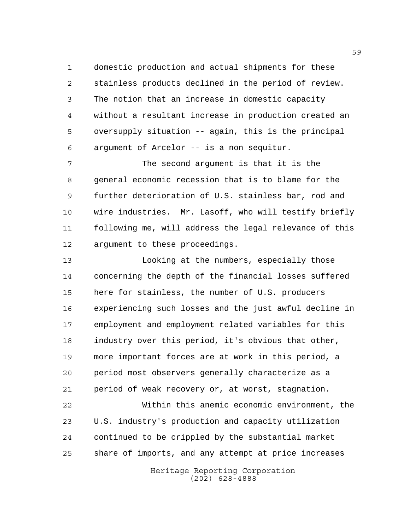domestic production and actual shipments for these stainless products declined in the period of review. The notion that an increase in domestic capacity without a resultant increase in production created an oversupply situation -- again, this is the principal argument of Arcelor -- is a non sequitur.

 The second argument is that it is the general economic recession that is to blame for the further deterioration of U.S. stainless bar, rod and wire industries. Mr. Lasoff, who will testify briefly following me, will address the legal relevance of this argument to these proceedings.

 Looking at the numbers, especially those concerning the depth of the financial losses suffered here for stainless, the number of U.S. producers experiencing such losses and the just awful decline in employment and employment related variables for this industry over this period, it's obvious that other, more important forces are at work in this period, a period most observers generally characterize as a period of weak recovery or, at worst, stagnation.

 Within this anemic economic environment, the U.S. industry's production and capacity utilization continued to be crippled by the substantial market share of imports, and any attempt at price increases

> Heritage Reporting Corporation (202) 628-4888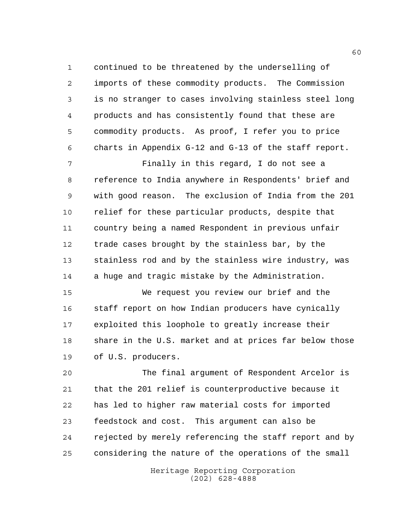continued to be threatened by the underselling of imports of these commodity products. The Commission is no stranger to cases involving stainless steel long products and has consistently found that these are commodity products. As proof, I refer you to price charts in Appendix G-12 and G-13 of the staff report.

 Finally in this regard, I do not see a reference to India anywhere in Respondents' brief and with good reason. The exclusion of India from the 201 relief for these particular products, despite that country being a named Respondent in previous unfair trade cases brought by the stainless bar, by the stainless rod and by the stainless wire industry, was a huge and tragic mistake by the Administration.

 We request you review our brief and the staff report on how Indian producers have cynically exploited this loophole to greatly increase their share in the U.S. market and at prices far below those of U.S. producers.

 The final argument of Respondent Arcelor is that the 201 relief is counterproductive because it has led to higher raw material costs for imported feedstock and cost. This argument can also be rejected by merely referencing the staff report and by considering the nature of the operations of the small

> Heritage Reporting Corporation (202) 628-4888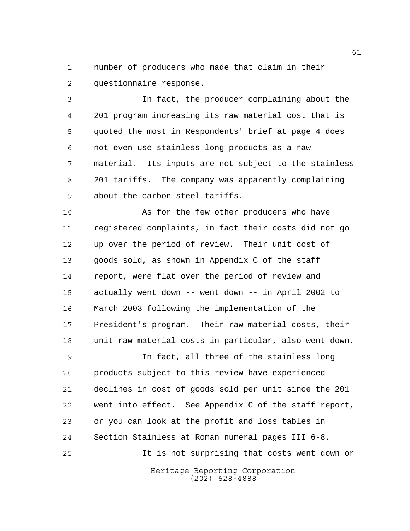number of producers who made that claim in their questionnaire response.

 In fact, the producer complaining about the 201 program increasing its raw material cost that is quoted the most in Respondents' brief at page 4 does not even use stainless long products as a raw material. Its inputs are not subject to the stainless 201 tariffs. The company was apparently complaining about the carbon steel tariffs.

 As for the few other producers who have registered complaints, in fact their costs did not go up over the period of review. Their unit cost of goods sold, as shown in Appendix C of the staff report, were flat over the period of review and actually went down -- went down -- in April 2002 to March 2003 following the implementation of the President's program. Their raw material costs, their unit raw material costs in particular, also went down.

 In fact, all three of the stainless long products subject to this review have experienced declines in cost of goods sold per unit since the 201 went into effect. See Appendix C of the staff report, or you can look at the profit and loss tables in Section Stainless at Roman numeral pages III 6-8. It is not surprising that costs went down or

> Heritage Reporting Corporation (202) 628-4888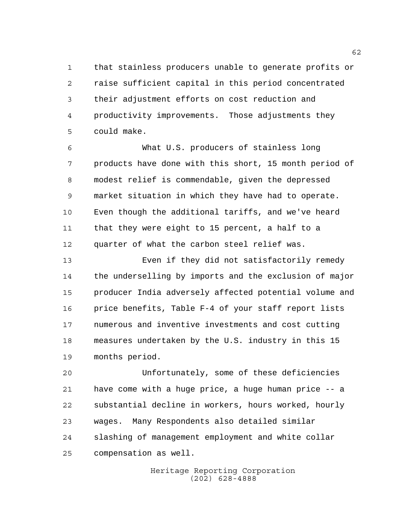that stainless producers unable to generate profits or raise sufficient capital in this period concentrated their adjustment efforts on cost reduction and productivity improvements. Those adjustments they could make.

 What U.S. producers of stainless long products have done with this short, 15 month period of modest relief is commendable, given the depressed market situation in which they have had to operate. Even though the additional tariffs, and we've heard that they were eight to 15 percent, a half to a quarter of what the carbon steel relief was.

 Even if they did not satisfactorily remedy the underselling by imports and the exclusion of major producer India adversely affected potential volume and price benefits, Table F-4 of your staff report lists numerous and inventive investments and cost cutting measures undertaken by the U.S. industry in this 15 months period.

 Unfortunately, some of these deficiencies have come with a huge price, a huge human price -- a substantial decline in workers, hours worked, hourly wages. Many Respondents also detailed similar slashing of management employment and white collar compensation as well.

> Heritage Reporting Corporation (202) 628-4888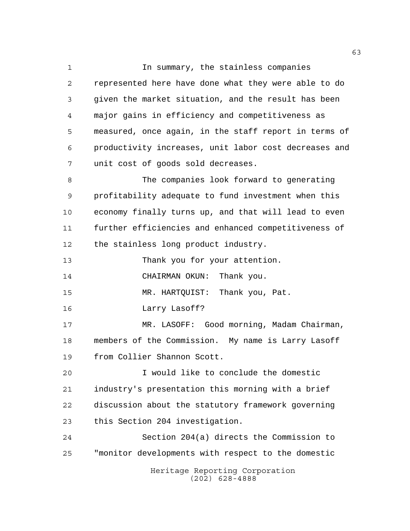Heritage Reporting Corporation (202) 628-4888 1 In summary, the stainless companies represented here have done what they were able to do given the market situation, and the result has been major gains in efficiency and competitiveness as measured, once again, in the staff report in terms of productivity increases, unit labor cost decreases and unit cost of goods sold decreases. The companies look forward to generating profitability adequate to fund investment when this economy finally turns up, and that will lead to even further efficiencies and enhanced competitiveness of the stainless long product industry. Thank you for your attention. CHAIRMAN OKUN: Thank you. MR. HARTQUIST: Thank you, Pat. Larry Lasoff? MR. LASOFF: Good morning, Madam Chairman, members of the Commission. My name is Larry Lasoff from Collier Shannon Scott. I would like to conclude the domestic industry's presentation this morning with a brief discussion about the statutory framework governing this Section 204 investigation. Section 204(a) directs the Commission to "monitor developments with respect to the domestic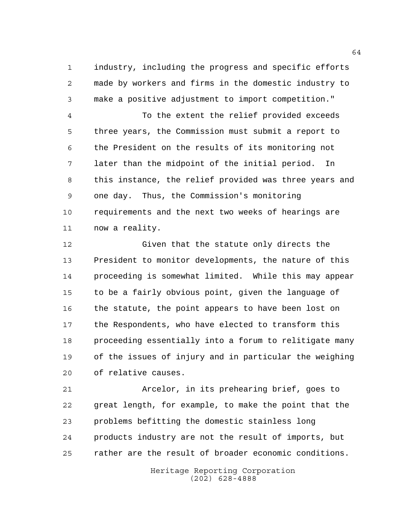industry, including the progress and specific efforts made by workers and firms in the domestic industry to make a positive adjustment to import competition."

 To the extent the relief provided exceeds three years, the Commission must submit a report to the President on the results of its monitoring not later than the midpoint of the initial period. In this instance, the relief provided was three years and one day. Thus, the Commission's monitoring requirements and the next two weeks of hearings are now a reality.

 Given that the statute only directs the President to monitor developments, the nature of this proceeding is somewhat limited. While this may appear to be a fairly obvious point, given the language of the statute, the point appears to have been lost on the Respondents, who have elected to transform this proceeding essentially into a forum to relitigate many of the issues of injury and in particular the weighing of relative causes.

 Arcelor, in its prehearing brief, goes to great length, for example, to make the point that the problems befitting the domestic stainless long products industry are not the result of imports, but rather are the result of broader economic conditions.

> Heritage Reporting Corporation (202) 628-4888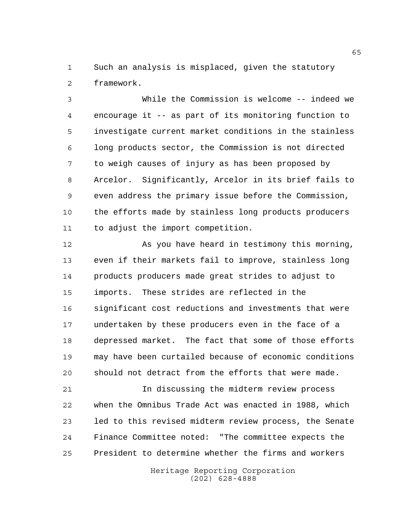Such an analysis is misplaced, given the statutory framework.

 While the Commission is welcome -- indeed we encourage it -- as part of its monitoring function to investigate current market conditions in the stainless long products sector, the Commission is not directed to weigh causes of injury as has been proposed by Arcelor. Significantly, Arcelor in its brief fails to even address the primary issue before the Commission, the efforts made by stainless long products producers to adjust the import competition.

 As you have heard in testimony this morning, even if their markets fail to improve, stainless long products producers made great strides to adjust to imports. These strides are reflected in the significant cost reductions and investments that were undertaken by these producers even in the face of a depressed market. The fact that some of those efforts may have been curtailed because of economic conditions should not detract from the efforts that were made.

 In discussing the midterm review process when the Omnibus Trade Act was enacted in 1988, which led to this revised midterm review process, the Senate Finance Committee noted: "The committee expects the President to determine whether the firms and workers

> Heritage Reporting Corporation (202) 628-4888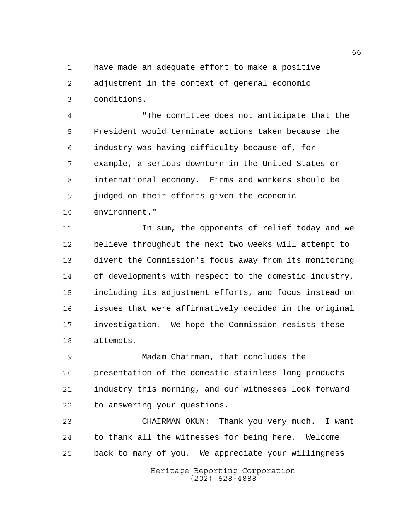have made an adequate effort to make a positive adjustment in the context of general economic conditions.

 "The committee does not anticipate that the President would terminate actions taken because the industry was having difficulty because of, for example, a serious downturn in the United States or international economy. Firms and workers should be judged on their efforts given the economic environment."

11 11 In sum, the opponents of relief today and we believe throughout the next two weeks will attempt to

 divert the Commission's focus away from its monitoring of developments with respect to the domestic industry, including its adjustment efforts, and focus instead on issues that were affirmatively decided in the original investigation. We hope the Commission resists these attempts.

 Madam Chairman, that concludes the presentation of the domestic stainless long products industry this morning, and our witnesses look forward to answering your questions.

 CHAIRMAN OKUN: Thank you very much. I want to thank all the witnesses for being here. Welcome back to many of you. We appreciate your willingness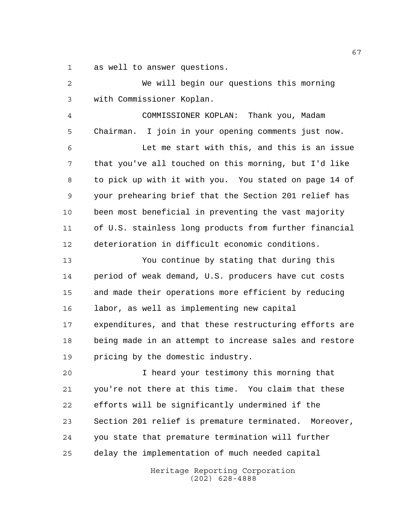as well to answer questions.

 We will begin our questions this morning with Commissioner Koplan. COMMISSIONER KOPLAN: Thank you, Madam Chairman. I join in your opening comments just now. Let me start with this, and this is an issue that you've all touched on this morning, but I'd like to pick up with it with you. You stated on page 14 of your prehearing brief that the Section 201 relief has been most beneficial in preventing the vast majority of U.S. stainless long products from further financial deterioration in difficult economic conditions. You continue by stating that during this period of weak demand, U.S. producers have cut costs and made their operations more efficient by reducing labor, as well as implementing new capital expenditures, and that these restructuring efforts are being made in an attempt to increase sales and restore pricing by the domestic industry. I heard your testimony this morning that you're not there at this time. You claim that these efforts will be significantly undermined if the Section 201 relief is premature terminated. Moreover, you state that premature termination will further delay the implementation of much needed capital

> Heritage Reporting Corporation (202) 628-4888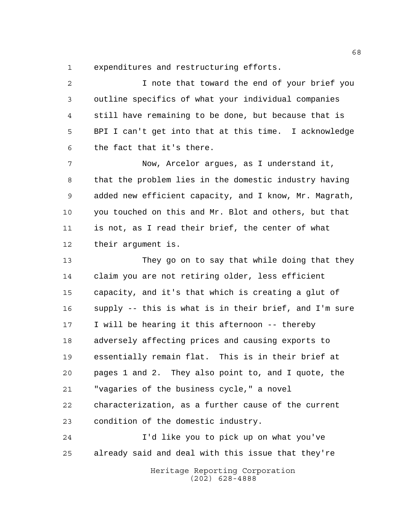expenditures and restructuring efforts.

 I note that toward the end of your brief you outline specifics of what your individual companies still have remaining to be done, but because that is BPI I can't get into that at this time. I acknowledge the fact that it's there. Now, Arcelor argues, as I understand it, that the problem lies in the domestic industry having added new efficient capacity, and I know, Mr. Magrath, you touched on this and Mr. Blot and others, but that is not, as I read their brief, the center of what their argument is. They go on to say that while doing that they claim you are not retiring older, less efficient capacity, and it's that which is creating a glut of supply -- this is what is in their brief, and I'm sure I will be hearing it this afternoon -- thereby adversely affecting prices and causing exports to essentially remain flat. This is in their brief at pages 1 and 2. They also point to, and I quote, the "vagaries of the business cycle," a novel characterization, as a further cause of the current condition of the domestic industry. I'd like you to pick up on what you've already said and deal with this issue that they're

> Heritage Reporting Corporation (202) 628-4888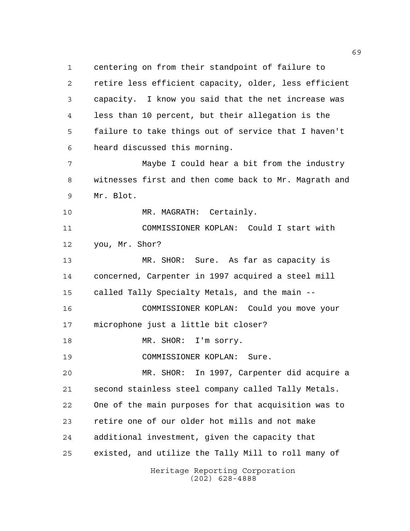Heritage Reporting Corporation centering on from their standpoint of failure to retire less efficient capacity, older, less efficient capacity. I know you said that the net increase was less than 10 percent, but their allegation is the failure to take things out of service that I haven't heard discussed this morning. Maybe I could hear a bit from the industry witnesses first and then come back to Mr. Magrath and Mr. Blot. 10 MR. MAGRATH: Certainly. COMMISSIONER KOPLAN: Could I start with you, Mr. Shor? MR. SHOR: Sure. As far as capacity is concerned, Carpenter in 1997 acquired a steel mill called Tally Specialty Metals, and the main -- COMMISSIONER KOPLAN: Could you move your microphone just a little bit closer? 18 MR. SHOR: I'm sorry. COMMISSIONER KOPLAN: Sure. MR. SHOR: In 1997, Carpenter did acquire a second stainless steel company called Tally Metals. One of the main purposes for that acquisition was to retire one of our older hot mills and not make additional investment, given the capacity that existed, and utilize the Tally Mill to roll many of

(202) 628-4888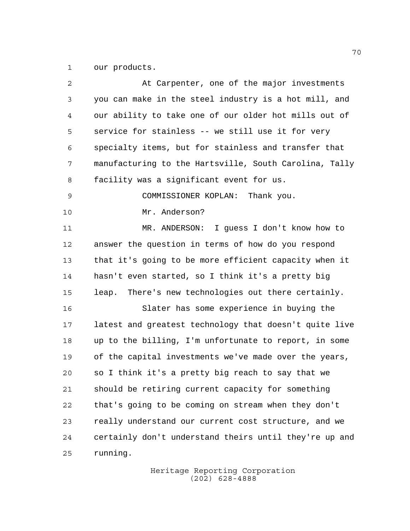our products.

| $\overline{a}$ | At Carpenter, one of the major investments             |
|----------------|--------------------------------------------------------|
| 3              | you can make in the steel industry is a hot mill, and  |
| 4              | our ability to take one of our older hot mills out of  |
| 5              | service for stainless -- we still use it for very      |
| 6              | specialty items, but for stainless and transfer that   |
| 7              | manufacturing to the Hartsville, South Carolina, Tally |
| 8              | facility was a significant event for us.               |
| 9              | COMMISSIONER KOPLAN: Thank you.                        |
| 10             | Mr. Anderson?                                          |
| 11             | MR. ANDERSON: I guess I don't know how to              |
| 12             | answer the question in terms of how do you respond     |
| 13             | that it's going to be more efficient capacity when it  |
| 14             | hasn't even started, so I think it's a pretty big      |
| 15             | There's new technologies out there certainly.<br>leap. |
| 16             | Slater has some experience in buying the               |
| 17             | latest and greatest technology that doesn't quite live |
| 18             | up to the billing, I'm unfortunate to report, in some  |
| 19             | of the capital investments we've made over the years,  |
| 20             | so I think it's a pretty big reach to say that we      |
| 21             | should be retiring current capacity for something      |
| 22             | that's going to be coming on stream when they don't    |
| 23             | really understand our current cost structure, and we   |
| 24             | certainly don't understand theirs until they're up and |
| 25             | running.                                               |
|                |                                                        |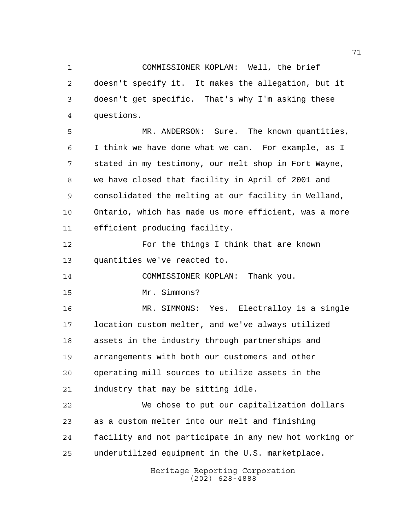COMMISSIONER KOPLAN: Well, the brief doesn't specify it. It makes the allegation, but it doesn't get specific. That's why I'm asking these questions.

 MR. ANDERSON: Sure. The known quantities, I think we have done what we can. For example, as I stated in my testimony, our melt shop in Fort Wayne, we have closed that facility in April of 2001 and consolidated the melting at our facility in Welland, Ontario, which has made us more efficient, was a more efficient producing facility.

 For the things I think that are known quantities we've reacted to.

COMMISSIONER KOPLAN: Thank you.

Mr. Simmons?

 MR. SIMMONS: Yes. Electralloy is a single location custom melter, and we've always utilized assets in the industry through partnerships and arrangements with both our customers and other operating mill sources to utilize assets in the industry that may be sitting idle.

 We chose to put our capitalization dollars as a custom melter into our melt and finishing facility and not participate in any new hot working or underutilized equipment in the U.S. marketplace.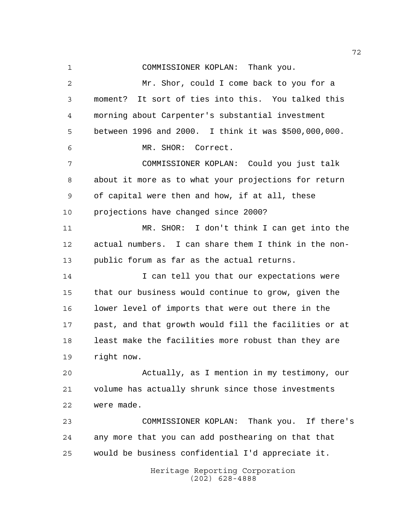Heritage Reporting Corporation COMMISSIONER KOPLAN: Thank you. Mr. Shor, could I come back to you for a moment? It sort of ties into this. You talked this morning about Carpenter's substantial investment between 1996 and 2000. I think it was \$500,000,000. MR. SHOR: Correct. COMMISSIONER KOPLAN: Could you just talk about it more as to what your projections for return of capital were then and how, if at all, these projections have changed since 2000? MR. SHOR: I don't think I can get into the actual numbers. I can share them I think in the non- public forum as far as the actual returns. 14 I can tell you that our expectations were that our business would continue to grow, given the lower level of imports that were out there in the past, and that growth would fill the facilities or at least make the facilities more robust than they are right now. Actually, as I mention in my testimony, our volume has actually shrunk since those investments were made. COMMISSIONER KOPLAN: Thank you. If there's any more that you can add posthearing on that that would be business confidential I'd appreciate it.

(202) 628-4888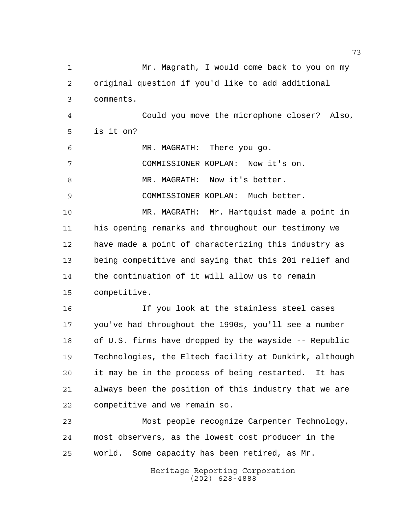Heritage Reporting Corporation (202) 628-4888 1 Mr. Magrath, I would come back to you on my original question if you'd like to add additional comments. Could you move the microphone closer? Also, is it on? MR. MAGRATH: There you go. COMMISSIONER KOPLAN: Now it's on. 8 MR. MAGRATH: Now it's better. COMMISSIONER KOPLAN: Much better. MR. MAGRATH: Mr. Hartquist made a point in his opening remarks and throughout our testimony we have made a point of characterizing this industry as being competitive and saying that this 201 relief and the continuation of it will allow us to remain competitive. If you look at the stainless steel cases you've had throughout the 1990s, you'll see a number of U.S. firms have dropped by the wayside -- Republic Technologies, the Eltech facility at Dunkirk, although it may be in the process of being restarted. It has always been the position of this industry that we are competitive and we remain so. Most people recognize Carpenter Technology, most observers, as the lowest cost producer in the world. Some capacity has been retired, as Mr.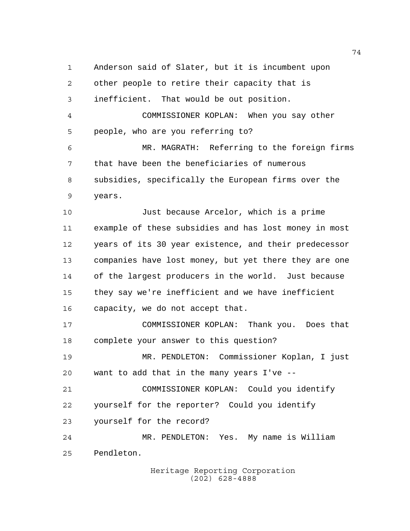Anderson said of Slater, but it is incumbent upon other people to retire their capacity that is inefficient. That would be out position. COMMISSIONER KOPLAN: When you say other people, who are you referring to? MR. MAGRATH: Referring to the foreign firms that have been the beneficiaries of numerous subsidies, specifically the European firms over the years. Just because Arcelor, which is a prime example of these subsidies and has lost money in most years of its 30 year existence, and their predecessor companies have lost money, but yet there they are one of the largest producers in the world. Just because

 they say we're inefficient and we have inefficient capacity, we do not accept that.

 COMMISSIONER KOPLAN: Thank you. Does that complete your answer to this question?

 MR. PENDLETON: Commissioner Koplan, I just want to add that in the many years I've --

 COMMISSIONER KOPLAN: Could you identify yourself for the reporter? Could you identify yourself for the record?

 MR. PENDLETON: Yes. My name is William Pendleton.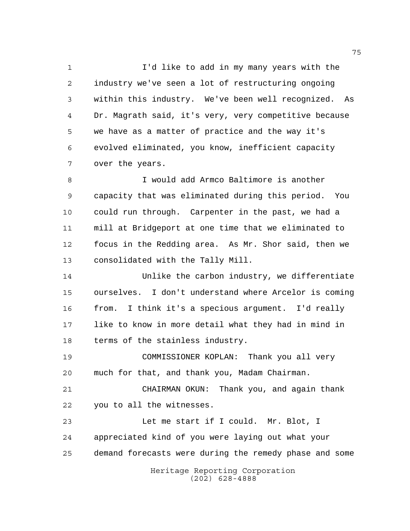I'd like to add in my many years with the industry we've seen a lot of restructuring ongoing within this industry. We've been well recognized. As Dr. Magrath said, it's very, very competitive because we have as a matter of practice and the way it's evolved eliminated, you know, inefficient capacity over the years.

 I would add Armco Baltimore is another capacity that was eliminated during this period. You could run through. Carpenter in the past, we had a mill at Bridgeport at one time that we eliminated to focus in the Redding area. As Mr. Shor said, then we consolidated with the Tally Mill.

 Unlike the carbon industry, we differentiate ourselves. I don't understand where Arcelor is coming from. I think it's a specious argument. I'd really like to know in more detail what they had in mind in terms of the stainless industry.

 COMMISSIONER KOPLAN: Thank you all very much for that, and thank you, Madam Chairman.

 CHAIRMAN OKUN: Thank you, and again thank you to all the witnesses.

Heritage Reporting Corporation Let me start if I could. Mr. Blot, I appreciated kind of you were laying out what your demand forecasts were during the remedy phase and some

(202) 628-4888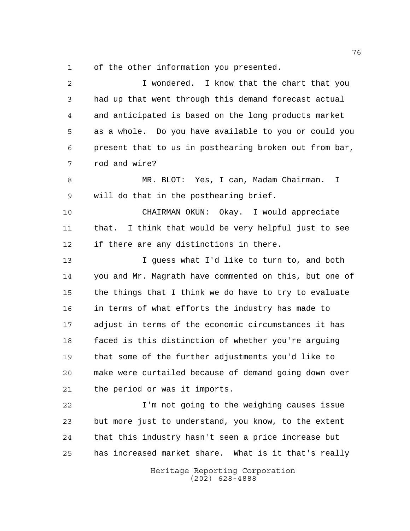of the other information you presented.

Heritage Reporting Corporation (202) 628-4888 I wondered. I know that the chart that you had up that went through this demand forecast actual and anticipated is based on the long products market as a whole. Do you have available to you or could you present that to us in posthearing broken out from bar, rod and wire? MR. BLOT: Yes, I can, Madam Chairman. I will do that in the posthearing brief. CHAIRMAN OKUN: Okay. I would appreciate that. I think that would be very helpful just to see if there are any distinctions in there. I guess what I'd like to turn to, and both you and Mr. Magrath have commented on this, but one of the things that I think we do have to try to evaluate in terms of what efforts the industry has made to adjust in terms of the economic circumstances it has faced is this distinction of whether you're arguing that some of the further adjustments you'd like to make were curtailed because of demand going down over the period or was it imports. I'm not going to the weighing causes issue but more just to understand, you know, to the extent that this industry hasn't seen a price increase but has increased market share. What is it that's really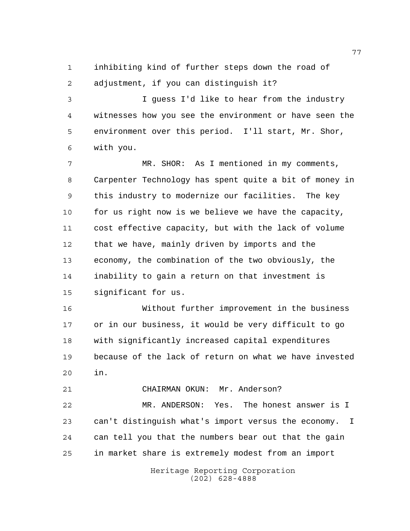inhibiting kind of further steps down the road of adjustment, if you can distinguish it?

 I guess I'd like to hear from the industry witnesses how you see the environment or have seen the environment over this period. I'll start, Mr. Shor, with you.

 MR. SHOR: As I mentioned in my comments, Carpenter Technology has spent quite a bit of money in this industry to modernize our facilities. The key for us right now is we believe we have the capacity, cost effective capacity, but with the lack of volume that we have, mainly driven by imports and the economy, the combination of the two obviously, the inability to gain a return on that investment is significant for us.

 Without further improvement in the business or in our business, it would be very difficult to go with significantly increased capital expenditures because of the lack of return on what we have invested in.

CHAIRMAN OKUN: Mr. Anderson?

 MR. ANDERSON: Yes. The honest answer is I can't distinguish what's import versus the economy. I can tell you that the numbers bear out that the gain in market share is extremely modest from an import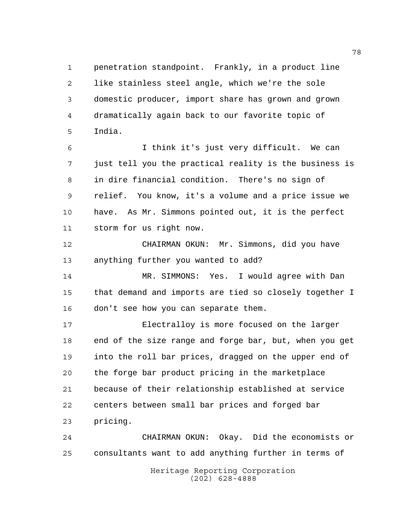penetration standpoint. Frankly, in a product line like stainless steel angle, which we're the sole domestic producer, import share has grown and grown dramatically again back to our favorite topic of India.

 I think it's just very difficult. We can just tell you the practical reality is the business is in dire financial condition. There's no sign of relief. You know, it's a volume and a price issue we have. As Mr. Simmons pointed out, it is the perfect storm for us right now.

 CHAIRMAN OKUN: Mr. Simmons, did you have anything further you wanted to add?

 MR. SIMMONS: Yes. I would agree with Dan that demand and imports are tied so closely together I don't see how you can separate them.

 Electralloy is more focused on the larger end of the size range and forge bar, but, when you get into the roll bar prices, dragged on the upper end of the forge bar product pricing in the marketplace because of their relationship established at service centers between small bar prices and forged bar pricing.

 CHAIRMAN OKUN: Okay. Did the economists or consultants want to add anything further in terms of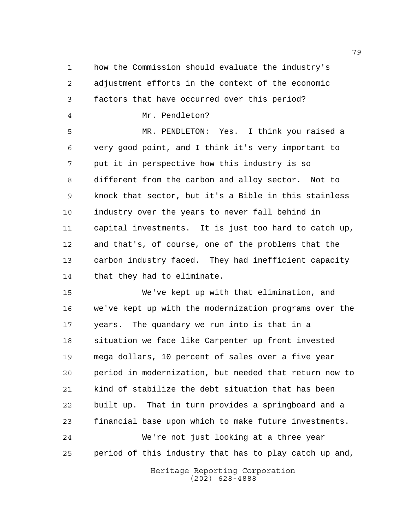how the Commission should evaluate the industry's adjustment efforts in the context of the economic factors that have occurred over this period?

Mr. Pendleton?

 MR. PENDLETON: Yes. I think you raised a very good point, and I think it's very important to put it in perspective how this industry is so different from the carbon and alloy sector. Not to knock that sector, but it's a Bible in this stainless industry over the years to never fall behind in capital investments. It is just too hard to catch up, and that's, of course, one of the problems that the carbon industry faced. They had inefficient capacity that they had to eliminate.

 We've kept up with that elimination, and we've kept up with the modernization programs over the years. The quandary we run into is that in a situation we face like Carpenter up front invested mega dollars, 10 percent of sales over a five year period in modernization, but needed that return now to kind of stabilize the debt situation that has been built up. That in turn provides a springboard and a financial base upon which to make future investments. We're not just looking at a three year period of this industry that has to play catch up and,

> Heritage Reporting Corporation (202) 628-4888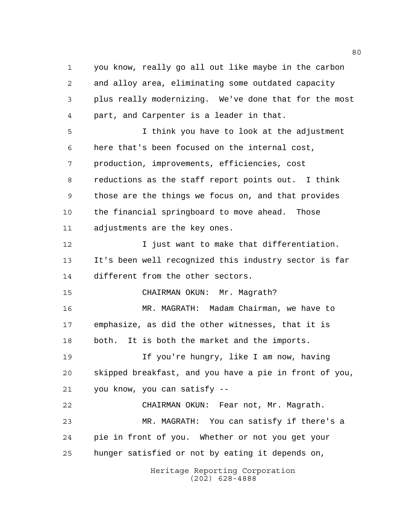you know, really go all out like maybe in the carbon and alloy area, eliminating some outdated capacity plus really modernizing. We've done that for the most part, and Carpenter is a leader in that. I think you have to look at the adjustment here that's been focused on the internal cost, production, improvements, efficiencies, cost reductions as the staff report points out. I think those are the things we focus on, and that provides

 the financial springboard to move ahead. Those adjustments are the key ones.

 I just want to make that differentiation. It's been well recognized this industry sector is far different from the other sectors.

CHAIRMAN OKUN: Mr. Magrath?

 MR. MAGRATH: Madam Chairman, we have to emphasize, as did the other witnesses, that it is both. It is both the market and the imports.

19 19 If you're hungry, like I am now, having skipped breakfast, and you have a pie in front of you, you know, you can satisfy --

 CHAIRMAN OKUN: Fear not, Mr. Magrath. MR. MAGRATH: You can satisfy if there's a pie in front of you. Whether or not you get your hunger satisfied or not by eating it depends on,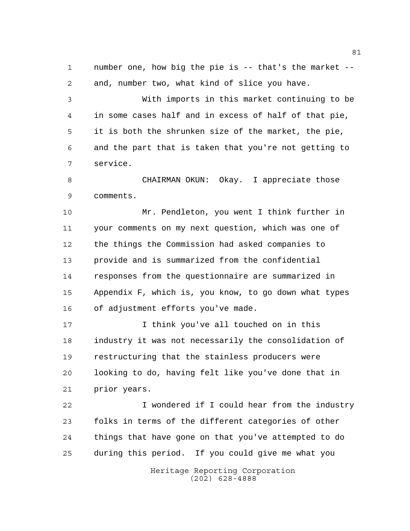number one, how big the pie is -- that's the market -- and, number two, what kind of slice you have.

 With imports in this market continuing to be in some cases half and in excess of half of that pie, it is both the shrunken size of the market, the pie, and the part that is taken that you're not getting to service.

 CHAIRMAN OKUN: Okay. I appreciate those comments.

 Mr. Pendleton, you went I think further in your comments on my next question, which was one of the things the Commission had asked companies to provide and is summarized from the confidential responses from the questionnaire are summarized in Appendix F, which is, you know, to go down what types of adjustment efforts you've made.

 I think you've all touched on in this industry it was not necessarily the consolidation of restructuring that the stainless producers were looking to do, having felt like you've done that in prior years.

 I wondered if I could hear from the industry folks in terms of the different categories of other things that have gone on that you've attempted to do during this period. If you could give me what you

> Heritage Reporting Corporation (202) 628-4888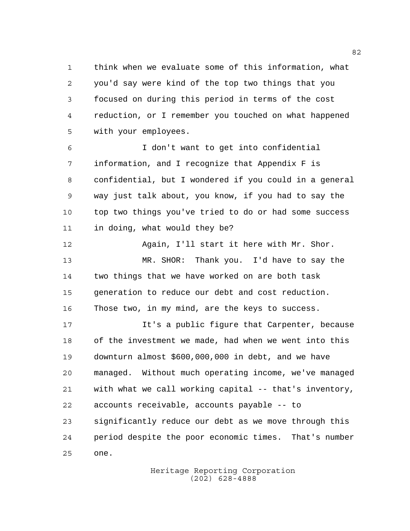think when we evaluate some of this information, what you'd say were kind of the top two things that you focused on during this period in terms of the cost reduction, or I remember you touched on what happened with your employees.

 I don't want to get into confidential information, and I recognize that Appendix F is confidential, but I wondered if you could in a general way just talk about, you know, if you had to say the top two things you've tried to do or had some success in doing, what would they be?

 Again, I'll start it here with Mr. Shor. MR. SHOR: Thank you. I'd have to say the two things that we have worked on are both task generation to reduce our debt and cost reduction. Those two, in my mind, are the keys to success.

 It's a public figure that Carpenter, because of the investment we made, had when we went into this downturn almost \$600,000,000 in debt, and we have managed. Without much operating income, we've managed with what we call working capital -- that's inventory, accounts receivable, accounts payable -- to significantly reduce our debt as we move through this period despite the poor economic times. That's number one.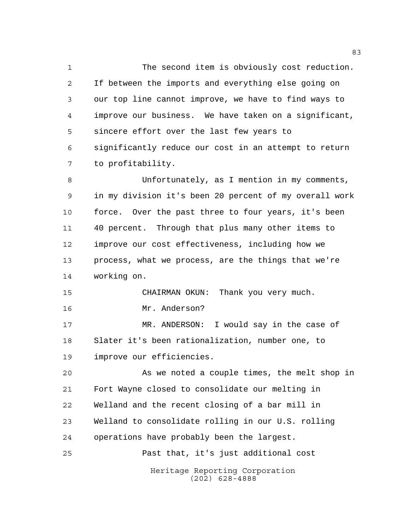The second item is obviously cost reduction. If between the imports and everything else going on our top line cannot improve, we have to find ways to improve our business. We have taken on a significant, sincere effort over the last few years to significantly reduce our cost in an attempt to return to profitability.

 Unfortunately, as I mention in my comments, in my division it's been 20 percent of my overall work force. Over the past three to four years, it's been 40 percent. Through that plus many other items to improve our cost effectiveness, including how we process, what we process, are the things that we're working on.

CHAIRMAN OKUN: Thank you very much.

Mr. Anderson?

 MR. ANDERSON: I would say in the case of Slater it's been rationalization, number one, to improve our efficiencies.

 As we noted a couple times, the melt shop in Fort Wayne closed to consolidate our melting in Welland and the recent closing of a bar mill in Welland to consolidate rolling in our U.S. rolling operations have probably been the largest.

Past that, it's just additional cost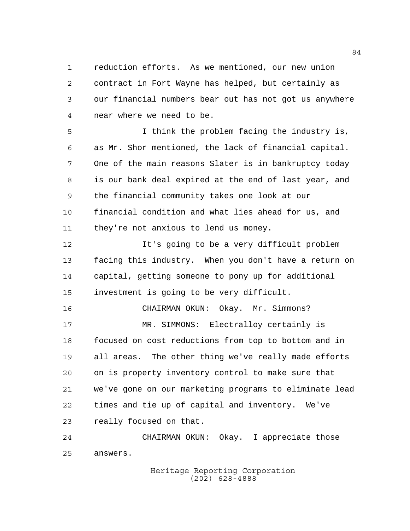reduction efforts. As we mentioned, our new union contract in Fort Wayne has helped, but certainly as our financial numbers bear out has not got us anywhere near where we need to be.

 I think the problem facing the industry is, as Mr. Shor mentioned, the lack of financial capital. One of the main reasons Slater is in bankruptcy today is our bank deal expired at the end of last year, and the financial community takes one look at our financial condition and what lies ahead for us, and they're not anxious to lend us money.

 It's going to be a very difficult problem facing this industry. When you don't have a return on capital, getting someone to pony up for additional investment is going to be very difficult.

 CHAIRMAN OKUN: Okay. Mr. Simmons? MR. SIMMONS: Electralloy certainly is focused on cost reductions from top to bottom and in all areas. The other thing we've really made efforts on is property inventory control to make sure that we've gone on our marketing programs to eliminate lead times and tie up of capital and inventory. We've really focused on that.

 CHAIRMAN OKUN: Okay. I appreciate those answers.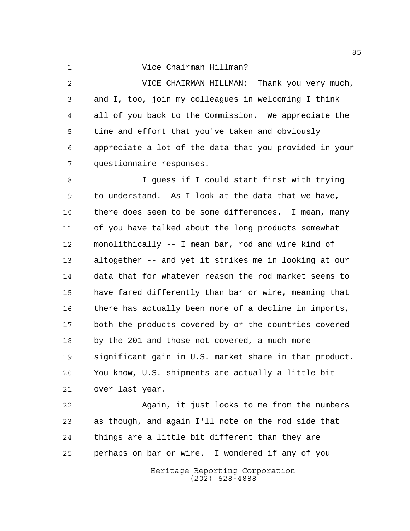## Vice Chairman Hillman?

 VICE CHAIRMAN HILLMAN: Thank you very much, and I, too, join my colleagues in welcoming I think all of you back to the Commission. We appreciate the time and effort that you've taken and obviously appreciate a lot of the data that you provided in your questionnaire responses.

 I guess if I could start first with trying to understand. As I look at the data that we have, there does seem to be some differences. I mean, many of you have talked about the long products somewhat monolithically -- I mean bar, rod and wire kind of altogether -- and yet it strikes me in looking at our data that for whatever reason the rod market seems to have fared differently than bar or wire, meaning that there has actually been more of a decline in imports, both the products covered by or the countries covered by the 201 and those not covered, a much more significant gain in U.S. market share in that product. You know, U.S. shipments are actually a little bit over last year.

 Again, it just looks to me from the numbers as though, and again I'll note on the rod side that things are a little bit different than they are perhaps on bar or wire. I wondered if any of you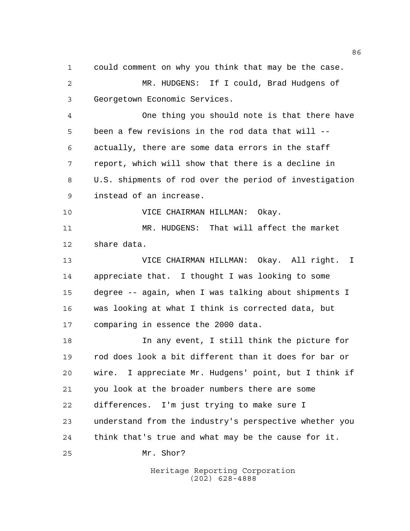could comment on why you think that may be the case. MR. HUDGENS: If I could, Brad Hudgens of Georgetown Economic Services.

 One thing you should note is that there have been a few revisions in the rod data that will -- actually, there are some data errors in the staff report, which will show that there is a decline in U.S. shipments of rod over the period of investigation instead of an increase.

VICE CHAIRMAN HILLMAN: Okay.

 MR. HUDGENS: That will affect the market share data.

 VICE CHAIRMAN HILLMAN: Okay. All right. I appreciate that. I thought I was looking to some degree -- again, when I was talking about shipments I was looking at what I think is corrected data, but comparing in essence the 2000 data.

 In any event, I still think the picture for rod does look a bit different than it does for bar or wire. I appreciate Mr. Hudgens' point, but I think if you look at the broader numbers there are some differences. I'm just trying to make sure I understand from the industry's perspective whether you think that's true and what may be the cause for it. Mr. Shor?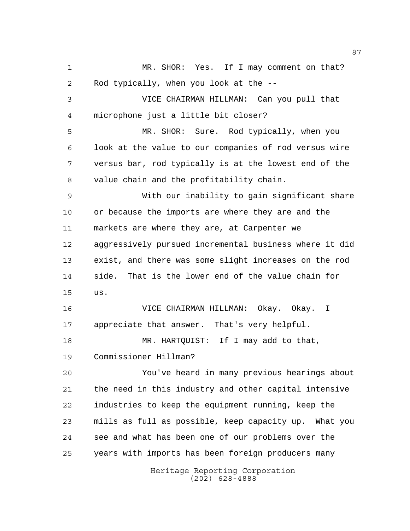Heritage Reporting Corporation MR. SHOR: Yes. If I may comment on that? Rod typically, when you look at the -- VICE CHAIRMAN HILLMAN: Can you pull that microphone just a little bit closer? MR. SHOR: Sure. Rod typically, when you look at the value to our companies of rod versus wire versus bar, rod typically is at the lowest end of the value chain and the profitability chain. With our inability to gain significant share or because the imports are where they are and the markets are where they are, at Carpenter we aggressively pursued incremental business where it did exist, and there was some slight increases on the rod side. That is the lower end of the value chain for us. VICE CHAIRMAN HILLMAN: Okay. Okay. I appreciate that answer. That's very helpful. MR. HARTQUIST: If I may add to that, Commissioner Hillman? You've heard in many previous hearings about the need in this industry and other capital intensive industries to keep the equipment running, keep the mills as full as possible, keep capacity up. What you see and what has been one of our problems over the years with imports has been foreign producers many

(202) 628-4888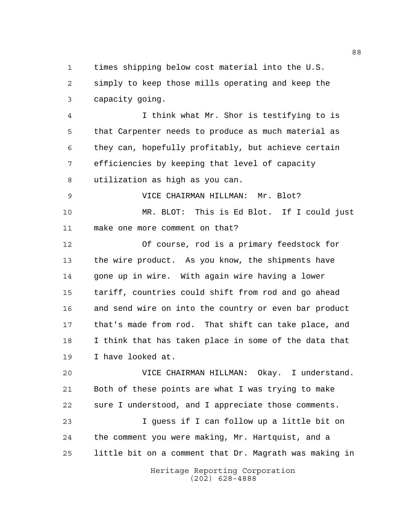times shipping below cost material into the U.S. simply to keep those mills operating and keep the capacity going.

 I think what Mr. Shor is testifying to is that Carpenter needs to produce as much material as they can, hopefully profitably, but achieve certain efficiencies by keeping that level of capacity utilization as high as you can.

 VICE CHAIRMAN HILLMAN: Mr. Blot? MR. BLOT: This is Ed Blot. If I could just make one more comment on that?

 Of course, rod is a primary feedstock for the wire product. As you know, the shipments have gone up in wire. With again wire having a lower tariff, countries could shift from rod and go ahead and send wire on into the country or even bar product that's made from rod. That shift can take place, and I think that has taken place in some of the data that I have looked at.

 VICE CHAIRMAN HILLMAN: Okay. I understand. Both of these points are what I was trying to make sure I understood, and I appreciate those comments.

 I guess if I can follow up a little bit on the comment you were making, Mr. Hartquist, and a little bit on a comment that Dr. Magrath was making in

> Heritage Reporting Corporation (202) 628-4888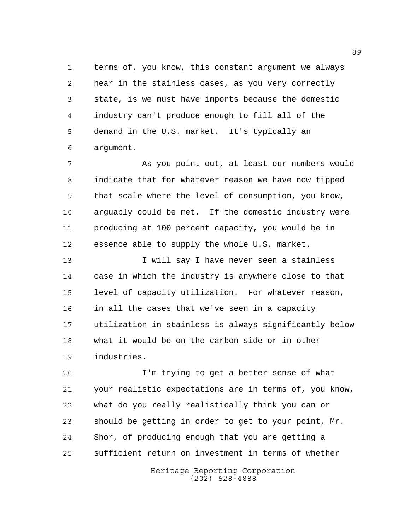terms of, you know, this constant argument we always hear in the stainless cases, as you very correctly state, is we must have imports because the domestic industry can't produce enough to fill all of the demand in the U.S. market. It's typically an argument.

 As you point out, at least our numbers would indicate that for whatever reason we have now tipped that scale where the level of consumption, you know, arguably could be met. If the domestic industry were producing at 100 percent capacity, you would be in essence able to supply the whole U.S. market.

 I will say I have never seen a stainless case in which the industry is anywhere close to that level of capacity utilization. For whatever reason, in all the cases that we've seen in a capacity utilization in stainless is always significantly below what it would be on the carbon side or in other industries.

 I'm trying to get a better sense of what your realistic expectations are in terms of, you know, what do you really realistically think you can or should be getting in order to get to your point, Mr. Shor, of producing enough that you are getting a sufficient return on investment in terms of whether

> Heritage Reporting Corporation (202) 628-4888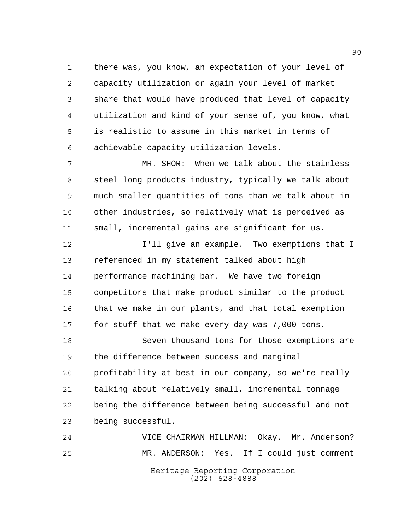there was, you know, an expectation of your level of capacity utilization or again your level of market share that would have produced that level of capacity utilization and kind of your sense of, you know, what is realistic to assume in this market in terms of achievable capacity utilization levels.

 MR. SHOR: When we talk about the stainless steel long products industry, typically we talk about much smaller quantities of tons than we talk about in other industries, so relatively what is perceived as small, incremental gains are significant for us.

 I'll give an example. Two exemptions that I referenced in my statement talked about high performance machining bar. We have two foreign competitors that make product similar to the product that we make in our plants, and that total exemption for stuff that we make every day was 7,000 tons.

 Seven thousand tons for those exemptions are the difference between success and marginal profitability at best in our company, so we're really talking about relatively small, incremental tonnage being the difference between being successful and not being successful.

Heritage Reporting Corporation (202) 628-4888 VICE CHAIRMAN HILLMAN: Okay. Mr. Anderson? MR. ANDERSON: Yes. If I could just comment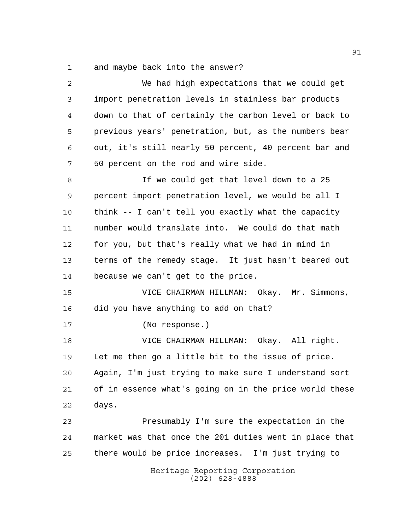and maybe back into the answer?

| $\mathbf{2}$ | We had high expectations that we could get             |
|--------------|--------------------------------------------------------|
| 3            | import penetration levels in stainless bar products    |
| 4            | down to that of certainly the carbon level or back to  |
| 5            | previous years' penetration, but, as the numbers bear  |
| 6            | out, it's still nearly 50 percent, 40 percent bar and  |
| 7            | 50 percent on the rod and wire side.                   |
| 8            | If we could get that level down to a 25                |
| 9            | percent import penetration level, we would be all I    |
| 10           | think -- I can't tell you exactly what the capacity    |
| 11           | number would translate into. We could do that math     |
| 12           | for you, but that's really what we had in mind in      |
| 13           | terms of the remedy stage. It just hasn't beared out   |
| 14           | because we can't get to the price.                     |
| 15           | VICE CHAIRMAN HILLMAN: Okay. Mr. Simmons,              |
| 16           | did you have anything to add on that?                  |
| 17           | (No response.)                                         |
| 18           | VICE CHAIRMAN HILLMAN: Okay. All right.                |
| 19           | Let me then go a little bit to the issue of price.     |
| 20           | Again, I'm just trying to make sure I understand sort  |
| 21           | of in essence what's going on in the price world these |
| 22           | days.                                                  |
| 23           | Presumably I'm sure the expectation in the             |
| 24           | market was that once the 201 duties went in place that |
| 25           | there would be price increases. I'm just trying to     |
|              | Heritage Reporting Corporation<br>$(202)$ 628-4888     |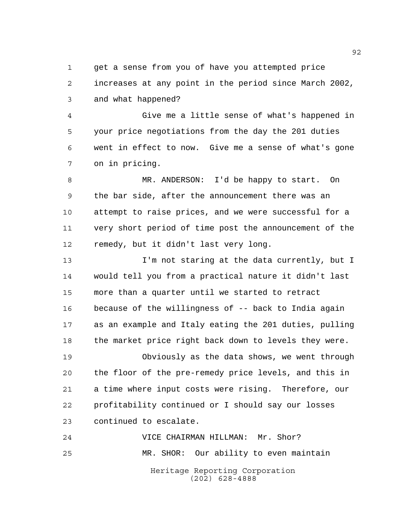get a sense from you of have you attempted price increases at any point in the period since March 2002, and what happened?

 Give me a little sense of what's happened in your price negotiations from the day the 201 duties went in effect to now. Give me a sense of what's gone on in pricing.

 MR. ANDERSON: I'd be happy to start. On the bar side, after the announcement there was an attempt to raise prices, and we were successful for a very short period of time post the announcement of the remedy, but it didn't last very long.

**I'm not staring at the data currently, but I**  would tell you from a practical nature it didn't last more than a quarter until we started to retract because of the willingness of -- back to India again as an example and Italy eating the 201 duties, pulling the market price right back down to levels they were.

 Obviously as the data shows, we went through the floor of the pre-remedy price levels, and this in a time where input costs were rising. Therefore, our profitability continued or I should say our losses continued to escalate.

Heritage Reporting Corporation (202) 628-4888 VICE CHAIRMAN HILLMAN: Mr. Shor? MR. SHOR: Our ability to even maintain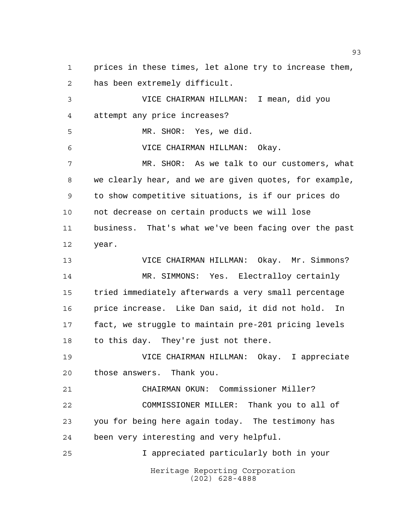Heritage Reporting Corporation (202) 628-4888 prices in these times, let alone try to increase them, has been extremely difficult. VICE CHAIRMAN HILLMAN: I mean, did you attempt any price increases? MR. SHOR: Yes, we did. VICE CHAIRMAN HILLMAN: Okay. MR. SHOR: As we talk to our customers, what we clearly hear, and we are given quotes, for example, to show competitive situations, is if our prices do not decrease on certain products we will lose business. That's what we've been facing over the past year. VICE CHAIRMAN HILLMAN: Okay. Mr. Simmons? MR. SIMMONS: Yes. Electralloy certainly tried immediately afterwards a very small percentage price increase. Like Dan said, it did not hold. In fact, we struggle to maintain pre-201 pricing levels to this day. They're just not there. VICE CHAIRMAN HILLMAN: Okay. I appreciate those answers. Thank you. CHAIRMAN OKUN: Commissioner Miller? COMMISSIONER MILLER: Thank you to all of you for being here again today. The testimony has been very interesting and very helpful. I appreciated particularly both in your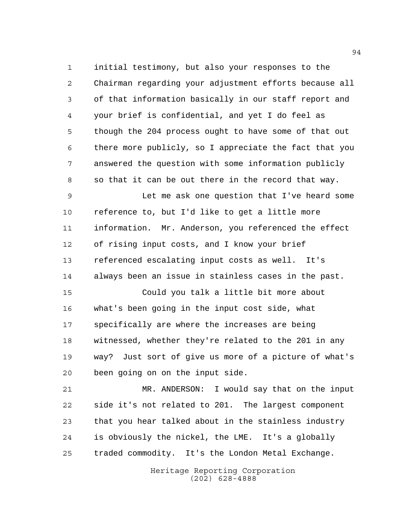initial testimony, but also your responses to the Chairman regarding your adjustment efforts because all of that information basically in our staff report and your brief is confidential, and yet I do feel as though the 204 process ought to have some of that out there more publicly, so I appreciate the fact that you answered the question with some information publicly so that it can be out there in the record that way.

 Let me ask one question that I've heard some reference to, but I'd like to get a little more information. Mr. Anderson, you referenced the effect of rising input costs, and I know your brief referenced escalating input costs as well. It's always been an issue in stainless cases in the past.

 Could you talk a little bit more about what's been going in the input cost side, what specifically are where the increases are being witnessed, whether they're related to the 201 in any way? Just sort of give us more of a picture of what's been going on on the input side.

 MR. ANDERSON: I would say that on the input side it's not related to 201. The largest component that you hear talked about in the stainless industry is obviously the nickel, the LME. It's a globally traded commodity. It's the London Metal Exchange.

> Heritage Reporting Corporation (202) 628-4888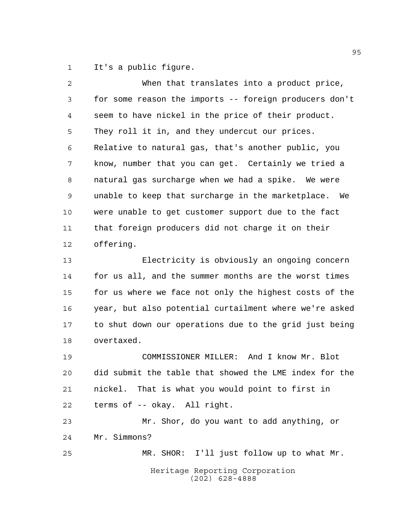It's a public figure.

| $\overline{a}$ | When that translates into a product price,             |
|----------------|--------------------------------------------------------|
| 3              | for some reason the imports -- foreign producers don't |
| 4              | seem to have nickel in the price of their product.     |
| 5              | They roll it in, and they undercut our prices.         |
| 6              | Relative to natural gas, that's another public, you    |
| 7              | know, number that you can get. Certainly we tried a    |
| 8              | natural gas surcharge when we had a spike. We were     |
| 9              | unable to keep that surcharge in the marketplace. We   |
| 10             | were unable to get customer support due to the fact    |
| 11             | that foreign producers did not charge it on their      |
| 12             | offering.                                              |
| 13             | Electricity is obviously an ongoing concern            |
| 14             | for us all, and the summer months are the worst times  |
| 15             | for us where we face not only the highest costs of the |
| 16             | year, but also potential curtailment where we're asked |
| 17             | to shut down our operations due to the grid just being |
| 18             | overtaxed.                                             |
| 19             | COMMISSIONER MILLER: And I know Mr. Blot               |
| 20             | did submit the table that showed the LME index for the |
| 21             | nickel. That is what you would point to first in       |
| 22             | terms of -- okay. All right.                           |

Heritage Reporting Corporation (202) 628-4888 Mr. Shor, do you want to add anything, or Mr. Simmons? MR. SHOR: I'll just follow up to what Mr.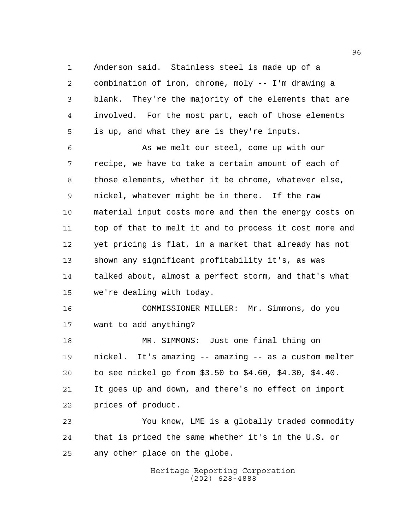Anderson said. Stainless steel is made up of a combination of iron, chrome, moly -- I'm drawing a blank. They're the majority of the elements that are involved. For the most part, each of those elements is up, and what they are is they're inputs.

 As we melt our steel, come up with our recipe, we have to take a certain amount of each of those elements, whether it be chrome, whatever else, nickel, whatever might be in there. If the raw material input costs more and then the energy costs on top of that to melt it and to process it cost more and yet pricing is flat, in a market that already has not shown any significant profitability it's, as was talked about, almost a perfect storm, and that's what we're dealing with today.

 COMMISSIONER MILLER: Mr. Simmons, do you want to add anything?

 MR. SIMMONS: Just one final thing on nickel. It's amazing -- amazing -- as a custom melter to see nickel go from \$3.50 to \$4.60, \$4.30, \$4.40. It goes up and down, and there's no effect on import prices of product.

 You know, LME is a globally traded commodity that is priced the same whether it's in the U.S. or any other place on the globe.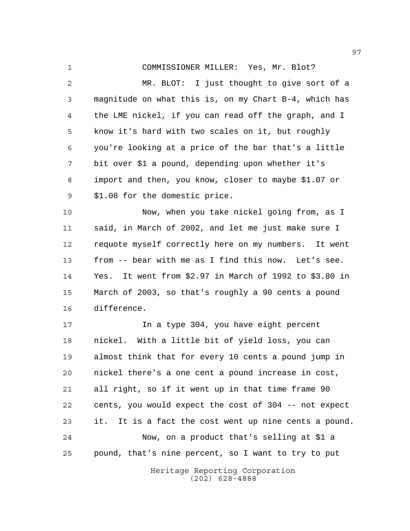COMMISSIONER MILLER: Yes, Mr. Blot?

 MR. BLOT: I just thought to give sort of a magnitude on what this is, on my Chart B-4, which has the LME nickel, if you can read off the graph, and I know it's hard with two scales on it, but roughly you're looking at a price of the bar that's a little bit over \$1 a pound, depending upon whether it's import and then, you know, closer to maybe \$1.07 or \$1.08 for the domestic price.

 Now, when you take nickel going from, as I said, in March of 2002, and let me just make sure I requote myself correctly here on my numbers. It went from -- bear with me as I find this now. Let's see. Yes. It went from \$2.97 in March of 1992 to \$3.80 in March of 2003, so that's roughly a 90 cents a pound difference.

 In a type 304, you have eight percent nickel. With a little bit of yield loss, you can almost think that for every 10 cents a pound jump in nickel there's a one cent a pound increase in cost, all right, so if it went up in that time frame 90 cents, you would expect the cost of 304 -- not expect it. It is a fact the cost went up nine cents a pound. Now, on a product that's selling at \$1 a pound, that's nine percent, so I want to try to put

> Heritage Reporting Corporation (202) 628-4888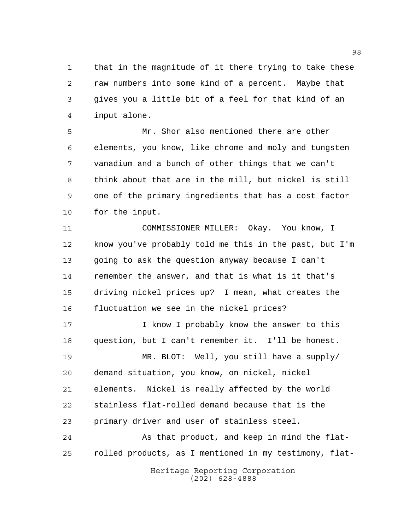that in the magnitude of it there trying to take these raw numbers into some kind of a percent. Maybe that gives you a little bit of a feel for that kind of an input alone.

 Mr. Shor also mentioned there are other elements, you know, like chrome and moly and tungsten vanadium and a bunch of other things that we can't think about that are in the mill, but nickel is still one of the primary ingredients that has a cost factor for the input.

 COMMISSIONER MILLER: Okay. You know, I know you've probably told me this in the past, but I'm going to ask the question anyway because I can't remember the answer, and that is what is it that's driving nickel prices up? I mean, what creates the fluctuation we see in the nickel prices?

17 17 I know I probably know the answer to this question, but I can't remember it. I'll be honest.

 MR. BLOT: Well, you still have a supply/ demand situation, you know, on nickel, nickel elements. Nickel is really affected by the world stainless flat-rolled demand because that is the primary driver and user of stainless steel.

 As that product, and keep in mind the flat-rolled products, as I mentioned in my testimony, flat-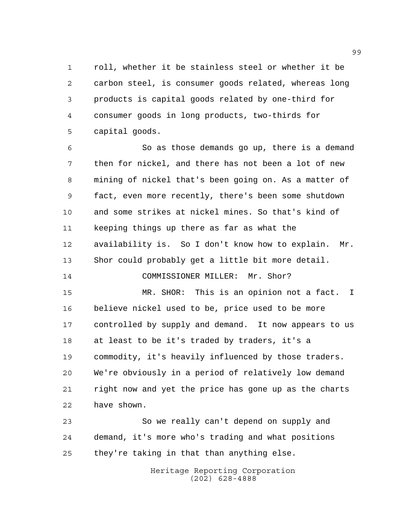roll, whether it be stainless steel or whether it be carbon steel, is consumer goods related, whereas long products is capital goods related by one-third for consumer goods in long products, two-thirds for capital goods.

 So as those demands go up, there is a demand then for nickel, and there has not been a lot of new mining of nickel that's been going on. As a matter of fact, even more recently, there's been some shutdown and some strikes at nickel mines. So that's kind of keeping things up there as far as what the availability is. So I don't know how to explain. Mr. Shor could probably get a little bit more detail.

14 COMMISSIONER MILLER: Mr. Shor?

 MR. SHOR: This is an opinion not a fact. I believe nickel used to be, price used to be more controlled by supply and demand. It now appears to us at least to be it's traded by traders, it's a commodity, it's heavily influenced by those traders. We're obviously in a period of relatively low demand right now and yet the price has gone up as the charts have shown.

 So we really can't depend on supply and demand, it's more who's trading and what positions they're taking in that than anything else.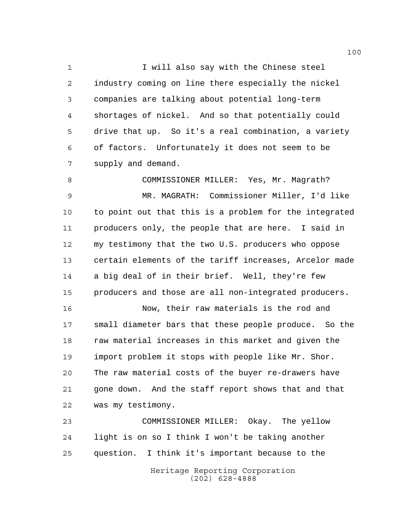1 1 I will also say with the Chinese steel industry coming on line there especially the nickel companies are talking about potential long-term shortages of nickel. And so that potentially could drive that up. So it's a real combination, a variety of factors. Unfortunately it does not seem to be supply and demand.

 COMMISSIONER MILLER: Yes, Mr. Magrath? MR. MAGRATH: Commissioner Miller, I'd like to point out that this is a problem for the integrated producers only, the people that are here. I said in my testimony that the two U.S. producers who oppose certain elements of the tariff increases, Arcelor made a big deal of in their brief. Well, they're few producers and those are all non-integrated producers.

 Now, their raw materials is the rod and small diameter bars that these people produce. So the 18 raw material increases in this market and given the import problem it stops with people like Mr. Shor. The raw material costs of the buyer re-drawers have gone down. And the staff report shows that and that was my testimony.

 COMMISSIONER MILLER: Okay. The yellow light is on so I think I won't be taking another question. I think it's important because to the

> Heritage Reporting Corporation (202) 628-4888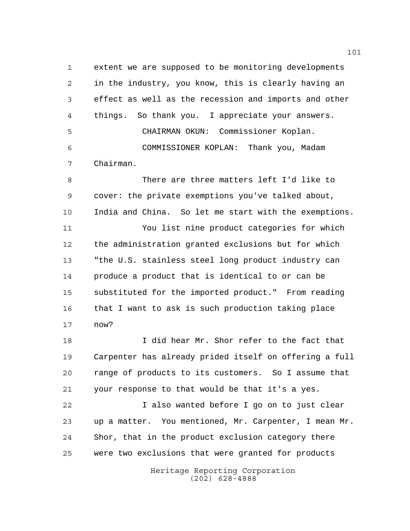extent we are supposed to be monitoring developments in the industry, you know, this is clearly having an effect as well as the recession and imports and other things. So thank you. I appreciate your answers. CHAIRMAN OKUN: Commissioner Koplan. COMMISSIONER KOPLAN: Thank you, Madam Chairman.

 There are three matters left I'd like to cover: the private exemptions you've talked about, India and China. So let me start with the exemptions.

 You list nine product categories for which the administration granted exclusions but for which "the U.S. stainless steel long product industry can produce a product that is identical to or can be substituted for the imported product." From reading that I want to ask is such production taking place now?

 I did hear Mr. Shor refer to the fact that Carpenter has already prided itself on offering a full range of products to its customers. So I assume that your response to that would be that it's a yes.

 I also wanted before I go on to just clear up a matter. You mentioned, Mr. Carpenter, I mean Mr. Shor, that in the product exclusion category there were two exclusions that were granted for products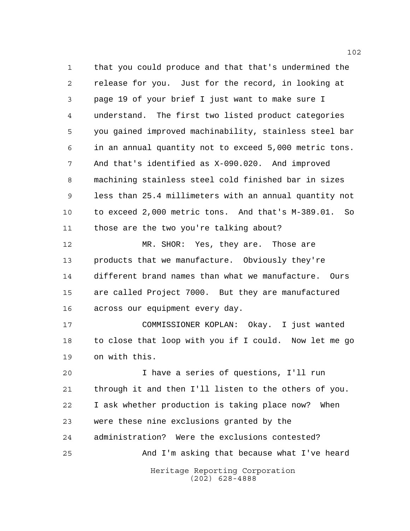that you could produce and that that's undermined the release for you. Just for the record, in looking at page 19 of your brief I just want to make sure I understand. The first two listed product categories you gained improved machinability, stainless steel bar in an annual quantity not to exceed 5,000 metric tons. And that's identified as X-090.020. And improved machining stainless steel cold finished bar in sizes less than 25.4 millimeters with an annual quantity not to exceed 2,000 metric tons. And that's M-389.01. So those are the two you're talking about?

 MR. SHOR: Yes, they are. Those are products that we manufacture. Obviously they're different brand names than what we manufacture. Ours are called Project 7000. But they are manufactured across our equipment every day.

 COMMISSIONER KOPLAN: Okay. I just wanted to close that loop with you if I could. Now let me go on with this.

Heritage Reporting Corporation I have a series of questions, I'll run through it and then I'll listen to the others of you. I ask whether production is taking place now? When were these nine exclusions granted by the administration? Were the exclusions contested? And I'm asking that because what I've heard

(202) 628-4888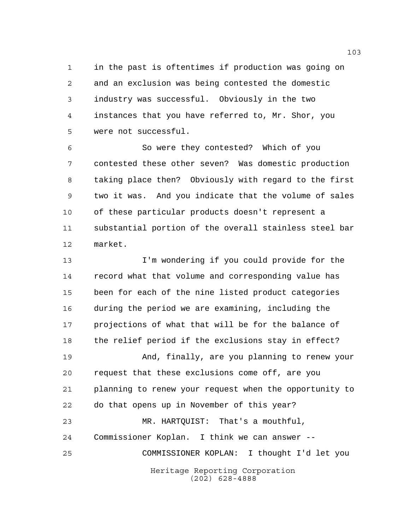in the past is oftentimes if production was going on and an exclusion was being contested the domestic industry was successful. Obviously in the two instances that you have referred to, Mr. Shor, you were not successful.

 So were they contested? Which of you contested these other seven? Was domestic production taking place then? Obviously with regard to the first two it was. And you indicate that the volume of sales of these particular products doesn't represent a substantial portion of the overall stainless steel bar market.

 I'm wondering if you could provide for the record what that volume and corresponding value has been for each of the nine listed product categories during the period we are examining, including the projections of what that will be for the balance of the relief period if the exclusions stay in effect? And, finally, are you planning to renew your request that these exclusions come off, are you planning to renew your request when the opportunity to do that opens up in November of this year?

Heritage Reporting Corporation (202) 628-4888 MR. HARTQUIST: That's a mouthful, Commissioner Koplan. I think we can answer -- COMMISSIONER KOPLAN: I thought I'd let you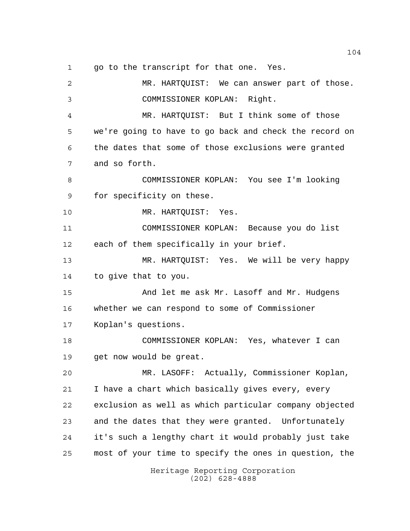go to the transcript for that one. Yes.

| $\overline{2}$ | MR. HARTQUIST: We can answer part of those.            |
|----------------|--------------------------------------------------------|
| 3              | COMMISSIONER KOPLAN: Right.                            |
| 4              | MR. HARTQUIST: But I think some of those               |
| 5              | we're going to have to go back and check the record on |
| 6              | the dates that some of those exclusions were granted   |
| 7              | and so forth.                                          |
| 8              | COMMISSIONER KOPLAN: You see I'm looking               |
| $\mathsf 9$    | for specificity on these.                              |
| 10             | MR. HARTQUIST: Yes.                                    |
| 11             | COMMISSIONER KOPLAN: Because you do list               |
| 12             | each of them specifically in your brief.               |
| 13             | MR. HARTQUIST: Yes. We will be very happy              |
| 14             | to give that to you.                                   |
| 15             | And let me ask Mr. Lasoff and Mr. Hudgens              |
| 16             | whether we can respond to some of Commissioner         |
| 17             | Koplan's questions.                                    |
| 18             | COMMISSIONER KOPLAN: Yes, whatever I can               |
| 19             | get now would be great.                                |
| 20             | MR. LASOFF: Actually, Commissioner Koplan,             |
| 21             | I have a chart which basically gives every, every      |
| 22             | exclusion as well as which particular company objected |
| 23             | and the dates that they were granted. Unfortunately    |
| 24             | it's such a lengthy chart it would probably just take  |
| 25             | most of your time to specify the ones in question, the |
|                | Heritage Reporting Corporation<br>$(202)$ 628-4888     |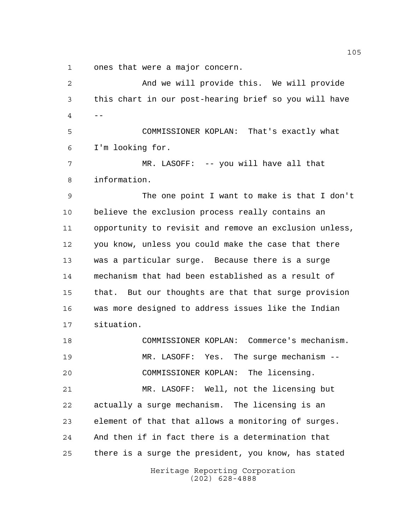ones that were a major concern.

Heritage Reporting Corporation (202) 628-4888 And we will provide this. We will provide this chart in our post-hearing brief so you will have -- COMMISSIONER KOPLAN: That's exactly what I'm looking for. MR. LASOFF: -- you will have all that information. The one point I want to make is that I don't believe the exclusion process really contains an opportunity to revisit and remove an exclusion unless, you know, unless you could make the case that there was a particular surge. Because there is a surge mechanism that had been established as a result of that. But our thoughts are that that surge provision was more designed to address issues like the Indian situation. COMMISSIONER KOPLAN: Commerce's mechanism. MR. LASOFF: Yes. The surge mechanism -- COMMISSIONER KOPLAN: The licensing. MR. LASOFF: Well, not the licensing but actually a surge mechanism. The licensing is an element of that that allows a monitoring of surges. And then if in fact there is a determination that there is a surge the president, you know, has stated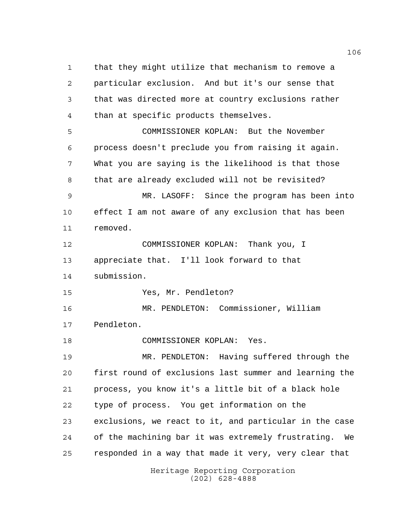that they might utilize that mechanism to remove a particular exclusion. And but it's our sense that that was directed more at country exclusions rather than at specific products themselves. COMMISSIONER KOPLAN: But the November process doesn't preclude you from raising it again. What you are saying is the likelihood is that those that are already excluded will not be revisited? MR. LASOFF: Since the program has been into effect I am not aware of any exclusion that has been removed. COMMISSIONER KOPLAN: Thank you, I appreciate that. I'll look forward to that submission. Yes, Mr. Pendleton? MR. PENDLETON: Commissioner, William Pendleton. COMMISSIONER KOPLAN: Yes. MR. PENDLETON: Having suffered through the first round of exclusions last summer and learning the process, you know it's a little bit of a black hole type of process. You get information on the exclusions, we react to it, and particular in the case of the machining bar it was extremely frustrating. We responded in a way that made it very, very clear that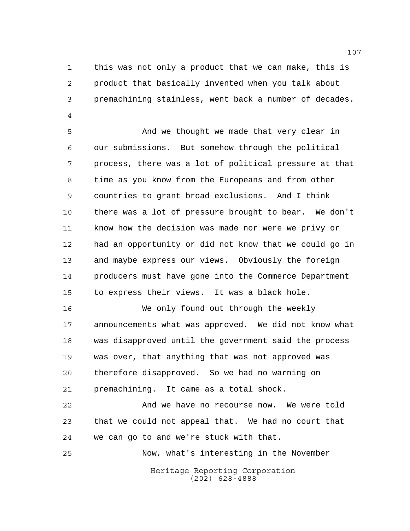this was not only a product that we can make, this is product that basically invented when you talk about premachining stainless, went back a number of decades. 

 And we thought we made that very clear in our submissions. But somehow through the political process, there was a lot of political pressure at that time as you know from the Europeans and from other countries to grant broad exclusions. And I think there was a lot of pressure brought to bear. We don't know how the decision was made nor were we privy or had an opportunity or did not know that we could go in and maybe express our views. Obviously the foreign producers must have gone into the Commerce Department to express their views. It was a black hole.

 We only found out through the weekly announcements what was approved. We did not know what was disapproved until the government said the process was over, that anything that was not approved was therefore disapproved. So we had no warning on premachining. It came as a total shock.

 And we have no recourse now. We were told that we could not appeal that. We had no court that we can go to and we're stuck with that.

Now, what's interesting in the November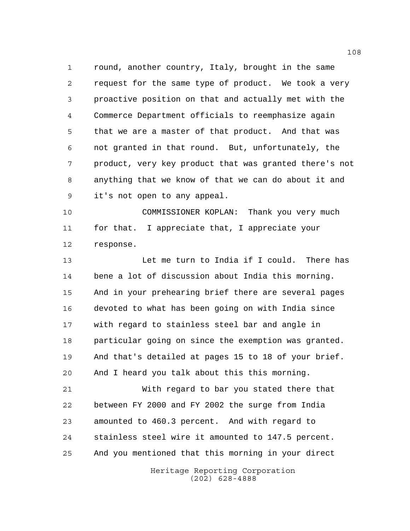round, another country, Italy, brought in the same request for the same type of product. We took a very proactive position on that and actually met with the Commerce Department officials to reemphasize again that we are a master of that product. And that was not granted in that round. But, unfortunately, the product, very key product that was granted there's not anything that we know of that we can do about it and it's not open to any appeal.

 COMMISSIONER KOPLAN: Thank you very much for that. I appreciate that, I appreciate your response.

13 Let me turn to India if I could. There has bene a lot of discussion about India this morning. And in your prehearing brief there are several pages devoted to what has been going on with India since with regard to stainless steel bar and angle in particular going on since the exemption was granted. And that's detailed at pages 15 to 18 of your brief. And I heard you talk about this this morning.

 With regard to bar you stated there that between FY 2000 and FY 2002 the surge from India amounted to 460.3 percent. And with regard to stainless steel wire it amounted to 147.5 percent. And you mentioned that this morning in your direct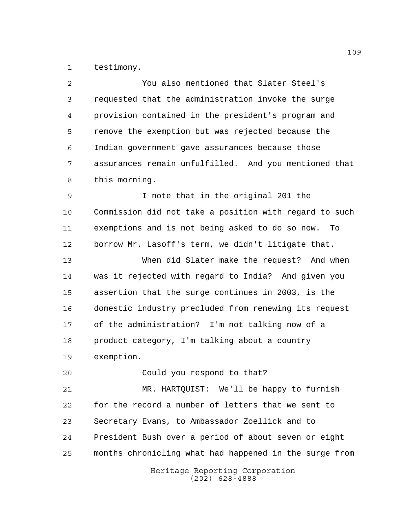testimony.

| 2  | You also mentioned that Slater Steel's                 |
|----|--------------------------------------------------------|
| 3  | requested that the administration invoke the surge     |
| 4  | provision contained in the president's program and     |
| 5  | remove the exemption but was rejected because the      |
| 6  | Indian government gave assurances because those        |
| 7  | assurances remain unfulfilled. And you mentioned that  |
| 8  | this morning.                                          |
| 9  | I note that in the original 201 the                    |
| 10 | Commission did not take a position with regard to such |
| 11 | exemptions and is not being asked to do so now.<br>To  |
| 12 | borrow Mr. Lasoff's term, we didn't litigate that.     |
| 13 | When did Slater make the request? And when             |
| 14 | was it rejected with regard to India? And given you    |
| 15 | assertion that the surge continues in 2003, is the     |
| 16 | domestic industry precluded from renewing its request  |
| 17 | of the administration? I'm not talking now of a        |
| 18 | product category, I'm talking about a country          |
| 19 | exemption.                                             |
| 20 | Could you respond to that?                             |
| 21 | MR. HARTQUIST: We'll be happy to furnish               |
| 22 | for the record a number of letters that we sent to     |
| 23 | Secretary Evans, to Ambassador Zoellick and to         |
| 24 | President Bush over a period of about seven or eight   |
| 25 | months chronicling what had happened in the surge from |
|    | Heritage Reporting Corporation<br>$(202)$ 628-4888     |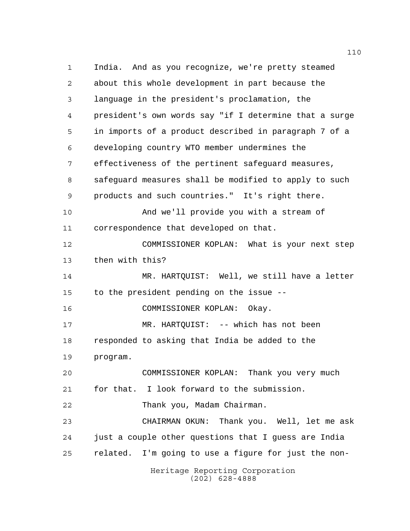Heritage Reporting Corporation (202) 628-4888 India. And as you recognize, we're pretty steamed about this whole development in part because the language in the president's proclamation, the president's own words say "if I determine that a surge in imports of a product described in paragraph 7 of a developing country WTO member undermines the effectiveness of the pertinent safeguard measures, safeguard measures shall be modified to apply to such products and such countries." It's right there. And we'll provide you with a stream of correspondence that developed on that. COMMISSIONER KOPLAN: What is your next step then with this? MR. HARTQUIST: Well, we still have a letter to the president pending on the issue -- COMMISSIONER KOPLAN: Okay. MR. HARTQUIST: -- which has not been responded to asking that India be added to the program. COMMISSIONER KOPLAN: Thank you very much for that. I look forward to the submission. Thank you, Madam Chairman. CHAIRMAN OKUN: Thank you. Well, let me ask just a couple other questions that I guess are India related. I'm going to use a figure for just the non-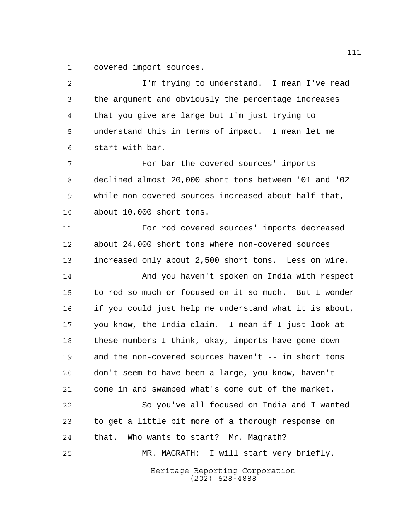covered import sources.

Heritage Reporting Corporation (202) 628-4888 I'm trying to understand. I mean I've read the argument and obviously the percentage increases that you give are large but I'm just trying to understand this in terms of impact. I mean let me start with bar. For bar the covered sources' imports declined almost 20,000 short tons between '01 and '02 while non-covered sources increased about half that, about 10,000 short tons. For rod covered sources' imports decreased about 24,000 short tons where non-covered sources increased only about 2,500 short tons. Less on wire. And you haven't spoken on India with respect to rod so much or focused on it so much. But I wonder if you could just help me understand what it is about, you know, the India claim. I mean if I just look at these numbers I think, okay, imports have gone down and the non-covered sources haven't -- in short tons don't seem to have been a large, you know, haven't come in and swamped what's come out of the market. So you've all focused on India and I wanted to get a little bit more of a thorough response on that. Who wants to start? Mr. Magrath? MR. MAGRATH: I will start very briefly.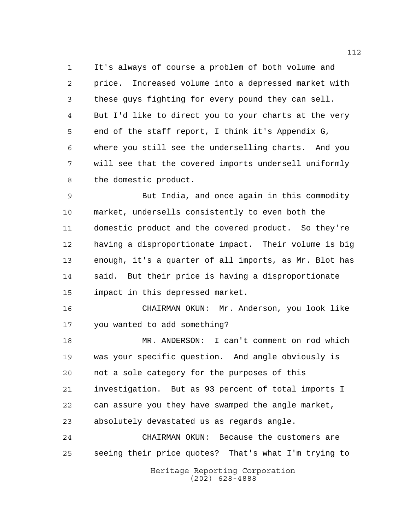It's always of course a problem of both volume and price. Increased volume into a depressed market with these guys fighting for every pound they can sell. But I'd like to direct you to your charts at the very end of the staff report, I think it's Appendix G, where you still see the underselling charts. And you will see that the covered imports undersell uniformly the domestic product.

 But India, and once again in this commodity market, undersells consistently to even both the domestic product and the covered product. So they're having a disproportionate impact. Their volume is big enough, it's a quarter of all imports, as Mr. Blot has said. But their price is having a disproportionate impact in this depressed market.

 CHAIRMAN OKUN: Mr. Anderson, you look like you wanted to add something?

 MR. ANDERSON: I can't comment on rod which was your specific question. And angle obviously is not a sole category for the purposes of this investigation. But as 93 percent of total imports I can assure you they have swamped the angle market, absolutely devastated us as regards angle.

 CHAIRMAN OKUN: Because the customers are seeing their price quotes? That's what I'm trying to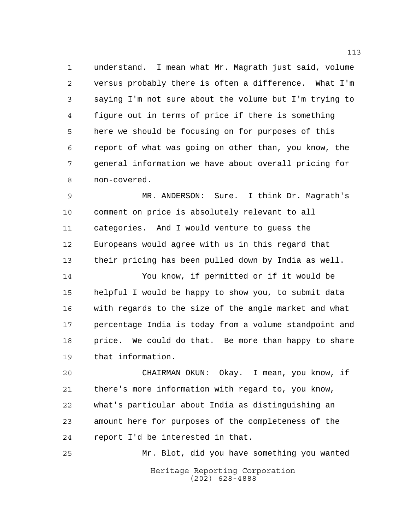understand. I mean what Mr. Magrath just said, volume versus probably there is often a difference. What I'm saying I'm not sure about the volume but I'm trying to figure out in terms of price if there is something here we should be focusing on for purposes of this report of what was going on other than, you know, the general information we have about overall pricing for non-covered.

 MR. ANDERSON: Sure. I think Dr. Magrath's comment on price is absolutely relevant to all categories. And I would venture to guess the Europeans would agree with us in this regard that their pricing has been pulled down by India as well.

 You know, if permitted or if it would be helpful I would be happy to show you, to submit data with regards to the size of the angle market and what percentage India is today from a volume standpoint and 18 price. We could do that. Be more than happy to share that information.

 CHAIRMAN OKUN: Okay. I mean, you know, if there's more information with regard to, you know, what's particular about India as distinguishing an amount here for purposes of the completeness of the report I'd be interested in that.

Heritage Reporting Corporation (202) 628-4888 Mr. Blot, did you have something you wanted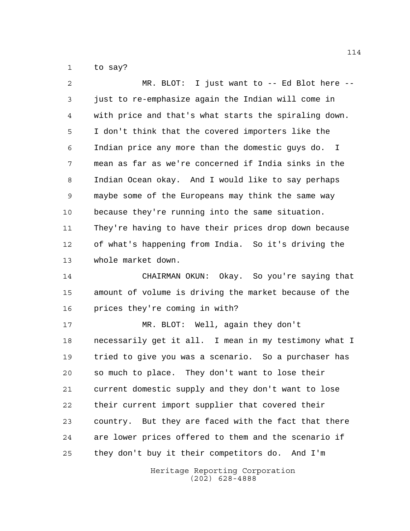to say?

| 2  | MR. BLOT: I just want to $-$ - Ed Blot here $-$ -     |
|----|-------------------------------------------------------|
| 3  | just to re-emphasize again the Indian will come in    |
| 4  | with price and that's what starts the spiraling down. |
| 5  | I don't think that the covered importers like the     |
| 6  | Indian price any more than the domestic guys do. I    |
| 7  | mean as far as we're concerned if India sinks in the  |
| 8  | Indian Ocean okay. And I would like to say perhaps    |
| 9  | maybe some of the Europeans may think the same way    |
| 10 | because they're running into the same situation.      |
| 11 | They're having to have their prices drop down because |
| 12 | of what's happening from India. So it's driving the   |
| 13 | whole market down.                                    |
| 14 | CHAIRMAN OKUN: Okay. So you're saying that            |
| 15 | amount of volume is driving the market because of the |
| 16 | prices they're coming in with?                        |
| 17 | MR. BLOT: Well, again they don't                      |
| 18 | necessarily get it all. I mean in my testimony what I |
| 19 | tried to give you was a scenario. So a purchaser has  |
| 20 | so much to place. They don't want to lose their       |
| 21 | current domestic supply and they don't want to lose   |
| 22 | their current import supplier that covered their      |
| 23 | country. But they are faced with the fact that there  |
| 24 | are lower prices offered to them and the scenario if  |
| 25 | they don't buy it their competitors do. And I'm       |
|    |                                                       |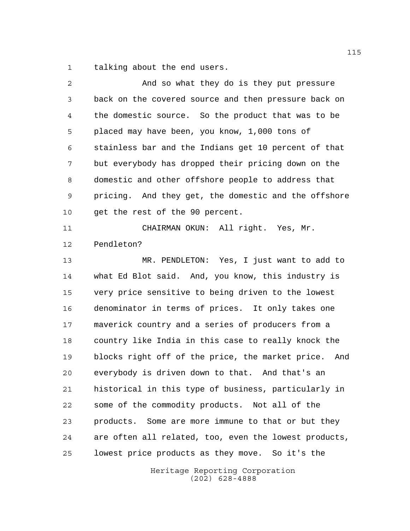talking about the end users.

| $\overline{2}$ | And so what they do is they put pressure                |
|----------------|---------------------------------------------------------|
| 3              | back on the covered source and then pressure back on    |
| 4              | the domestic source. So the product that was to be      |
| 5              | placed may have been, you know, 1,000 tons of           |
| 6              | stainless bar and the Indians get 10 percent of that    |
| 7              | but everybody has dropped their pricing down on the     |
| 8              | domestic and other offshore people to address that      |
| 9              | pricing. And they get, the domestic and the offshore    |
| 10             | get the rest of the 90 percent.                         |
| 11             | CHAIRMAN OKUN: All right. Yes, Mr.                      |
| 12             | Pendleton?                                              |
| 13             | MR. PENDLETON: Yes, I just want to add to               |
| 14             | what Ed Blot said. And, you know, this industry is      |
| 15             | very price sensitive to being driven to the lowest      |
| 16             | denominator in terms of prices. It only takes one       |
| 17             | maverick country and a series of producers from a       |
| 18             | country like India in this case to really knock the     |
| 19             | blocks right off of the price, the market price.<br>And |
| 20             | everybody is driven down to that. And that's an         |
| 21             | historical in this type of business, particularly in    |
| 22             | some of the commodity products. Not all of the          |
| 23             | products. Some are more immune to that or but they      |
| 24             | are often all related, too, even the lowest products,   |
| 25             | lowest price products as they move. So it's the         |
|                | Heritage Reporting Corporation                          |

(202) 628-4888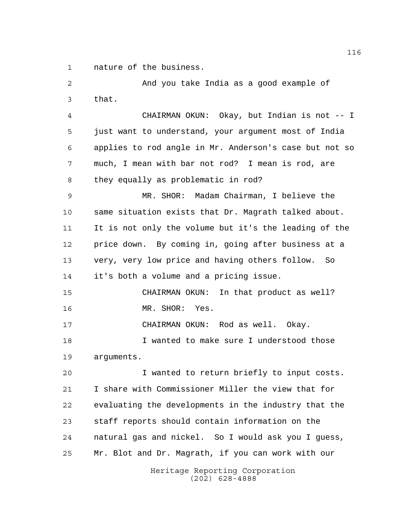nature of the business.

 And you take India as a good example of that. CHAIRMAN OKUN: Okay, but Indian is not -- I just want to understand, your argument most of India applies to rod angle in Mr. Anderson's case but not so much, I mean with bar not rod? I mean is rod, are they equally as problematic in rod? MR. SHOR: Madam Chairman, I believe the same situation exists that Dr. Magrath talked about. It is not only the volume but it's the leading of the price down. By coming in, going after business at a very, very low price and having others follow. So it's both a volume and a pricing issue. CHAIRMAN OKUN: In that product as well? MR. SHOR: Yes. CHAIRMAN OKUN: Rod as well. Okay. I wanted to make sure I understood those arguments. I wanted to return briefly to input costs. I share with Commissioner Miller the view that for evaluating the developments in the industry that the staff reports should contain information on the natural gas and nickel. So I would ask you I guess,

> Heritage Reporting Corporation (202) 628-4888

Mr. Blot and Dr. Magrath, if you can work with our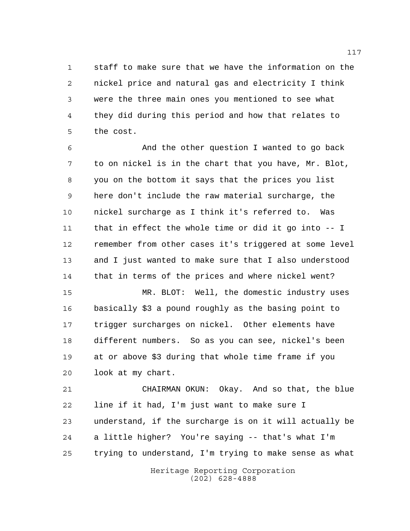staff to make sure that we have the information on the nickel price and natural gas and electricity I think were the three main ones you mentioned to see what they did during this period and how that relates to the cost.

 And the other question I wanted to go back to on nickel is in the chart that you have, Mr. Blot, you on the bottom it says that the prices you list here don't include the raw material surcharge, the nickel surcharge as I think it's referred to. Was that in effect the whole time or did it go into -- I remember from other cases it's triggered at some level and I just wanted to make sure that I also understood that in terms of the prices and where nickel went?

 MR. BLOT: Well, the domestic industry uses basically \$3 a pound roughly as the basing point to trigger surcharges on nickel. Other elements have different numbers. So as you can see, nickel's been at or above \$3 during that whole time frame if you look at my chart.

 CHAIRMAN OKUN: Okay. And so that, the blue line if it had, I'm just want to make sure I understand, if the surcharge is on it will actually be a little higher? You're saying -- that's what I'm trying to understand, I'm trying to make sense as what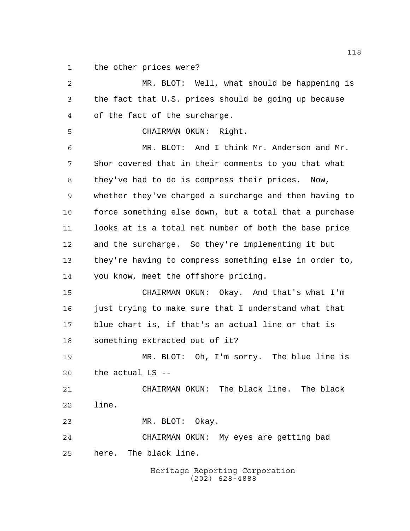the other prices were?

Heritage Reporting Corporation MR. BLOT: Well, what should be happening is the fact that U.S. prices should be going up because of the fact of the surcharge. CHAIRMAN OKUN: Right. MR. BLOT: And I think Mr. Anderson and Mr. Shor covered that in their comments to you that what they've had to do is compress their prices. Now, whether they've charged a surcharge and then having to force something else down, but a total that a purchase looks at is a total net number of both the base price and the surcharge. So they're implementing it but they're having to compress something else in order to, you know, meet the offshore pricing. CHAIRMAN OKUN: Okay. And that's what I'm 16 just trying to make sure that I understand what that blue chart is, if that's an actual line or that is something extracted out of it? MR. BLOT: Oh, I'm sorry. The blue line is the actual LS -- CHAIRMAN OKUN: The black line. The black line. MR. BLOT: Okay. CHAIRMAN OKUN: My eyes are getting bad here. The black line.

(202) 628-4888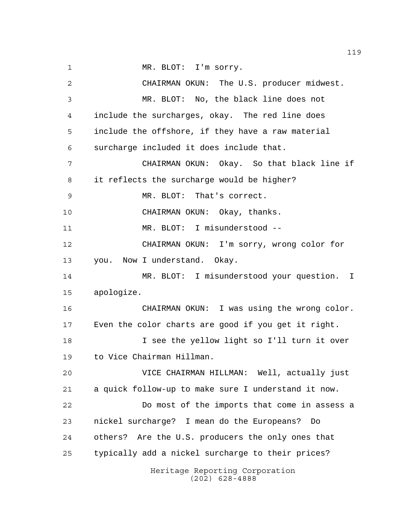1 MR. BLOT: I'm sorry.

Heritage Reporting Corporation (202) 628-4888 CHAIRMAN OKUN: The U.S. producer midwest. MR. BLOT: No, the black line does not include the surcharges, okay. The red line does include the offshore, if they have a raw material surcharge included it does include that. CHAIRMAN OKUN: Okay. So that black line if it reflects the surcharge would be higher? MR. BLOT: That's correct. CHAIRMAN OKUN: Okay, thanks. MR. BLOT: I misunderstood -- CHAIRMAN OKUN: I'm sorry, wrong color for you. Now I understand. Okay. MR. BLOT: I misunderstood your question. I apologize. CHAIRMAN OKUN: I was using the wrong color. Even the color charts are good if you get it right. I see the yellow light so I'll turn it over to Vice Chairman Hillman. VICE CHAIRMAN HILLMAN: Well, actually just a quick follow-up to make sure I understand it now. Do most of the imports that come in assess a nickel surcharge? I mean do the Europeans? Do others? Are the U.S. producers the only ones that typically add a nickel surcharge to their prices?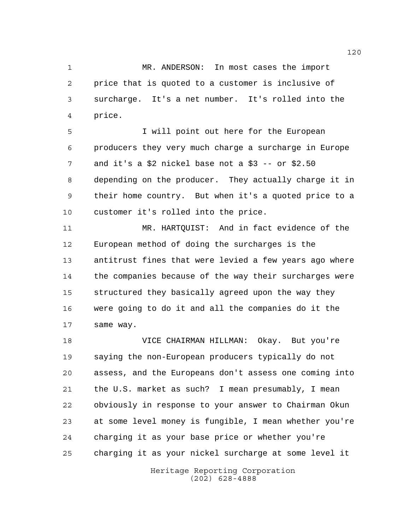MR. ANDERSON: In most cases the import price that is quoted to a customer is inclusive of surcharge. It's a net number. It's rolled into the price.

 I will point out here for the European producers they very much charge a surcharge in Europe and it's a \$2 nickel base not a \$3 -- or \$2.50 depending on the producer. They actually charge it in their home country. But when it's a quoted price to a customer it's rolled into the price.

 MR. HARTQUIST: And in fact evidence of the European method of doing the surcharges is the antitrust fines that were levied a few years ago where the companies because of the way their surcharges were structured they basically agreed upon the way they were going to do it and all the companies do it the same way.

 VICE CHAIRMAN HILLMAN: Okay. But you're saying the non-European producers typically do not assess, and the Europeans don't assess one coming into the U.S. market as such? I mean presumably, I mean obviously in response to your answer to Chairman Okun at some level money is fungible, I mean whether you're charging it as your base price or whether you're charging it as your nickel surcharge at some level it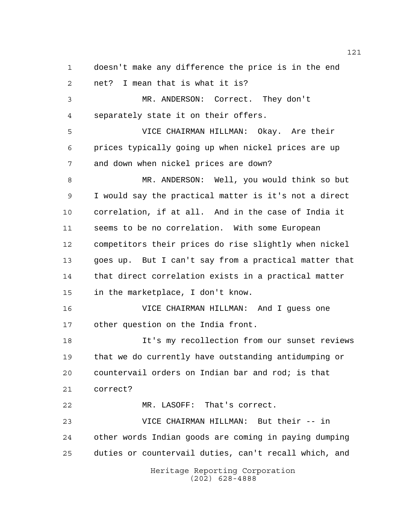Heritage Reporting Corporation (202) 628-4888 doesn't make any difference the price is in the end net? I mean that is what it is? MR. ANDERSON: Correct. They don't separately state it on their offers. VICE CHAIRMAN HILLMAN: Okay. Are their prices typically going up when nickel prices are up and down when nickel prices are down? MR. ANDERSON: Well, you would think so but I would say the practical matter is it's not a direct correlation, if at all. And in the case of India it seems to be no correlation. With some European competitors their prices do rise slightly when nickel goes up. But I can't say from a practical matter that that direct correlation exists in a practical matter in the marketplace, I don't know. VICE CHAIRMAN HILLMAN: And I guess one other question on the India front. It's my recollection from our sunset reviews that we do currently have outstanding antidumping or countervail orders on Indian bar and rod; is that correct? MR. LASOFF: That's correct. VICE CHAIRMAN HILLMAN: But their -- in other words Indian goods are coming in paying dumping duties or countervail duties, can't recall which, and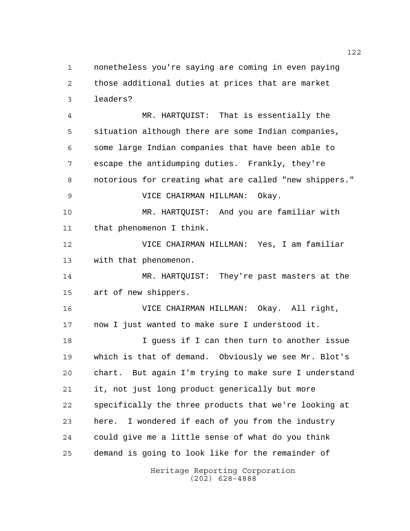nonetheless you're saying are coming in even paying those additional duties at prices that are market leaders?

Heritage Reporting Corporation MR. HARTQUIST: That is essentially the situation although there are some Indian companies, some large Indian companies that have been able to escape the antidumping duties. Frankly, they're notorious for creating what are called "new shippers." VICE CHAIRMAN HILLMAN: Okay. MR. HARTQUIST: And you are familiar with that phenomenon I think. VICE CHAIRMAN HILLMAN: Yes, I am familiar with that phenomenon. MR. HARTQUIST: They're past masters at the art of new shippers. VICE CHAIRMAN HILLMAN: Okay. All right, now I just wanted to make sure I understood it. I guess if I can then turn to another issue which is that of demand. Obviously we see Mr. Blot's chart. But again I'm trying to make sure I understand it, not just long product generically but more specifically the three products that we're looking at here. I wondered if each of you from the industry could give me a little sense of what do you think demand is going to look like for the remainder of

(202) 628-4888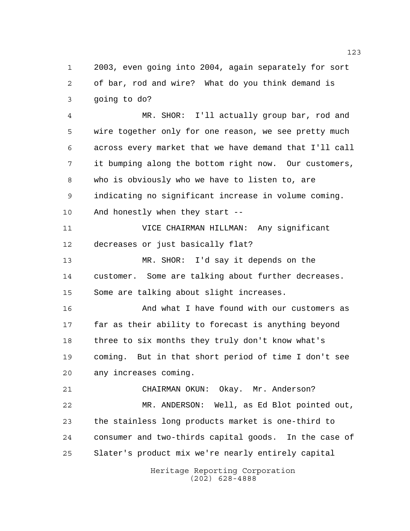2003, even going into 2004, again separately for sort of bar, rod and wire? What do you think demand is going to do?

 MR. SHOR: I'll actually group bar, rod and wire together only for one reason, we see pretty much across every market that we have demand that I'll call it bumping along the bottom right now. Our customers, who is obviously who we have to listen to, are indicating no significant increase in volume coming. And honestly when they start --

 VICE CHAIRMAN HILLMAN: Any significant decreases or just basically flat?

 MR. SHOR: I'd say it depends on the customer. Some are talking about further decreases. Some are talking about slight increases.

 And what I have found with our customers as far as their ability to forecast is anything beyond three to six months they truly don't know what's coming. But in that short period of time I don't see any increases coming.

 CHAIRMAN OKUN: Okay. Mr. Anderson? MR. ANDERSON: Well, as Ed Blot pointed out, the stainless long products market is one-third to consumer and two-thirds capital goods. In the case of Slater's product mix we're nearly entirely capital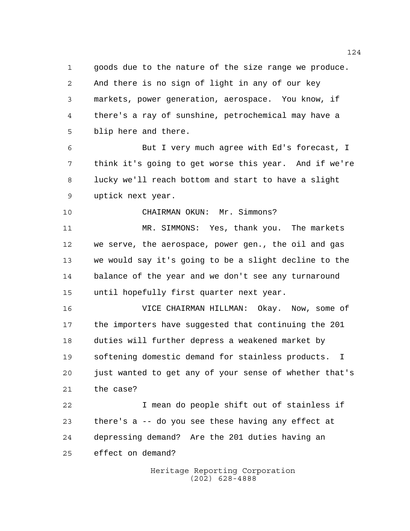goods due to the nature of the size range we produce. And there is no sign of light in any of our key markets, power generation, aerospace. You know, if there's a ray of sunshine, petrochemical may have a blip here and there.

 But I very much agree with Ed's forecast, I think it's going to get worse this year. And if we're lucky we'll reach bottom and start to have a slight uptick next year.

CHAIRMAN OKUN: Mr. Simmons?

 MR. SIMMONS: Yes, thank you. The markets we serve, the aerospace, power gen., the oil and gas we would say it's going to be a slight decline to the balance of the year and we don't see any turnaround until hopefully first quarter next year.

 VICE CHAIRMAN HILLMAN: Okay. Now, some of the importers have suggested that continuing the 201 duties will further depress a weakened market by softening domestic demand for stainless products. I just wanted to get any of your sense of whether that's the case?

 I mean do people shift out of stainless if there's a -- do you see these having any effect at depressing demand? Are the 201 duties having an effect on demand?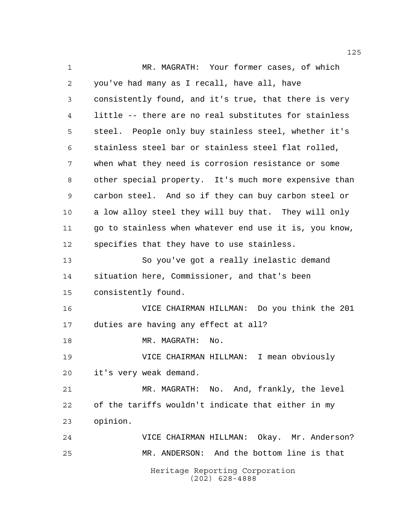Heritage Reporting Corporation (202) 628-4888 MR. MAGRATH: Your former cases, of which you've had many as I recall, have all, have consistently found, and it's true, that there is very little -- there are no real substitutes for stainless steel. People only buy stainless steel, whether it's stainless steel bar or stainless steel flat rolled, when what they need is corrosion resistance or some other special property. It's much more expensive than carbon steel. And so if they can buy carbon steel or a low alloy steel they will buy that. They will only go to stainless when whatever end use it is, you know, specifies that they have to use stainless. So you've got a really inelastic demand situation here, Commissioner, and that's been consistently found. VICE CHAIRMAN HILLMAN: Do you think the 201 duties are having any effect at all? 18 MR. MAGRATH: No. VICE CHAIRMAN HILLMAN: I mean obviously it's very weak demand. MR. MAGRATH: No. And, frankly, the level of the tariffs wouldn't indicate that either in my opinion. VICE CHAIRMAN HILLMAN: Okay. Mr. Anderson? MR. ANDERSON: And the bottom line is that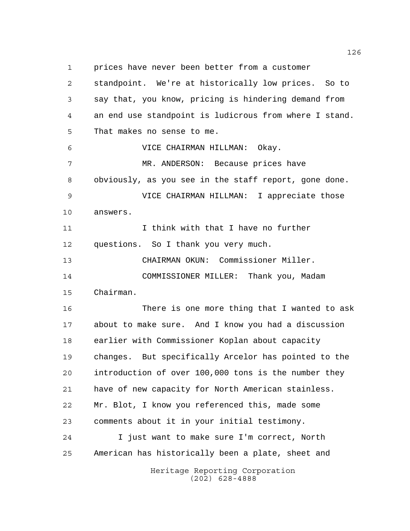prices have never been better from a customer

Heritage Reporting Corporation (202) 628-4888 standpoint. We're at historically low prices. So to say that, you know, pricing is hindering demand from an end use standpoint is ludicrous from where I stand. That makes no sense to me. VICE CHAIRMAN HILLMAN: Okay. MR. ANDERSON: Because prices have obviously, as you see in the staff report, gone done. VICE CHAIRMAN HILLMAN: I appreciate those answers. I think with that I have no further questions. So I thank you very much. CHAIRMAN OKUN: Commissioner Miller. COMMISSIONER MILLER: Thank you, Madam Chairman. There is one more thing that I wanted to ask about to make sure. And I know you had a discussion earlier with Commissioner Koplan about capacity changes. But specifically Arcelor has pointed to the introduction of over 100,000 tons is the number they have of new capacity for North American stainless. Mr. Blot, I know you referenced this, made some comments about it in your initial testimony. I just want to make sure I'm correct, North American has historically been a plate, sheet and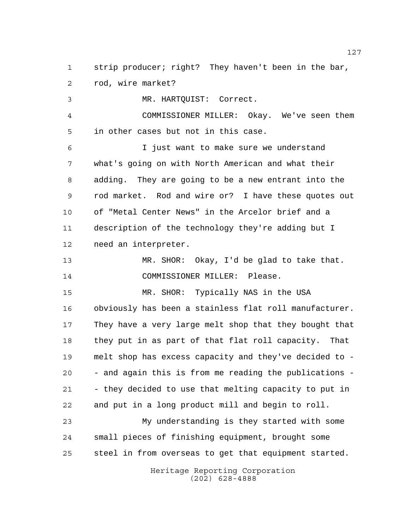strip producer; right? They haven't been in the bar, rod, wire market?

 MR. HARTQUIST: Correct. COMMISSIONER MILLER: Okay. We've seen them in other cases but not in this case. I just want to make sure we understand what's going on with North American and what their adding. They are going to be a new entrant into the rod market. Rod and wire or? I have these quotes out of "Metal Center News" in the Arcelor brief and a description of the technology they're adding but I need an interpreter. MR. SHOR: Okay, I'd be glad to take that.

COMMISSIONER MILLER: Please.

 MR. SHOR: Typically NAS in the USA obviously has been a stainless flat roll manufacturer. They have a very large melt shop that they bought that they put in as part of that flat roll capacity. That melt shop has excess capacity and they've decided to - - and again this is from me reading the publications - - they decided to use that melting capacity to put in and put in a long product mill and begin to roll.

 My understanding is they started with some small pieces of finishing equipment, brought some steel in from overseas to get that equipment started.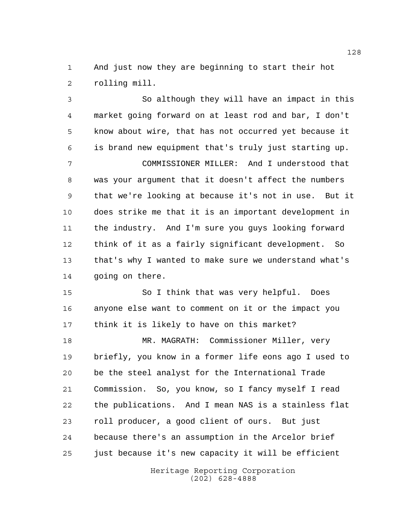And just now they are beginning to start their hot rolling mill.

 So although they will have an impact in this market going forward on at least rod and bar, I don't know about wire, that has not occurred yet because it is brand new equipment that's truly just starting up.

 COMMISSIONER MILLER: And I understood that was your argument that it doesn't affect the numbers that we're looking at because it's not in use. But it does strike me that it is an important development in the industry. And I'm sure you guys looking forward think of it as a fairly significant development. So that's why I wanted to make sure we understand what's going on there.

 So I think that was very helpful. Does anyone else want to comment on it or the impact you think it is likely to have on this market?

 MR. MAGRATH: Commissioner Miller, very briefly, you know in a former life eons ago I used to be the steel analyst for the International Trade Commission. So, you know, so I fancy myself I read the publications. And I mean NAS is a stainless flat roll producer, a good client of ours. But just because there's an assumption in the Arcelor brief just because it's new capacity it will be efficient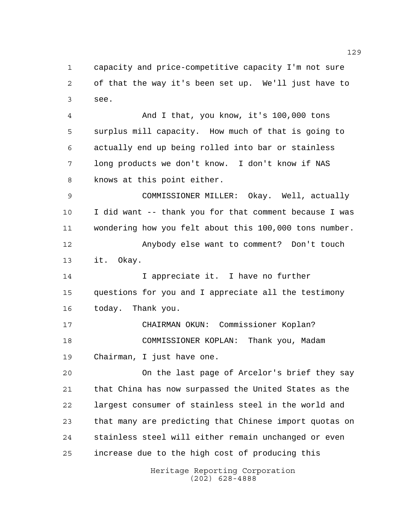capacity and price-competitive capacity I'm not sure of that the way it's been set up. We'll just have to see.

 And I that, you know, it's 100,000 tons surplus mill capacity. How much of that is going to actually end up being rolled into bar or stainless long products we don't know. I don't know if NAS knows at this point either.

 COMMISSIONER MILLER: Okay. Well, actually I did want -- thank you for that comment because I was wondering how you felt about this 100,000 tons number.

 Anybody else want to comment? Don't touch it. Okay.

 I appreciate it. I have no further questions for you and I appreciate all the testimony today. Thank you.

 CHAIRMAN OKUN: Commissioner Koplan? COMMISSIONER KOPLAN: Thank you, Madam Chairman, I just have one.

 On the last page of Arcelor's brief they say that China has now surpassed the United States as the largest consumer of stainless steel in the world and that many are predicting that Chinese import quotas on stainless steel will either remain unchanged or even increase due to the high cost of producing this

> Heritage Reporting Corporation (202) 628-4888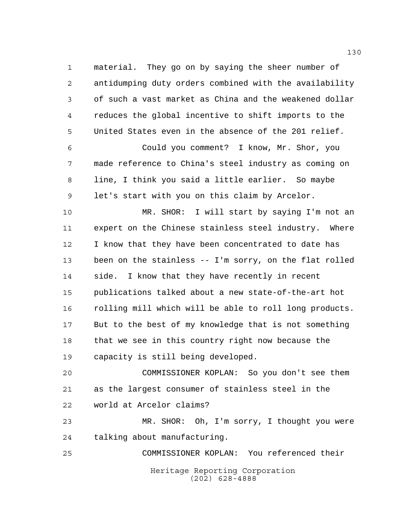material. They go on by saying the sheer number of antidumping duty orders combined with the availability of such a vast market as China and the weakened dollar reduces the global incentive to shift imports to the United States even in the absence of the 201 relief.

 Could you comment? I know, Mr. Shor, you made reference to China's steel industry as coming on line, I think you said a little earlier. So maybe let's start with you on this claim by Arcelor.

 MR. SHOR: I will start by saying I'm not an expert on the Chinese stainless steel industry. Where I know that they have been concentrated to date has been on the stainless -- I'm sorry, on the flat rolled side. I know that they have recently in recent publications talked about a new state-of-the-art hot rolling mill which will be able to roll long products. But to the best of my knowledge that is not something 18 that we see in this country right now because the capacity is still being developed.

 COMMISSIONER KOPLAN: So you don't see them as the largest consumer of stainless steel in the world at Arcelor claims?

 MR. SHOR: Oh, I'm sorry, I thought you were talking about manufacturing.

Heritage Reporting Corporation (202) 628-4888 COMMISSIONER KOPLAN: You referenced their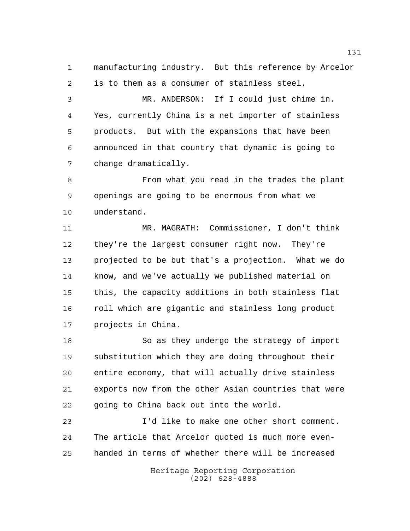manufacturing industry. But this reference by Arcelor is to them as a consumer of stainless steel.

 MR. ANDERSON: If I could just chime in. Yes, currently China is a net importer of stainless products. But with the expansions that have been announced in that country that dynamic is going to change dramatically.

 From what you read in the trades the plant openings are going to be enormous from what we understand.

 MR. MAGRATH: Commissioner, I don't think they're the largest consumer right now. They're projected to be but that's a projection. What we do know, and we've actually we published material on this, the capacity additions in both stainless flat 16 roll which are gigantic and stainless long product projects in China.

 So as they undergo the strategy of import substitution which they are doing throughout their entire economy, that will actually drive stainless exports now from the other Asian countries that were going to China back out into the world.

 I'd like to make one other short comment. The article that Arcelor quoted is much more even-handed in terms of whether there will be increased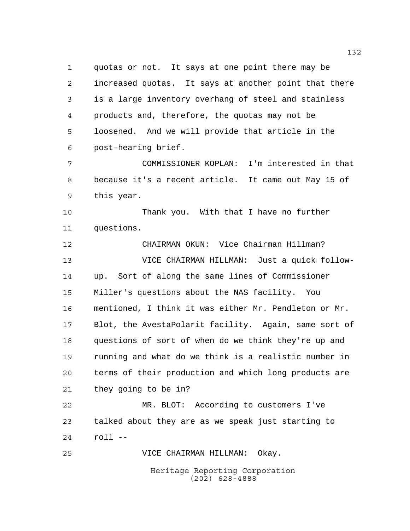quotas or not. It says at one point there may be increased quotas. It says at another point that there is a large inventory overhang of steel and stainless products and, therefore, the quotas may not be loosened. And we will provide that article in the post-hearing brief.

 COMMISSIONER KOPLAN: I'm interested in that because it's a recent article. It came out May 15 of this year.

 Thank you. With that I have no further questions.

 CHAIRMAN OKUN: Vice Chairman Hillman? VICE CHAIRMAN HILLMAN: Just a quick follow- up. Sort of along the same lines of Commissioner Miller's questions about the NAS facility. You mentioned, I think it was either Mr. Pendleton or Mr. Blot, the AvestaPolarit facility. Again, same sort of questions of sort of when do we think they're up and running and what do we think is a realistic number in terms of their production and which long products are they going to be in?

 MR. BLOT: According to customers I've talked about they are as we speak just starting to roll --

VICE CHAIRMAN HILLMAN: Okay.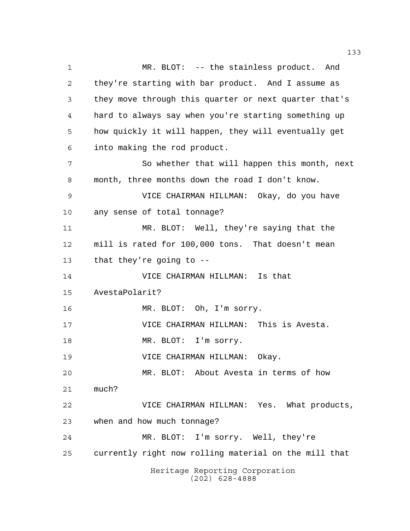Heritage Reporting Corporation (202) 628-4888 MR. BLOT: -- the stainless product. And they're starting with bar product. And I assume as they move through this quarter or next quarter that's hard to always say when you're starting something up how quickly it will happen, they will eventually get into making the rod product. So whether that will happen this month, next month, three months down the road I don't know. VICE CHAIRMAN HILLMAN: Okay, do you have any sense of total tonnage? MR. BLOT: Well, they're saying that the mill is rated for 100,000 tons. That doesn't mean that they're going to -- VICE CHAIRMAN HILLMAN: Is that AvestaPolarit? 16 MR. BLOT: Oh, I'm sorry. VICE CHAIRMAN HILLMAN: This is Avesta. 18 MR. BLOT: I'm sorry. VICE CHAIRMAN HILLMAN: Okay. MR. BLOT: About Avesta in terms of how much? VICE CHAIRMAN HILLMAN: Yes. What products, when and how much tonnage? MR. BLOT: I'm sorry. Well, they're currently right now rolling material on the mill that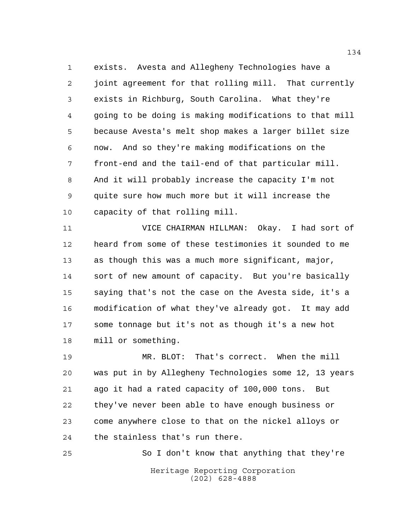exists. Avesta and Allegheny Technologies have a joint agreement for that rolling mill. That currently exists in Richburg, South Carolina. What they're going to be doing is making modifications to that mill because Avesta's melt shop makes a larger billet size now. And so they're making modifications on the front-end and the tail-end of that particular mill. And it will probably increase the capacity I'm not quite sure how much more but it will increase the capacity of that rolling mill.

 VICE CHAIRMAN HILLMAN: Okay. I had sort of heard from some of these testimonies it sounded to me as though this was a much more significant, major, sort of new amount of capacity. But you're basically saying that's not the case on the Avesta side, it's a modification of what they've already got. It may add some tonnage but it's not as though it's a new hot mill or something.

 MR. BLOT: That's correct. When the mill was put in by Allegheny Technologies some 12, 13 years ago it had a rated capacity of 100,000 tons. But they've never been able to have enough business or come anywhere close to that on the nickel alloys or the stainless that's run there.

Heritage Reporting Corporation (202) 628-4888 So I don't know that anything that they're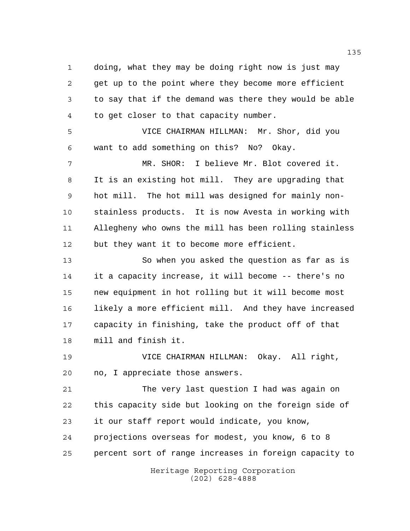doing, what they may be doing right now is just may get up to the point where they become more efficient to say that if the demand was there they would be able to get closer to that capacity number.

 VICE CHAIRMAN HILLMAN: Mr. Shor, did you want to add something on this? No? Okay.

 MR. SHOR: I believe Mr. Blot covered it. It is an existing hot mill. They are upgrading that hot mill. The hot mill was designed for mainly non- stainless products. It is now Avesta in working with Allegheny who owns the mill has been rolling stainless but they want it to become more efficient.

 So when you asked the question as far as is it a capacity increase, it will become -- there's no new equipment in hot rolling but it will become most likely a more efficient mill. And they have increased capacity in finishing, take the product off of that mill and finish it.

 VICE CHAIRMAN HILLMAN: Okay. All right, no, I appreciate those answers.

 The very last question I had was again on this capacity side but looking on the foreign side of it our staff report would indicate, you know, projections overseas for modest, you know, 6 to 8 percent sort of range increases in foreign capacity to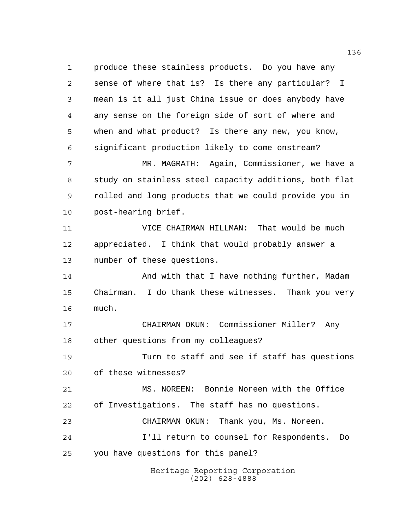Heritage Reporting Corporation (202) 628-4888 produce these stainless products. Do you have any sense of where that is? Is there any particular? I mean is it all just China issue or does anybody have any sense on the foreign side of sort of where and when and what product? Is there any new, you know, significant production likely to come onstream? MR. MAGRATH: Again, Commissioner, we have a study on stainless steel capacity additions, both flat rolled and long products that we could provide you in post-hearing brief. VICE CHAIRMAN HILLMAN: That would be much appreciated. I think that would probably answer a number of these questions. 14 And with that I have nothing further, Madam Chairman. I do thank these witnesses. Thank you very much. CHAIRMAN OKUN: Commissioner Miller? Any other questions from my colleagues? Turn to staff and see if staff has questions of these witnesses? MS. NOREEN: Bonnie Noreen with the Office of Investigations. The staff has no questions. CHAIRMAN OKUN: Thank you, Ms. Noreen. I'll return to counsel for Respondents. Do you have questions for this panel?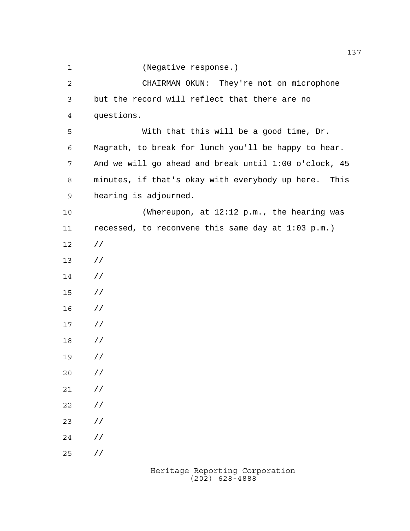(Negative response.)

 CHAIRMAN OKUN: They're not on microphone but the record will reflect that there are no questions. With that this will be a good time, Dr. Magrath, to break for lunch you'll be happy to hear. And we will go ahead and break until 1:00 o'clock, 45 minutes, if that's okay with everybody up here. This hearing is adjourned. (Whereupon, at 12:12 p.m., the hearing was recessed, to reconvene this same day at 1:03 p.m.) // // // // // // // // // // // // // //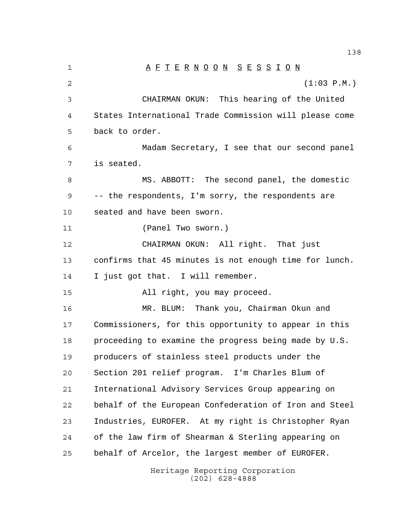1 A F T E R N O O N S E S S I O N  $(1:03 \text{ P.M.})$  CHAIRMAN OKUN: This hearing of the United States International Trade Commission will please come back to order. Madam Secretary, I see that our second panel is seated. MS. ABBOTT: The second panel, the domestic -- the respondents, I'm sorry, the respondents are seated and have been sworn. (Panel Two sworn.) CHAIRMAN OKUN: All right. That just confirms that 45 minutes is not enough time for lunch. I just got that. I will remember. All right, you may proceed. MR. BLUM: Thank you, Chairman Okun and Commissioners, for this opportunity to appear in this proceeding to examine the progress being made by U.S. producers of stainless steel products under the Section 201 relief program. I'm Charles Blum of International Advisory Services Group appearing on behalf of the European Confederation of Iron and Steel Industries, EUROFER. At my right is Christopher Ryan of the law firm of Shearman & Sterling appearing on behalf of Arcelor, the largest member of EUROFER.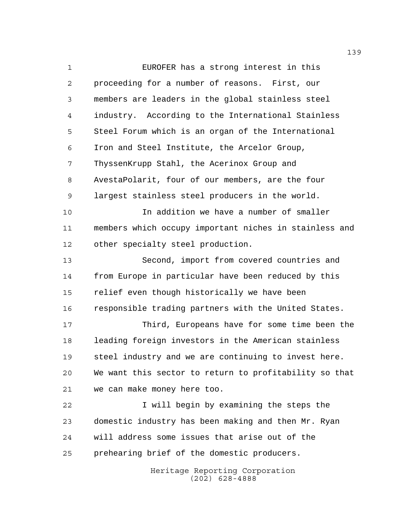EUROFER has a strong interest in this proceeding for a number of reasons. First, our members are leaders in the global stainless steel industry. According to the International Stainless Steel Forum which is an organ of the International Iron and Steel Institute, the Arcelor Group, ThyssenKrupp Stahl, the Acerinox Group and AvestaPolarit, four of our members, are the four largest stainless steel producers in the world. In addition we have a number of smaller members which occupy important niches in stainless and other specialty steel production. Second, import from covered countries and from Europe in particular have been reduced by this relief even though historically we have been responsible trading partners with the United States. Third, Europeans have for some time been the leading foreign investors in the American stainless steel industry and we are continuing to invest here. We want this sector to return to profitability so that we can make money here too. 22 I will begin by examining the steps the domestic industry has been making and then Mr. Ryan will address some issues that arise out of the prehearing brief of the domestic producers.

Heritage Reporting Corporation (202) 628-4888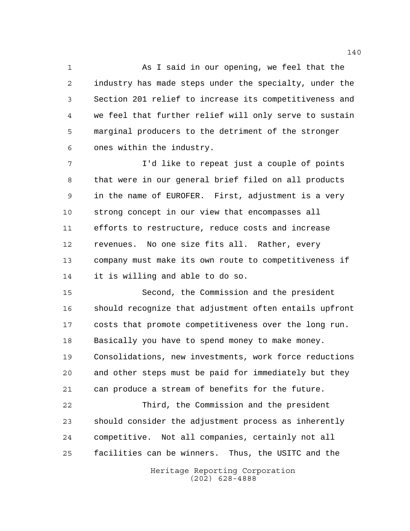As I said in our opening, we feel that the industry has made steps under the specialty, under the Section 201 relief to increase its competitiveness and we feel that further relief will only serve to sustain marginal producers to the detriment of the stronger ones within the industry.

 I'd like to repeat just a couple of points that were in our general brief filed on all products in the name of EUROFER. First, adjustment is a very strong concept in our view that encompasses all efforts to restructure, reduce costs and increase revenues. No one size fits all. Rather, every company must make its own route to competitiveness if it is willing and able to do so.

 Second, the Commission and the president should recognize that adjustment often entails upfront costs that promote competitiveness over the long run. Basically you have to spend money to make money. Consolidations, new investments, work force reductions and other steps must be paid for immediately but they can produce a stream of benefits for the future.

 Third, the Commission and the president should consider the adjustment process as inherently competitive. Not all companies, certainly not all facilities can be winners. Thus, the USITC and the

> Heritage Reporting Corporation (202) 628-4888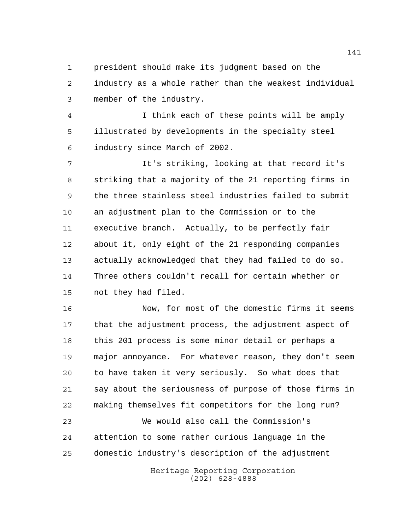president should make its judgment based on the industry as a whole rather than the weakest individual member of the industry.

 I think each of these points will be amply illustrated by developments in the specialty steel industry since March of 2002.

 It's striking, looking at that record it's striking that a majority of the 21 reporting firms in the three stainless steel industries failed to submit an adjustment plan to the Commission or to the executive branch. Actually, to be perfectly fair about it, only eight of the 21 responding companies actually acknowledged that they had failed to do so. Three others couldn't recall for certain whether or not they had filed.

 Now, for most of the domestic firms it seems that the adjustment process, the adjustment aspect of this 201 process is some minor detail or perhaps a major annoyance. For whatever reason, they don't seem to have taken it very seriously. So what does that say about the seriousness of purpose of those firms in making themselves fit competitors for the long run? We would also call the Commission's

 attention to some rather curious language in the domestic industry's description of the adjustment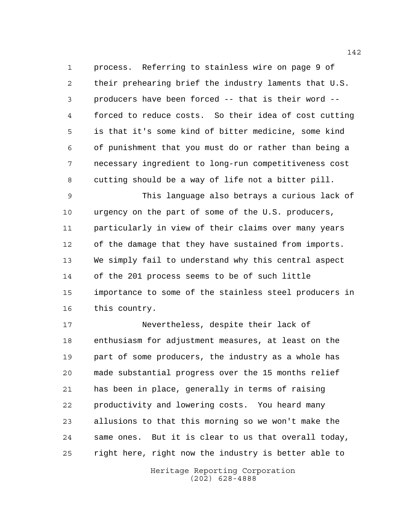process. Referring to stainless wire on page 9 of their prehearing brief the industry laments that U.S. producers have been forced -- that is their word -- forced to reduce costs. So their idea of cost cutting is that it's some kind of bitter medicine, some kind of punishment that you must do or rather than being a necessary ingredient to long-run competitiveness cost cutting should be a way of life not a bitter pill.

 This language also betrays a curious lack of urgency on the part of some of the U.S. producers, particularly in view of their claims over many years of the damage that they have sustained from imports. We simply fail to understand why this central aspect of the 201 process seems to be of such little importance to some of the stainless steel producers in this country.

 Nevertheless, despite their lack of enthusiasm for adjustment measures, at least on the part of some producers, the industry as a whole has made substantial progress over the 15 months relief has been in place, generally in terms of raising productivity and lowering costs. You heard many allusions to that this morning so we won't make the same ones. But it is clear to us that overall today, right here, right now the industry is better able to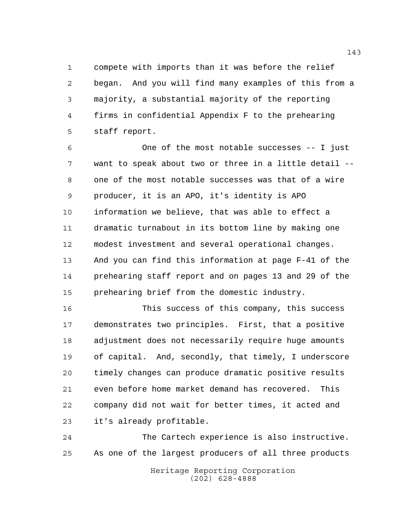compete with imports than it was before the relief began. And you will find many examples of this from a majority, a substantial majority of the reporting firms in confidential Appendix F to the prehearing staff report.

 One of the most notable successes -- I just want to speak about two or three in a little detail -- one of the most notable successes was that of a wire producer, it is an APO, it's identity is APO information we believe, that was able to effect a dramatic turnabout in its bottom line by making one modest investment and several operational changes. And you can find this information at page F-41 of the prehearing staff report and on pages 13 and 29 of the prehearing brief from the domestic industry.

 This success of this company, this success demonstrates two principles. First, that a positive adjustment does not necessarily require huge amounts of capital. And, secondly, that timely, I underscore timely changes can produce dramatic positive results even before home market demand has recovered. This company did not wait for better times, it acted and it's already profitable.

 The Cartech experience is also instructive. As one of the largest producers of all three products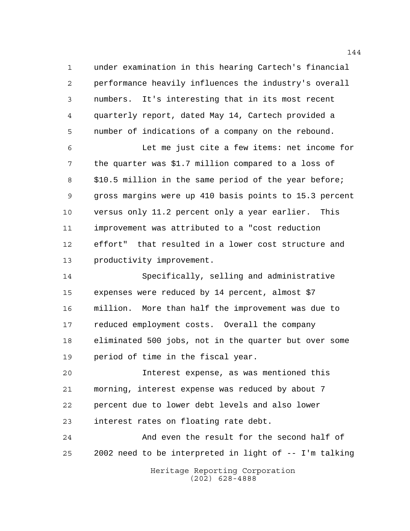under examination in this hearing Cartech's financial performance heavily influences the industry's overall numbers. It's interesting that in its most recent quarterly report, dated May 14, Cartech provided a number of indications of a company on the rebound.

 Let me just cite a few items: net income for the quarter was \$1.7 million compared to a loss of \$10.5 million in the same period of the year before; gross margins were up 410 basis points to 15.3 percent versus only 11.2 percent only a year earlier. This improvement was attributed to a "cost reduction effort" that resulted in a lower cost structure and productivity improvement.

 Specifically, selling and administrative expenses were reduced by 14 percent, almost \$7 million. More than half the improvement was due to reduced employment costs. Overall the company eliminated 500 jobs, not in the quarter but over some period of time in the fiscal year.

 Interest expense, as was mentioned this morning, interest expense was reduced by about 7 percent due to lower debt levels and also lower interest rates on floating rate debt.

 And even the result for the second half of 2002 need to be interpreted in light of -- I'm talking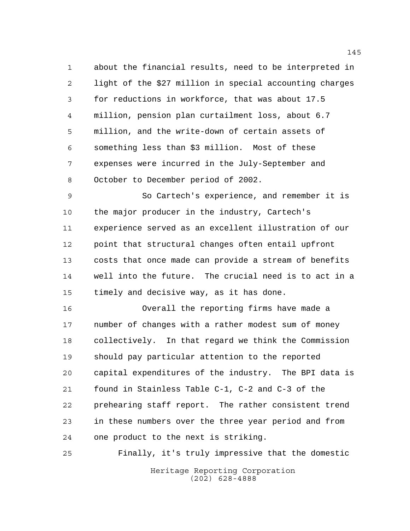about the financial results, need to be interpreted in light of the \$27 million in special accounting charges for reductions in workforce, that was about 17.5 million, pension plan curtailment loss, about 6.7 million, and the write-down of certain assets of something less than \$3 million. Most of these expenses were incurred in the July-September and October to December period of 2002.

 So Cartech's experience, and remember it is the major producer in the industry, Cartech's experience served as an excellent illustration of our point that structural changes often entail upfront costs that once made can provide a stream of benefits well into the future. The crucial need is to act in a timely and decisive way, as it has done.

 Overall the reporting firms have made a number of changes with a rather modest sum of money collectively. In that regard we think the Commission should pay particular attention to the reported capital expenditures of the industry. The BPI data is found in Stainless Table C-1, C-2 and C-3 of the prehearing staff report. The rather consistent trend in these numbers over the three year period and from one product to the next is striking.

Heritage Reporting Corporation (202) 628-4888 Finally, it's truly impressive that the domestic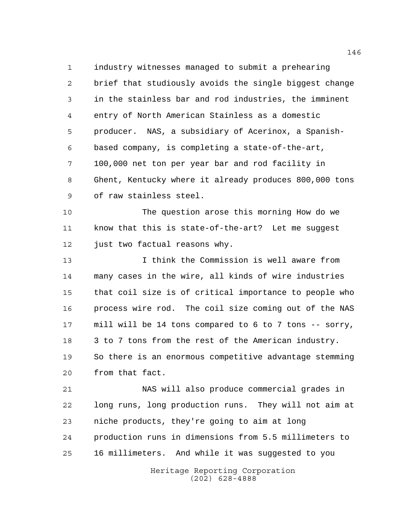industry witnesses managed to submit a prehearing brief that studiously avoids the single biggest change in the stainless bar and rod industries, the imminent entry of North American Stainless as a domestic producer. NAS, a subsidiary of Acerinox, a Spanish- based company, is completing a state-of-the-art, 100,000 net ton per year bar and rod facility in Ghent, Kentucky where it already produces 800,000 tons of raw stainless steel.

 The question arose this morning How do we know that this is state-of-the-art? Let me suggest 12 just two factual reasons why.

 I think the Commission is well aware from many cases in the wire, all kinds of wire industries that coil size is of critical importance to people who process wire rod. The coil size coming out of the NAS mill will be 14 tons compared to 6 to 7 tons -- sorry, 3 to 7 tons from the rest of the American industry. So there is an enormous competitive advantage stemming from that fact.

 NAS will also produce commercial grades in long runs, long production runs. They will not aim at niche products, they're going to aim at long production runs in dimensions from 5.5 millimeters to 16 millimeters. And while it was suggested to you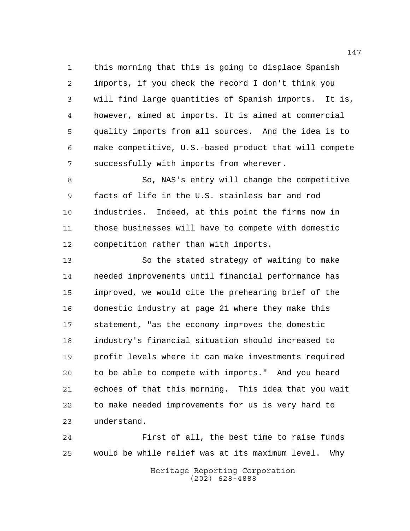this morning that this is going to displace Spanish imports, if you check the record I don't think you will find large quantities of Spanish imports. It is, however, aimed at imports. It is aimed at commercial quality imports from all sources. And the idea is to make competitive, U.S.-based product that will compete successfully with imports from wherever.

 So, NAS's entry will change the competitive facts of life in the U.S. stainless bar and rod industries. Indeed, at this point the firms now in those businesses will have to compete with domestic competition rather than with imports.

 So the stated strategy of waiting to make needed improvements until financial performance has improved, we would cite the prehearing brief of the domestic industry at page 21 where they make this statement, "as the economy improves the domestic industry's financial situation should increased to profit levels where it can make investments required to be able to compete with imports." And you heard echoes of that this morning. This idea that you wait to make needed improvements for us is very hard to understand.

 First of all, the best time to raise funds would be while relief was at its maximum level. Why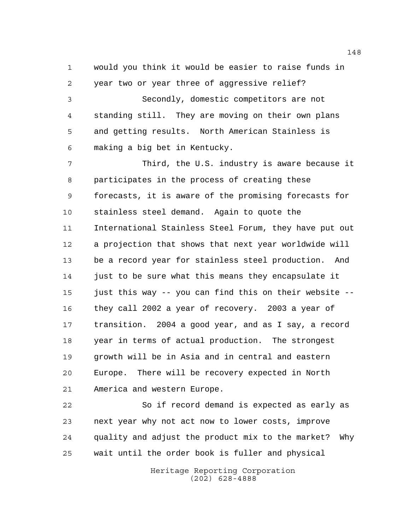would you think it would be easier to raise funds in year two or year three of aggressive relief?

 Secondly, domestic competitors are not standing still. They are moving on their own plans and getting results. North American Stainless is making a big bet in Kentucky.

 Third, the U.S. industry is aware because it participates in the process of creating these forecasts, it is aware of the promising forecasts for stainless steel demand. Again to quote the International Stainless Steel Forum, they have put out a projection that shows that next year worldwide will be a record year for stainless steel production. And just to be sure what this means they encapsulate it just this way -- you can find this on their website -- they call 2002 a year of recovery. 2003 a year of transition. 2004 a good year, and as I say, a record year in terms of actual production. The strongest growth will be in Asia and in central and eastern Europe. There will be recovery expected in North America and western Europe.

 So if record demand is expected as early as next year why not act now to lower costs, improve quality and adjust the product mix to the market? Why wait until the order book is fuller and physical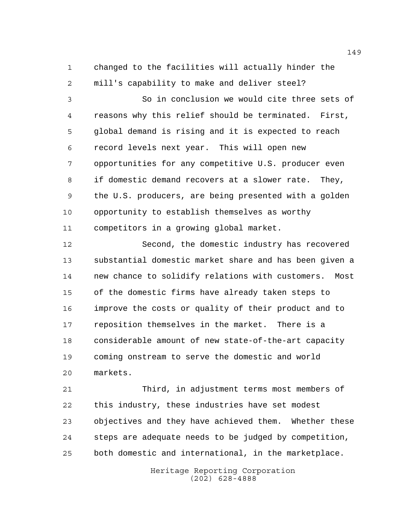changed to the facilities will actually hinder the mill's capability to make and deliver steel?

 So in conclusion we would cite three sets of reasons why this relief should be terminated. First, global demand is rising and it is expected to reach record levels next year. This will open new opportunities for any competitive U.S. producer even if domestic demand recovers at a slower rate. They, the U.S. producers, are being presented with a golden opportunity to establish themselves as worthy competitors in a growing global market.

 Second, the domestic industry has recovered substantial domestic market share and has been given a new chance to solidify relations with customers. Most of the domestic firms have already taken steps to improve the costs or quality of their product and to reposition themselves in the market. There is a considerable amount of new state-of-the-art capacity coming onstream to serve the domestic and world markets.

 Third, in adjustment terms most members of this industry, these industries have set modest objectives and they have achieved them. Whether these steps are adequate needs to be judged by competition, both domestic and international, in the marketplace.

> Heritage Reporting Corporation (202) 628-4888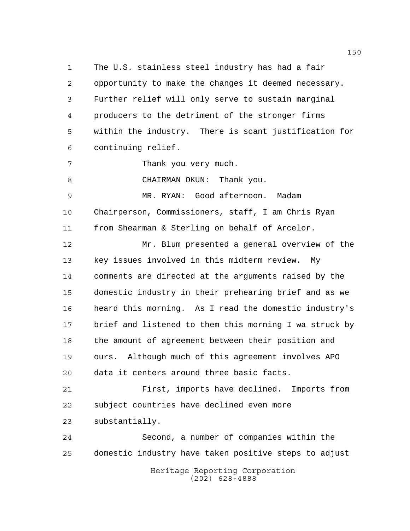The U.S. stainless steel industry has had a fair opportunity to make the changes it deemed necessary. Further relief will only serve to sustain marginal producers to the detriment of the stronger firms within the industry. There is scant justification for continuing relief. Thank you very much. 8 CHAIRMAN OKUN: Thank you. MR. RYAN: Good afternoon. Madam

 Chairperson, Commissioners, staff, I am Chris Ryan from Shearman & Sterling on behalf of Arcelor.

 Mr. Blum presented a general overview of the key issues involved in this midterm review. My comments are directed at the arguments raised by the domestic industry in their prehearing brief and as we heard this morning. As I read the domestic industry's brief and listened to them this morning I wa struck by the amount of agreement between their position and ours. Although much of this agreement involves APO data it centers around three basic facts.

 First, imports have declined. Imports from subject countries have declined even more substantially.

 Second, a number of companies within the domestic industry have taken positive steps to adjust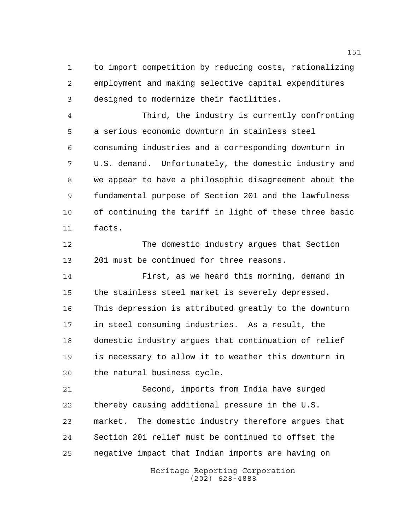to import competition by reducing costs, rationalizing employment and making selective capital expenditures designed to modernize their facilities.

 Third, the industry is currently confronting a serious economic downturn in stainless steel consuming industries and a corresponding downturn in U.S. demand. Unfortunately, the domestic industry and we appear to have a philosophic disagreement about the fundamental purpose of Section 201 and the lawfulness of continuing the tariff in light of these three basic facts.

 The domestic industry argues that Section 201 must be continued for three reasons.

 First, as we heard this morning, demand in the stainless steel market is severely depressed. This depression is attributed greatly to the downturn in steel consuming industries. As a result, the domestic industry argues that continuation of relief is necessary to allow it to weather this downturn in the natural business cycle.

 Second, imports from India have surged thereby causing additional pressure in the U.S. market. The domestic industry therefore argues that Section 201 relief must be continued to offset the negative impact that Indian imports are having on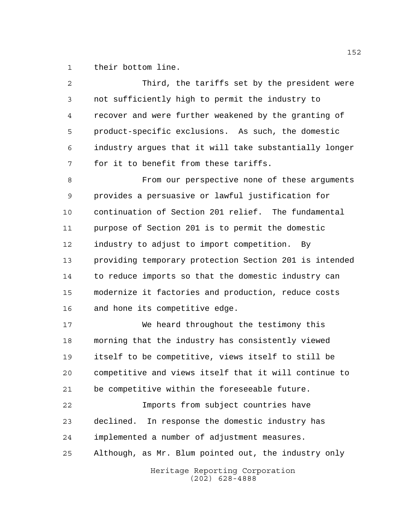their bottom line.

| 2  | Third, the tariffs set by the president were           |
|----|--------------------------------------------------------|
| 3  | not sufficiently high to permit the industry to        |
| 4  | recover and were further weakened by the granting of   |
| 5  | product-specific exclusions. As such, the domestic     |
| 6  | industry argues that it will take substantially longer |
| 7  | for it to benefit from these tariffs.                  |
| 8  | From our perspective none of these arguments           |
| 9  | provides a persuasive or lawful justification for      |
| 10 | continuation of Section 201 relief. The fundamental    |
| 11 | purpose of Section 201 is to permit the domestic       |
| 12 | industry to adjust to import competition. By           |
| 13 | providing temporary protection Section 201 is intended |
| 14 | to reduce imports so that the domestic industry can    |
| 15 | modernize it factories and production, reduce costs    |
| 16 | and hone its competitive edge.                         |
| 17 | We heard throughout the testimony this                 |
| 18 | morning that the industry has consistently viewed      |
| 19 | itself to be competitive, views itself to still be     |
| 20 | competitive and views itself that it will continue to  |
| 21 | be competitive within the foreseeable future.          |
| 22 | Imports from subject countries have                    |
| 23 | declined.<br>In response the domestic industry has     |
| 24 | implemented a number of adjustment measures.           |
| 25 | Although, as Mr. Blum pointed out, the industry only   |
|    | Heritage Reporting Corporation<br>$(202)$ 628-4888     |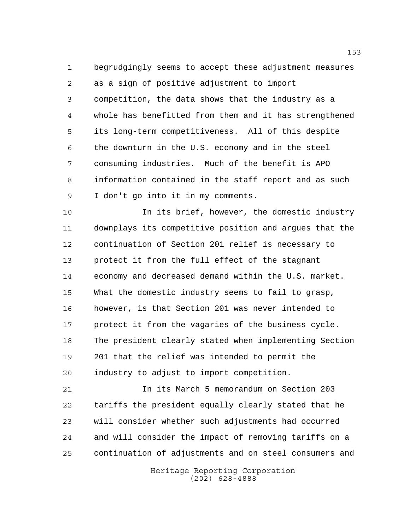begrudgingly seems to accept these adjustment measures as a sign of positive adjustment to import competition, the data shows that the industry as a whole has benefitted from them and it has strengthened its long-term competitiveness. All of this despite the downturn in the U.S. economy and in the steel consuming industries. Much of the benefit is APO information contained in the staff report and as such I don't go into it in my comments.

 In its brief, however, the domestic industry downplays its competitive position and argues that the continuation of Section 201 relief is necessary to protect it from the full effect of the stagnant economy and decreased demand within the U.S. market. What the domestic industry seems to fail to grasp, however, is that Section 201 was never intended to protect it from the vagaries of the business cycle. The president clearly stated when implementing Section 201 that the relief was intended to permit the industry to adjust to import competition.

 In its March 5 memorandum on Section 203 tariffs the president equally clearly stated that he will consider whether such adjustments had occurred and will consider the impact of removing tariffs on a continuation of adjustments and on steel consumers and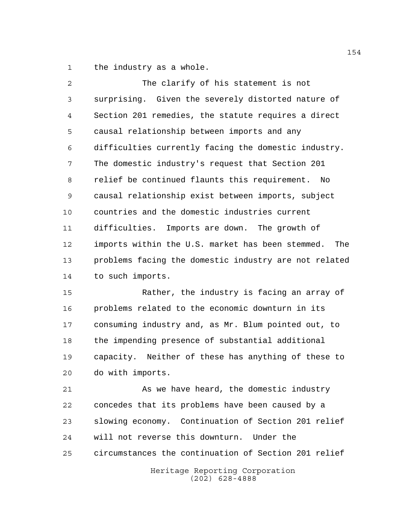the industry as a whole.

| $\overline{a}$ | The clarify of his statement is not                   |
|----------------|-------------------------------------------------------|
| 3              | surprising. Given the severely distorted nature of    |
| 4              | Section 201 remedies, the statute requires a direct   |
| 5              | causal relationship between imports and any           |
| 6              | difficulties currently facing the domestic industry.  |
| 7              | The domestic industry's request that Section 201      |
| 8              | relief be continued flaunts this requirement. No      |
| 9              | causal relationship exist between imports, subject    |
| 10             | countries and the domestic industries current         |
| 11             | difficulties. Imports are down. The growth of         |
| $12 \,$        | imports within the U.S. market has been stemmed. The  |
| 13             | problems facing the domestic industry are not related |
| 14             | to such imports.                                      |
| 15             | Rather, the industry is facing an array of            |
| 16             | problems related to the economic downturn in its      |
| 17             | consuming industry and, as Mr. Blum pointed out, to   |

 the impending presence of substantial additional capacity. Neither of these has anything of these to do with imports.

21 As we have heard, the domestic industry concedes that its problems have been caused by a slowing economy. Continuation of Section 201 relief will not reverse this downturn. Under the circumstances the continuation of Section 201 relief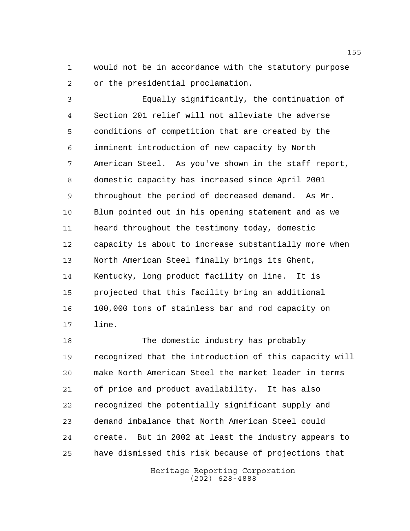would not be in accordance with the statutory purpose or the presidential proclamation.

 Equally significantly, the continuation of Section 201 relief will not alleviate the adverse conditions of competition that are created by the imminent introduction of new capacity by North American Steel. As you've shown in the staff report, domestic capacity has increased since April 2001 throughout the period of decreased demand. As Mr. Blum pointed out in his opening statement and as we heard throughout the testimony today, domestic capacity is about to increase substantially more when North American Steel finally brings its Ghent, Kentucky, long product facility on line. It is projected that this facility bring an additional 100,000 tons of stainless bar and rod capacity on line.

 The domestic industry has probably recognized that the introduction of this capacity will make North American Steel the market leader in terms of price and product availability. It has also recognized the potentially significant supply and demand imbalance that North American Steel could create. But in 2002 at least the industry appears to have dismissed this risk because of projections that

> Heritage Reporting Corporation (202) 628-4888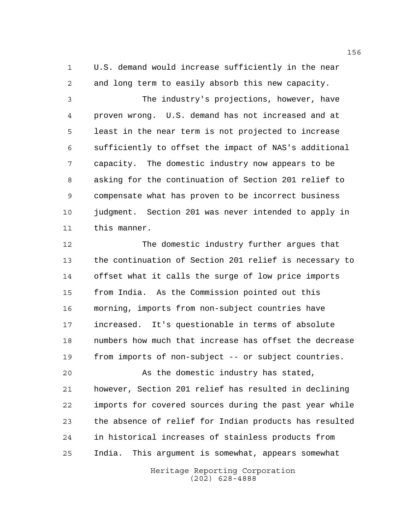U.S. demand would increase sufficiently in the near and long term to easily absorb this new capacity.

 The industry's projections, however, have proven wrong. U.S. demand has not increased and at least in the near term is not projected to increase sufficiently to offset the impact of NAS's additional capacity. The domestic industry now appears to be asking for the continuation of Section 201 relief to compensate what has proven to be incorrect business judgment. Section 201 was never intended to apply in this manner.

 The domestic industry further argues that the continuation of Section 201 relief is necessary to offset what it calls the surge of low price imports from India. As the Commission pointed out this morning, imports from non-subject countries have increased. It's questionable in terms of absolute numbers how much that increase has offset the decrease from imports of non-subject -- or subject countries.

 As the domestic industry has stated, however, Section 201 relief has resulted in declining imports for covered sources during the past year while the absence of relief for Indian products has resulted in historical increases of stainless products from India. This argument is somewhat, appears somewhat

> Heritage Reporting Corporation (202) 628-4888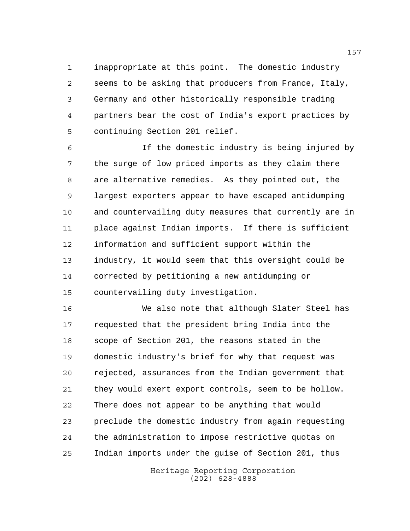inappropriate at this point. The domestic industry seems to be asking that producers from France, Italy, Germany and other historically responsible trading partners bear the cost of India's export practices by continuing Section 201 relief.

 If the domestic industry is being injured by the surge of low priced imports as they claim there are alternative remedies. As they pointed out, the largest exporters appear to have escaped antidumping and countervailing duty measures that currently are in place against Indian imports. If there is sufficient information and sufficient support within the industry, it would seem that this oversight could be corrected by petitioning a new antidumping or countervailing duty investigation.

 We also note that although Slater Steel has requested that the president bring India into the scope of Section 201, the reasons stated in the domestic industry's brief for why that request was rejected, assurances from the Indian government that they would exert export controls, seem to be hollow. There does not appear to be anything that would preclude the domestic industry from again requesting the administration to impose restrictive quotas on Indian imports under the guise of Section 201, thus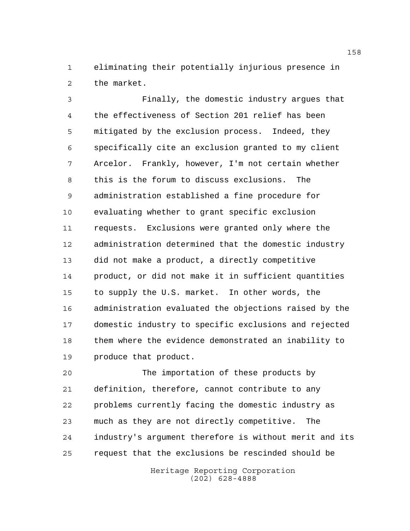eliminating their potentially injurious presence in the market.

 Finally, the domestic industry argues that the effectiveness of Section 201 relief has been mitigated by the exclusion process. Indeed, they specifically cite an exclusion granted to my client Arcelor. Frankly, however, I'm not certain whether this is the forum to discuss exclusions. The administration established a fine procedure for evaluating whether to grant specific exclusion requests. Exclusions were granted only where the administration determined that the domestic industry did not make a product, a directly competitive product, or did not make it in sufficient quantities to supply the U.S. market. In other words, the administration evaluated the objections raised by the domestic industry to specific exclusions and rejected them where the evidence demonstrated an inability to produce that product.

 The importation of these products by definition, therefore, cannot contribute to any problems currently facing the domestic industry as much as they are not directly competitive. The industry's argument therefore is without merit and its request that the exclusions be rescinded should be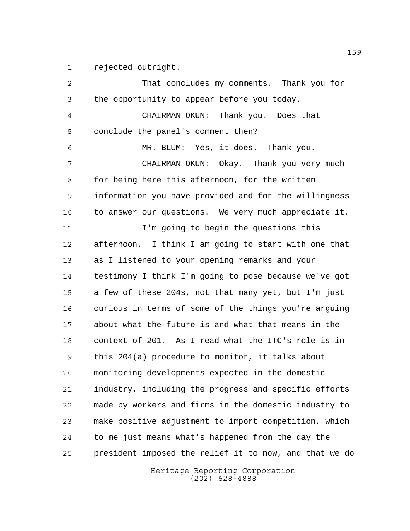rejected outright.

Heritage Reporting Corporation That concludes my comments. Thank you for the opportunity to appear before you today. CHAIRMAN OKUN: Thank you. Does that conclude the panel's comment then? MR. BLUM: Yes, it does. Thank you. CHAIRMAN OKUN: Okay. Thank you very much for being here this afternoon, for the written information you have provided and for the willingness to answer our questions. We very much appreciate it. I'm going to begin the questions this afternoon. I think I am going to start with one that as I listened to your opening remarks and your testimony I think I'm going to pose because we've got a few of these 204s, not that many yet, but I'm just curious in terms of some of the things you're arguing about what the future is and what that means in the context of 201. As I read what the ITC's role is in this 204(a) procedure to monitor, it talks about monitoring developments expected in the domestic industry, including the progress and specific efforts made by workers and firms in the domestic industry to make positive adjustment to import competition, which to me just means what's happened from the day the president imposed the relief it to now, and that we do

(202) 628-4888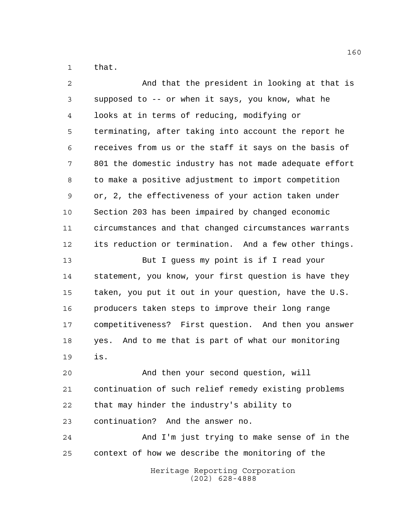that.

| $\overline{2}$ | And that the president in looking at that is           |
|----------------|--------------------------------------------------------|
| 3              | supposed to -- or when it says, you know, what he      |
| 4              | looks at in terms of reducing, modifying or            |
| 5              | terminating, after taking into account the report he   |
| 6              | receives from us or the staff it says on the basis of  |
| 7              | 801 the domestic industry has not made adequate effort |
| 8              | to make a positive adjustment to import competition    |
| 9              | or, 2, the effectiveness of your action taken under    |
| 10             | Section 203 has been impaired by changed economic      |
| 11             | circumstances and that changed circumstances warrants  |
| 12             | its reduction or termination. And a few other things.  |
| 13             | But I guess my point is if I read your                 |
| 14             | statement, you know, your first question is have they  |
| 15             | taken, you put it out in your question, have the U.S.  |
| 16             | producers taken steps to improve their long range      |
| 17             | competitiveness? First question. And then you answer   |
| 18             | yes. And to me that is part of what our monitoring     |
| 19             | is.                                                    |
| 20             | And then your second question, will                    |
| 21             | continuation of such relief remedy existing problems   |
| 22             | that may hinder the industry's ability to              |
| 23             | continuation? And the answer no.                       |
| 24             | And I'm just trying to make sense of in the            |
| 25             | context of how we describe the monitoring of the       |
|                | Heritage Reporting Corporation<br>$(202)$ 628-4888     |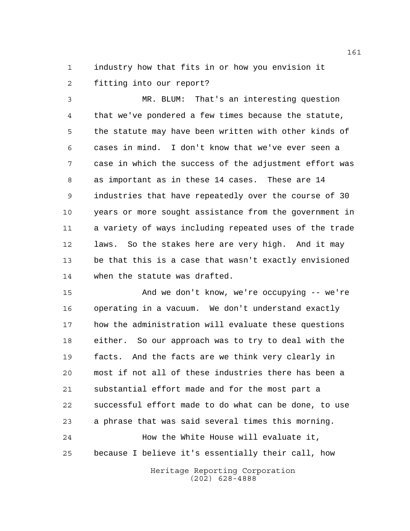industry how that fits in or how you envision it fitting into our report?

 MR. BLUM: That's an interesting question that we've pondered a few times because the statute, the statute may have been written with other kinds of cases in mind. I don't know that we've ever seen a case in which the success of the adjustment effort was as important as in these 14 cases. These are 14 industries that have repeatedly over the course of 30 years or more sought assistance from the government in a variety of ways including repeated uses of the trade laws. So the stakes here are very high. And it may be that this is a case that wasn't exactly envisioned when the statute was drafted.

 And we don't know, we're occupying -- we're operating in a vacuum. We don't understand exactly how the administration will evaluate these questions either. So our approach was to try to deal with the facts. And the facts are we think very clearly in most if not all of these industries there has been a substantial effort made and for the most part a successful effort made to do what can be done, to use a phrase that was said several times this morning. How the White House will evaluate it, because I believe it's essentially their call, how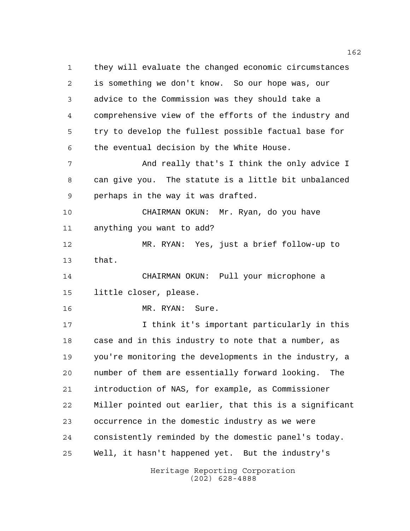Heritage Reporting Corporation (202) 628-4888 they will evaluate the changed economic circumstances is something we don't know. So our hope was, our advice to the Commission was they should take a comprehensive view of the efforts of the industry and try to develop the fullest possible factual base for the eventual decision by the White House. And really that's I think the only advice I can give you. The statute is a little bit unbalanced perhaps in the way it was drafted. CHAIRMAN OKUN: Mr. Ryan, do you have anything you want to add? MR. RYAN: Yes, just a brief follow-up to that. CHAIRMAN OKUN: Pull your microphone a little closer, please. 16 MR. RYAN: Sure. I think it's important particularly in this case and in this industry to note that a number, as you're monitoring the developments in the industry, a number of them are essentially forward looking. The introduction of NAS, for example, as Commissioner Miller pointed out earlier, that this is a significant occurrence in the domestic industry as we were consistently reminded by the domestic panel's today. Well, it hasn't happened yet. But the industry's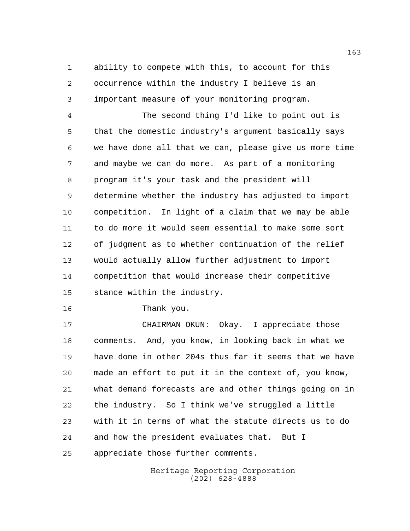ability to compete with this, to account for this occurrence within the industry I believe is an important measure of your monitoring program.

 The second thing I'd like to point out is that the domestic industry's argument basically says we have done all that we can, please give us more time and maybe we can do more. As part of a monitoring program it's your task and the president will determine whether the industry has adjusted to import competition. In light of a claim that we may be able to do more it would seem essential to make some sort of judgment as to whether continuation of the relief would actually allow further adjustment to import competition that would increase their competitive stance within the industry.

Thank you.

 CHAIRMAN OKUN: Okay. I appreciate those comments. And, you know, in looking back in what we have done in other 204s thus far it seems that we have made an effort to put it in the context of, you know, what demand forecasts are and other things going on in the industry. So I think we've struggled a little with it in terms of what the statute directs us to do and how the president evaluates that. But I appreciate those further comments.

> Heritage Reporting Corporation (202) 628-4888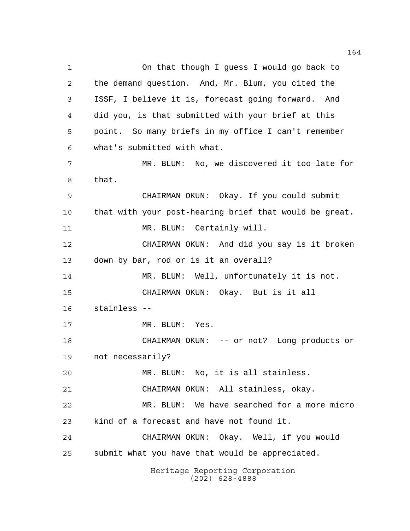Heritage Reporting Corporation On that though I guess I would go back to the demand question. And, Mr. Blum, you cited the ISSF, I believe it is, forecast going forward. And did you, is that submitted with your brief at this point. So many briefs in my office I can't remember what's submitted with what. MR. BLUM: No, we discovered it too late for that. CHAIRMAN OKUN: Okay. If you could submit that with your post-hearing brief that would be great. 11 MR. BLUM: Certainly will. CHAIRMAN OKUN: And did you say is it broken down by bar, rod or is it an overall? 14 MR. BLUM: Well, unfortunately it is not. CHAIRMAN OKUN: Okay. But is it all stainless -- 17 MR. BLUM: Yes. CHAIRMAN OKUN: -- or not? Long products or not necessarily? MR. BLUM: No, it is all stainless. CHAIRMAN OKUN: All stainless, okay. MR. BLUM: We have searched for a more micro kind of a forecast and have not found it. CHAIRMAN OKUN: Okay. Well, if you would submit what you have that would be appreciated.

(202) 628-4888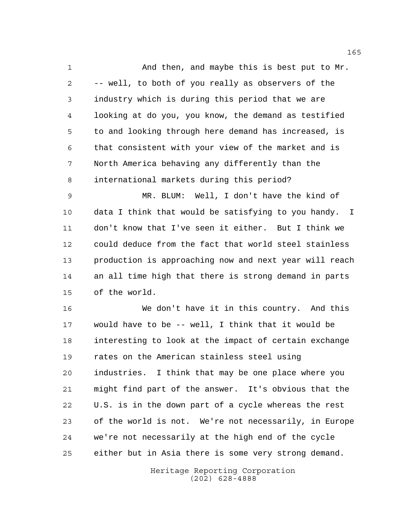1 And then, and maybe this is best put to Mr. -- well, to both of you really as observers of the industry which is during this period that we are looking at do you, you know, the demand as testified to and looking through here demand has increased, is that consistent with your view of the market and is North America behaving any differently than the international markets during this period?

 MR. BLUM: Well, I don't have the kind of data I think that would be satisfying to you handy. I don't know that I've seen it either. But I think we could deduce from the fact that world steel stainless production is approaching now and next year will reach an all time high that there is strong demand in parts of the world.

 We don't have it in this country. And this would have to be -- well, I think that it would be interesting to look at the impact of certain exchange rates on the American stainless steel using industries. I think that may be one place where you might find part of the answer. It's obvious that the U.S. is in the down part of a cycle whereas the rest of the world is not. We're not necessarily, in Europe we're not necessarily at the high end of the cycle either but in Asia there is some very strong demand.

> Heritage Reporting Corporation (202) 628-4888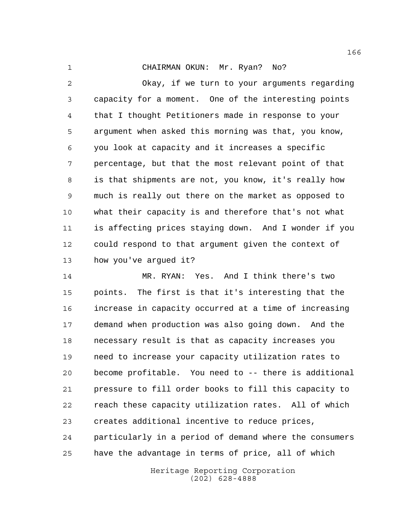CHAIRMAN OKUN: Mr. Ryan? No?

 Okay, if we turn to your arguments regarding capacity for a moment. One of the interesting points that I thought Petitioners made in response to your argument when asked this morning was that, you know, you look at capacity and it increases a specific percentage, but that the most relevant point of that is that shipments are not, you know, it's really how much is really out there on the market as opposed to what their capacity is and therefore that's not what is affecting prices staying down. And I wonder if you could respond to that argument given the context of how you've argued it?

 MR. RYAN: Yes. And I think there's two points. The first is that it's interesting that the increase in capacity occurred at a time of increasing demand when production was also going down. And the necessary result is that as capacity increases you need to increase your capacity utilization rates to become profitable. You need to -- there is additional pressure to fill order books to fill this capacity to reach these capacity utilization rates. All of which creates additional incentive to reduce prices, particularly in a period of demand where the consumers have the advantage in terms of price, all of which

> Heritage Reporting Corporation (202) 628-4888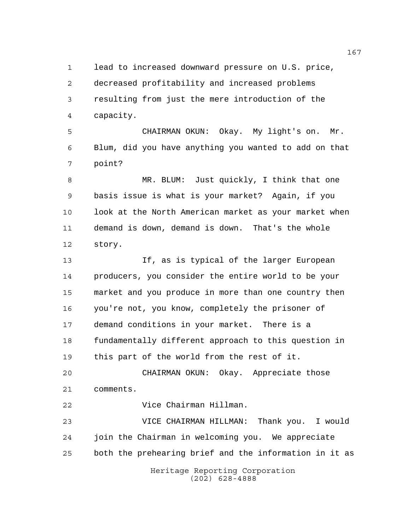lead to increased downward pressure on U.S. price, decreased profitability and increased problems resulting from just the mere introduction of the capacity.

 CHAIRMAN OKUN: Okay. My light's on. Mr. Blum, did you have anything you wanted to add on that point?

 MR. BLUM: Just quickly, I think that one basis issue is what is your market? Again, if you 10 look at the North American market as your market when demand is down, demand is down. That's the whole story.

 If, as is typical of the larger European producers, you consider the entire world to be your market and you produce in more than one country then you're not, you know, completely the prisoner of demand conditions in your market. There is a fundamentally different approach to this question in this part of the world from the rest of it.

 CHAIRMAN OKUN: Okay. Appreciate those comments.

Vice Chairman Hillman.

Heritage Reporting Corporation VICE CHAIRMAN HILLMAN: Thank you. I would join the Chairman in welcoming you. We appreciate both the prehearing brief and the information in it as

(202) 628-4888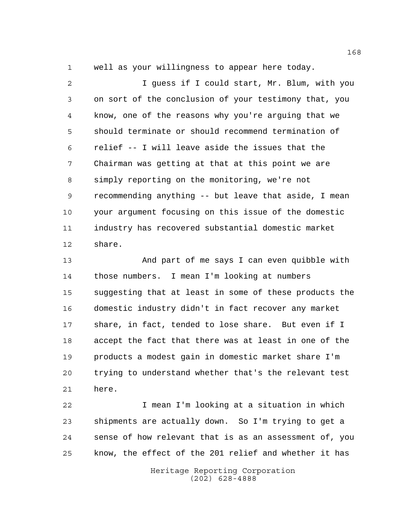well as your willingness to appear here today.

 I guess if I could start, Mr. Blum, with you on sort of the conclusion of your testimony that, you know, one of the reasons why you're arguing that we should terminate or should recommend termination of relief -- I will leave aside the issues that the Chairman was getting at that at this point we are simply reporting on the monitoring, we're not recommending anything -- but leave that aside, I mean your argument focusing on this issue of the domestic industry has recovered substantial domestic market share.

 And part of me says I can even quibble with those numbers. I mean I'm looking at numbers suggesting that at least in some of these products the domestic industry didn't in fact recover any market share, in fact, tended to lose share. But even if I accept the fact that there was at least in one of the products a modest gain in domestic market share I'm trying to understand whether that's the relevant test here.

 I mean I'm looking at a situation in which shipments are actually down. So I'm trying to get a sense of how relevant that is as an assessment of, you know, the effect of the 201 relief and whether it has

> Heritage Reporting Corporation (202) 628-4888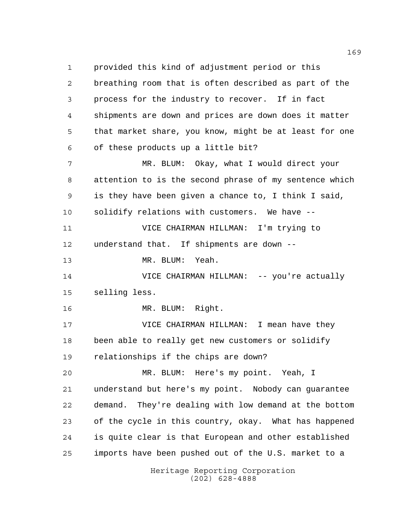Heritage Reporting Corporation provided this kind of adjustment period or this breathing room that is often described as part of the process for the industry to recover. If in fact shipments are down and prices are down does it matter that market share, you know, might be at least for one of these products up a little bit? MR. BLUM: Okay, what I would direct your attention to is the second phrase of my sentence which is they have been given a chance to, I think I said, solidify relations with customers. We have -- VICE CHAIRMAN HILLMAN: I'm trying to understand that. If shipments are down -- MR. BLUM: Yeah. VICE CHAIRMAN HILLMAN: -- you're actually selling less. MR. BLUM: Right. VICE CHAIRMAN HILLMAN: I mean have they been able to really get new customers or solidify relationships if the chips are down? MR. BLUM: Here's my point. Yeah, I understand but here's my point. Nobody can guarantee demand. They're dealing with low demand at the bottom of the cycle in this country, okay. What has happened is quite clear is that European and other established imports have been pushed out of the U.S. market to a

(202) 628-4888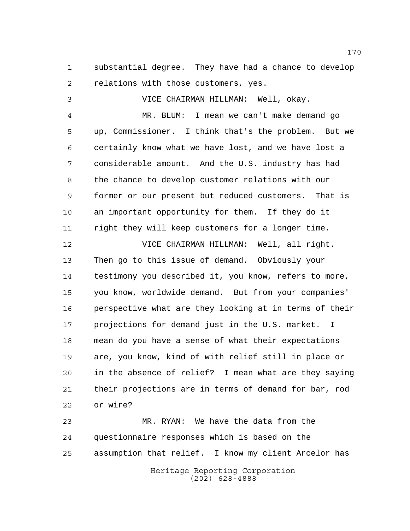substantial degree. They have had a chance to develop relations with those customers, yes.

 VICE CHAIRMAN HILLMAN: Well, okay. MR. BLUM: I mean we can't make demand go up, Commissioner. I think that's the problem. But we certainly know what we have lost, and we have lost a considerable amount. And the U.S. industry has had the chance to develop customer relations with our former or our present but reduced customers. That is an important opportunity for them. If they do it right they will keep customers for a longer time.

 VICE CHAIRMAN HILLMAN: Well, all right. Then go to this issue of demand. Obviously your testimony you described it, you know, refers to more, you know, worldwide demand. But from your companies' perspective what are they looking at in terms of their projections for demand just in the U.S. market. I mean do you have a sense of what their expectations are, you know, kind of with relief still in place or in the absence of relief? I mean what are they saying their projections are in terms of demand for bar, rod or wire?

Heritage Reporting Corporation MR. RYAN: We have the data from the questionnaire responses which is based on the assumption that relief. I know my client Arcelor has

(202) 628-4888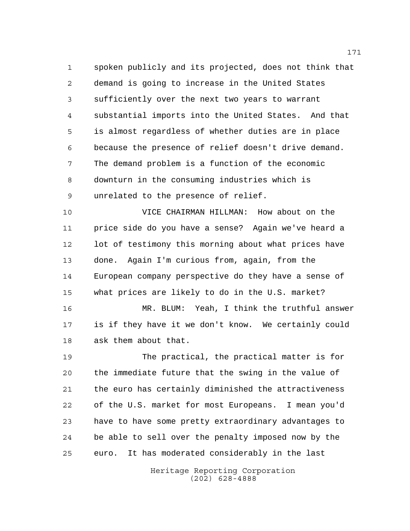spoken publicly and its projected, does not think that demand is going to increase in the United States sufficiently over the next two years to warrant substantial imports into the United States. And that is almost regardless of whether duties are in place because the presence of relief doesn't drive demand. The demand problem is a function of the economic downturn in the consuming industries which is unrelated to the presence of relief.

 VICE CHAIRMAN HILLMAN: How about on the price side do you have a sense? Again we've heard a 12 lot of testimony this morning about what prices have done. Again I'm curious from, again, from the European company perspective do they have a sense of what prices are likely to do in the U.S. market?

 MR. BLUM: Yeah, I think the truthful answer is if they have it we don't know. We certainly could ask them about that.

 The practical, the practical matter is for the immediate future that the swing in the value of the euro has certainly diminished the attractiveness of the U.S. market for most Europeans. I mean you'd have to have some pretty extraordinary advantages to be able to sell over the penalty imposed now by the euro. It has moderated considerably in the last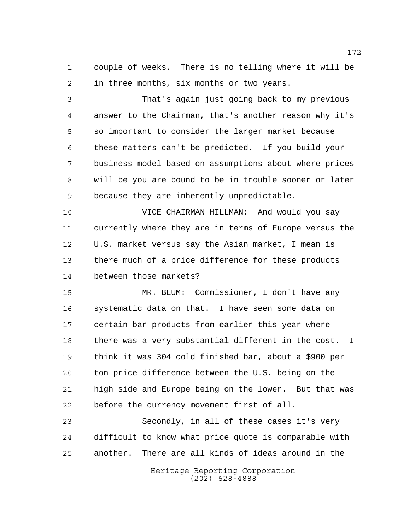couple of weeks. There is no telling where it will be in three months, six months or two years.

 That's again just going back to my previous answer to the Chairman, that's another reason why it's so important to consider the larger market because these matters can't be predicted. If you build your business model based on assumptions about where prices will be you are bound to be in trouble sooner or later because they are inherently unpredictable.

 VICE CHAIRMAN HILLMAN: And would you say currently where they are in terms of Europe versus the U.S. market versus say the Asian market, I mean is there much of a price difference for these products between those markets?

 MR. BLUM: Commissioner, I don't have any systematic data on that. I have seen some data on certain bar products from earlier this year where there was a very substantial different in the cost. I think it was 304 cold finished bar, about a \$900 per ton price difference between the U.S. being on the high side and Europe being on the lower. But that was before the currency movement first of all.

 Secondly, in all of these cases it's very difficult to know what price quote is comparable with another. There are all kinds of ideas around in the

> Heritage Reporting Corporation (202) 628-4888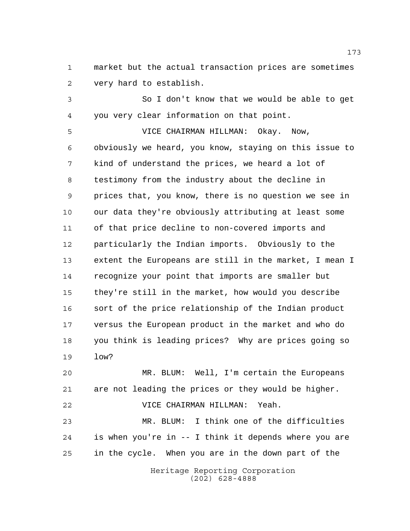market but the actual transaction prices are sometimes very hard to establish.

 So I don't know that we would be able to get you very clear information on that point.

 VICE CHAIRMAN HILLMAN: Okay. Now, obviously we heard, you know, staying on this issue to kind of understand the prices, we heard a lot of testimony from the industry about the decline in prices that, you know, there is no question we see in our data they're obviously attributing at least some of that price decline to non-covered imports and particularly the Indian imports. Obviously to the extent the Europeans are still in the market, I mean I recognize your point that imports are smaller but they're still in the market, how would you describe sort of the price relationship of the Indian product versus the European product in the market and who do you think is leading prices? Why are prices going so low?

 MR. BLUM: Well, I'm certain the Europeans are not leading the prices or they would be higher. VICE CHAIRMAN HILLMAN: Yeah.

 MR. BLUM: I think one of the difficulties is when you're in -- I think it depends where you are in the cycle. When you are in the down part of the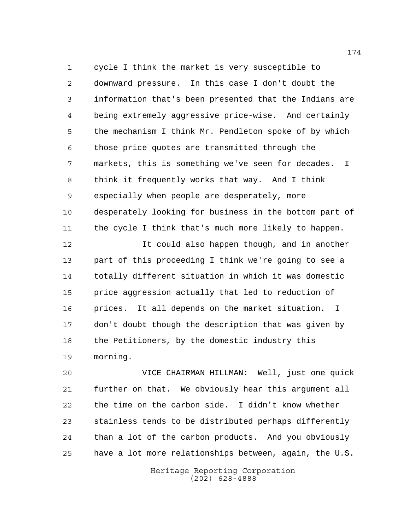cycle I think the market is very susceptible to downward pressure. In this case I don't doubt the information that's been presented that the Indians are being extremely aggressive price-wise. And certainly the mechanism I think Mr. Pendleton spoke of by which those price quotes are transmitted through the markets, this is something we've seen for decades. I think it frequently works that way. And I think especially when people are desperately, more desperately looking for business in the bottom part of the cycle I think that's much more likely to happen.

**It could also happen though, and in another**  part of this proceeding I think we're going to see a totally different situation in which it was domestic price aggression actually that led to reduction of prices. It all depends on the market situation. I don't doubt though the description that was given by the Petitioners, by the domestic industry this morning.

 VICE CHAIRMAN HILLMAN: Well, just one quick further on that. We obviously hear this argument all the time on the carbon side. I didn't know whether stainless tends to be distributed perhaps differently than a lot of the carbon products. And you obviously have a lot more relationships between, again, the U.S.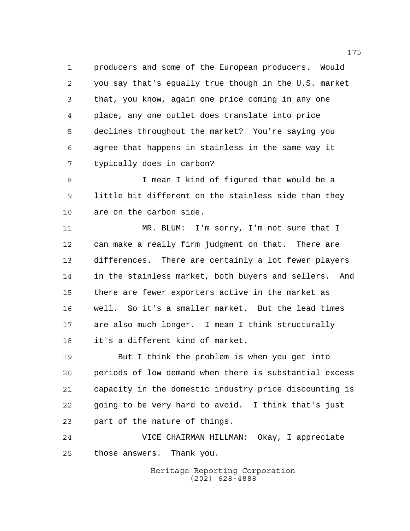producers and some of the European producers. Would you say that's equally true though in the U.S. market that, you know, again one price coming in any one place, any one outlet does translate into price declines throughout the market? You're saying you agree that happens in stainless in the same way it typically does in carbon?

 I mean I kind of figured that would be a little bit different on the stainless side than they are on the carbon side.

11 MR. BLUM: I'm sorry, I'm not sure that I can make a really firm judgment on that. There are differences. There are certainly a lot fewer players in the stainless market, both buyers and sellers. And there are fewer exporters active in the market as well. So it's a smaller market. But the lead times are also much longer. I mean I think structurally it's a different kind of market.

 But I think the problem is when you get into periods of low demand when there is substantial excess capacity in the domestic industry price discounting is going to be very hard to avoid. I think that's just part of the nature of things.

 VICE CHAIRMAN HILLMAN: Okay, I appreciate those answers. Thank you.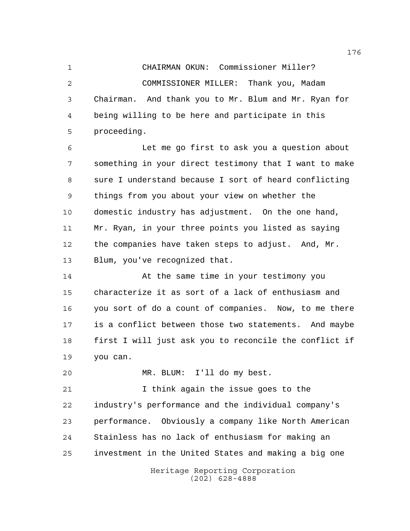CHAIRMAN OKUN: Commissioner Miller? COMMISSIONER MILLER: Thank you, Madam Chairman. And thank you to Mr. Blum and Mr. Ryan for being willing to be here and participate in this proceeding.

 Let me go first to ask you a question about something in your direct testimony that I want to make sure I understand because I sort of heard conflicting things from you about your view on whether the domestic industry has adjustment. On the one hand, Mr. Ryan, in your three points you listed as saying the companies have taken steps to adjust. And, Mr. Blum, you've recognized that.

 At the same time in your testimony you characterize it as sort of a lack of enthusiasm and you sort of do a count of companies. Now, to me there is a conflict between those two statements. And maybe first I will just ask you to reconcile the conflict if you can.

MR. BLUM: I'll do my best.

 I think again the issue goes to the industry's performance and the individual company's performance. Obviously a company like North American Stainless has no lack of enthusiasm for making an investment in the United States and making a big one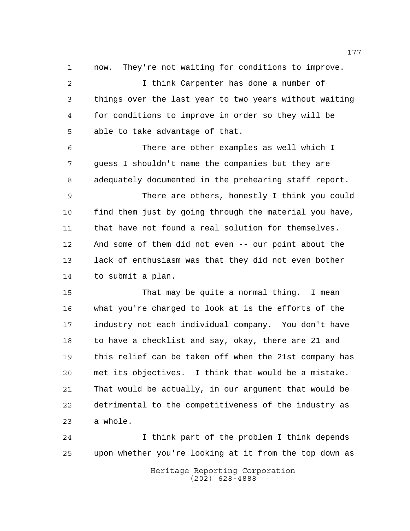now. They're not waiting for conditions to improve.

 I think Carpenter has done a number of things over the last year to two years without waiting for conditions to improve in order so they will be able to take advantage of that.

 There are other examples as well which I guess I shouldn't name the companies but they are adequately documented in the prehearing staff report.

 There are others, honestly I think you could find them just by going through the material you have, that have not found a real solution for themselves. And some of them did not even -- our point about the lack of enthusiasm was that they did not even bother to submit a plan.

 That may be quite a normal thing. I mean what you're charged to look at is the efforts of the industry not each individual company. You don't have to have a checklist and say, okay, there are 21 and this relief can be taken off when the 21st company has met its objectives. I think that would be a mistake. That would be actually, in our argument that would be detrimental to the competitiveness of the industry as a whole.

 I think part of the problem I think depends upon whether you're looking at it from the top down as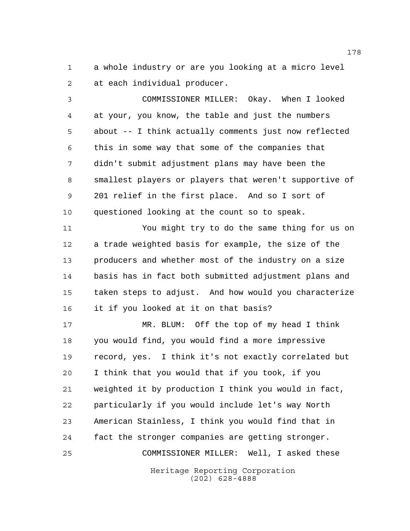a whole industry or are you looking at a micro level at each individual producer.

 COMMISSIONER MILLER: Okay. When I looked at your, you know, the table and just the numbers about -- I think actually comments just now reflected this in some way that some of the companies that didn't submit adjustment plans may have been the smallest players or players that weren't supportive of 201 relief in the first place. And so I sort of questioned looking at the count so to speak.

 You might try to do the same thing for us on a trade weighted basis for example, the size of the producers and whether most of the industry on a size basis has in fact both submitted adjustment plans and taken steps to adjust. And how would you characterize it if you looked at it on that basis?

Heritage Reporting Corporation MR. BLUM: Off the top of my head I think you would find, you would find a more impressive record, yes. I think it's not exactly correlated but I think that you would that if you took, if you weighted it by production I think you would in fact, particularly if you would include let's way North American Stainless, I think you would find that in fact the stronger companies are getting stronger. COMMISSIONER MILLER: Well, I asked these

(202) 628-4888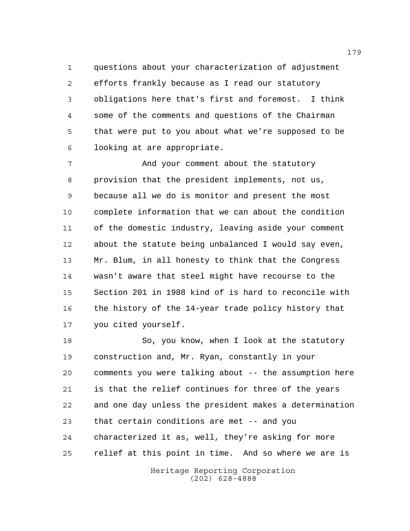questions about your characterization of adjustment efforts frankly because as I read our statutory obligations here that's first and foremost. I think some of the comments and questions of the Chairman that were put to you about what we're supposed to be looking at are appropriate.

 And your comment about the statutory provision that the president implements, not us, because all we do is monitor and present the most complete information that we can about the condition of the domestic industry, leaving aside your comment about the statute being unbalanced I would say even, Mr. Blum, in all honesty to think that the Congress wasn't aware that steel might have recourse to the Section 201 in 1988 kind of is hard to reconcile with 16 the history of the 14-year trade policy history that you cited yourself.

 So, you know, when I look at the statutory construction and, Mr. Ryan, constantly in your comments you were talking about -- the assumption here is that the relief continues for three of the years and one day unless the president makes a determination that certain conditions are met -- and you characterized it as, well, they're asking for more relief at this point in time. And so where we are is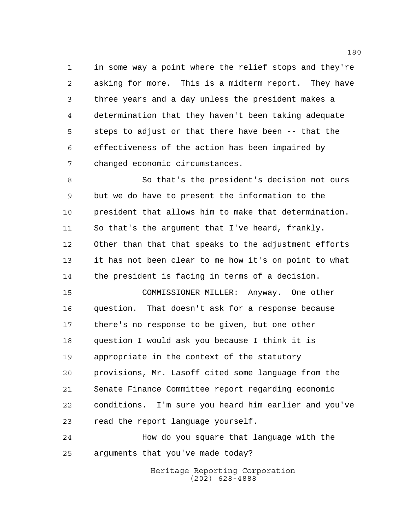in some way a point where the relief stops and they're asking for more. This is a midterm report. They have three years and a day unless the president makes a determination that they haven't been taking adequate steps to adjust or that there have been -- that the effectiveness of the action has been impaired by changed economic circumstances.

 So that's the president's decision not ours but we do have to present the information to the president that allows him to make that determination. 11 So that's the argument that I've heard, frankly. Other than that that speaks to the adjustment efforts it has not been clear to me how it's on point to what the president is facing in terms of a decision.

 COMMISSIONER MILLER: Anyway. One other question. That doesn't ask for a response because there's no response to be given, but one other question I would ask you because I think it is appropriate in the context of the statutory provisions, Mr. Lasoff cited some language from the Senate Finance Committee report regarding economic conditions. I'm sure you heard him earlier and you've read the report language yourself.

 How do you square that language with the arguments that you've made today?

> Heritage Reporting Corporation (202) 628-4888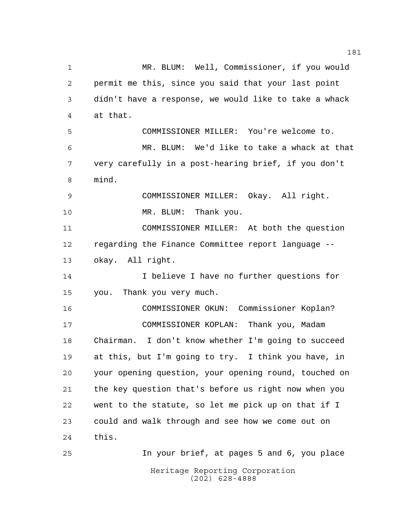Heritage Reporting Corporation MR. BLUM: Well, Commissioner, if you would permit me this, since you said that your last point didn't have a response, we would like to take a whack at that. COMMISSIONER MILLER: You're welcome to. MR. BLUM: We'd like to take a whack at that very carefully in a post-hearing brief, if you don't mind. COMMISSIONER MILLER: Okay. All right. 10 MR. BLUM: Thank you. COMMISSIONER MILLER: At both the question regarding the Finance Committee report language -- okay. All right. I believe I have no further questions for you. Thank you very much. COMMISSIONER OKUN: Commissioner Koplan? COMMISSIONER KOPLAN: Thank you, Madam Chairman. I don't know whether I'm going to succeed at this, but I'm going to try. I think you have, in your opening question, your opening round, touched on the key question that's before us right now when you went to the statute, so let me pick up on that if I could and walk through and see how we come out on this. In your brief, at pages 5 and 6, you place

(202) 628-4888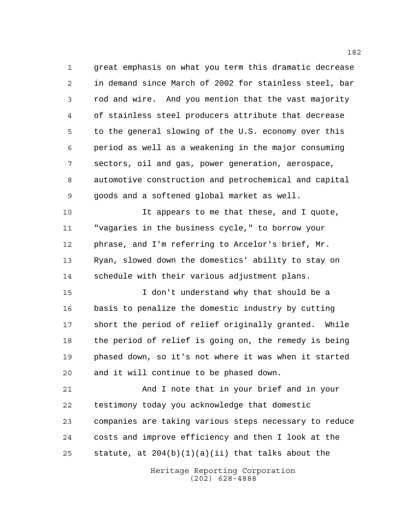great emphasis on what you term this dramatic decrease in demand since March of 2002 for stainless steel, bar rod and wire. And you mention that the vast majority of stainless steel producers attribute that decrease to the general slowing of the U.S. economy over this period as well as a weakening in the major consuming sectors, oil and gas, power generation, aerospace, automotive construction and petrochemical and capital goods and a softened global market as well.

 It appears to me that these, and I quote, "vagaries in the business cycle," to borrow your phrase, and I'm referring to Arcelor's brief, Mr. Ryan, slowed down the domestics' ability to stay on schedule with their various adjustment plans.

 I don't understand why that should be a basis to penalize the domestic industry by cutting short the period of relief originally granted. While the period of relief is going on, the remedy is being phased down, so it's not where it was when it started and it will continue to be phased down.

 And I note that in your brief and in your testimony today you acknowledge that domestic companies are taking various steps necessary to reduce costs and improve efficiency and then I look at the 25 statute, at  $204(b)(1)(a)(ii)$  that talks about the

> Heritage Reporting Corporation (202) 628-4888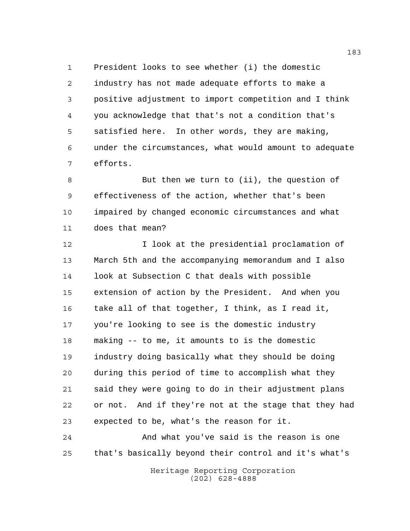President looks to see whether (i) the domestic industry has not made adequate efforts to make a positive adjustment to import competition and I think you acknowledge that that's not a condition that's satisfied here. In other words, they are making, under the circumstances, what would amount to adequate efforts.

 But then we turn to (ii), the question of effectiveness of the action, whether that's been impaired by changed economic circumstances and what does that mean?

 I look at the presidential proclamation of March 5th and the accompanying memorandum and I also look at Subsection C that deals with possible extension of action by the President. And when you take all of that together, I think, as I read it, you're looking to see is the domestic industry making -- to me, it amounts to is the domestic industry doing basically what they should be doing during this period of time to accomplish what they said they were going to do in their adjustment plans or not. And if they're not at the stage that they had expected to be, what's the reason for it.

 And what you've said is the reason is one that's basically beyond their control and it's what's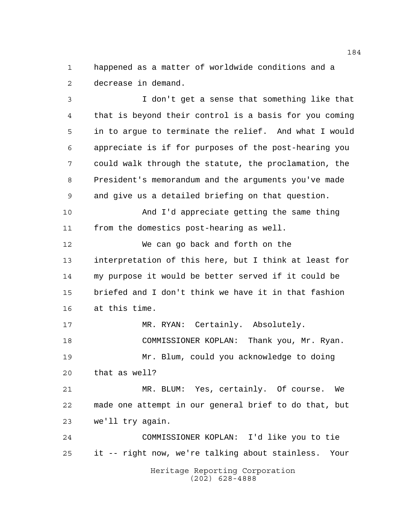happened as a matter of worldwide conditions and a decrease in demand.

 I don't get a sense that something like that that is beyond their control is a basis for you coming in to argue to terminate the relief. And what I would appreciate is if for purposes of the post-hearing you could walk through the statute, the proclamation, the President's memorandum and the arguments you've made and give us a detailed briefing on that question. And I'd appreciate getting the same thing from the domestics post-hearing as well. We can go back and forth on the interpretation of this here, but I think at least for my purpose it would be better served if it could be briefed and I don't think we have it in that fashion at this time. MR. RYAN: Certainly. Absolutely. COMMISSIONER KOPLAN: Thank you, Mr. Ryan. Mr. Blum, could you acknowledge to doing that as well? MR. BLUM: Yes, certainly. Of course. We made one attempt in our general brief to do that, but we'll try again.

Heritage Reporting Corporation (202) 628-4888 COMMISSIONER KOPLAN: I'd like you to tie it -- right now, we're talking about stainless. Your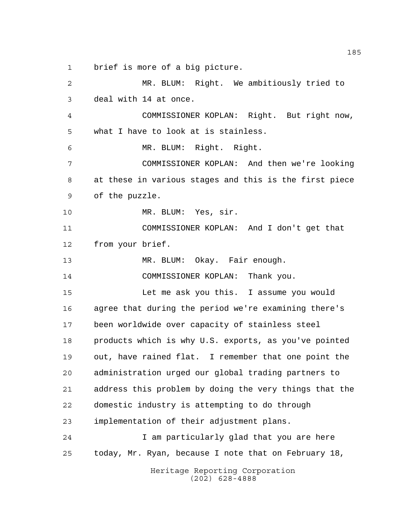brief is more of a big picture.

Heritage Reporting Corporation MR. BLUM: Right. We ambitiously tried to deal with 14 at once. COMMISSIONER KOPLAN: Right. But right now, what I have to look at is stainless. MR. BLUM: Right. Right. COMMISSIONER KOPLAN: And then we're looking at these in various stages and this is the first piece of the puzzle. MR. BLUM: Yes, sir. COMMISSIONER KOPLAN: And I don't get that from your brief. MR. BLUM: Okay. Fair enough. COMMISSIONER KOPLAN: Thank you. Let me ask you this. I assume you would agree that during the period we're examining there's been worldwide over capacity of stainless steel products which is why U.S. exports, as you've pointed out, have rained flat. I remember that one point the administration urged our global trading partners to address this problem by doing the very things that the domestic industry is attempting to do through implementation of their adjustment plans. I am particularly glad that you are here today, Mr. Ryan, because I note that on February 18,

(202) 628-4888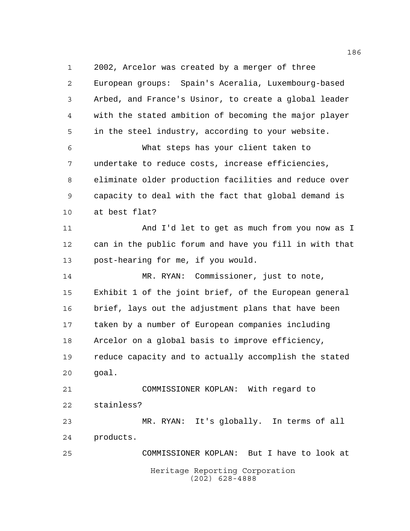2002, Arcelor was created by a merger of three

 European groups: Spain's Aceralia, Luxembourg-based Arbed, and France's Usinor, to create a global leader with the stated ambition of becoming the major player in the steel industry, according to your website. What steps has your client taken to undertake to reduce costs, increase efficiencies, eliminate older production facilities and reduce over capacity to deal with the fact that global demand is at best flat? And I'd let to get as much from you now as I can in the public forum and have you fill in with that post-hearing for me, if you would. MR. RYAN: Commissioner, just to note, Exhibit 1 of the joint brief, of the European general brief, lays out the adjustment plans that have been taken by a number of European companies including Arcelor on a global basis to improve efficiency, reduce capacity and to actually accomplish the stated goal. COMMISSIONER KOPLAN: With regard to stainless? MR. RYAN: It's globally. In terms of all products.

Heritage Reporting Corporation (202) 628-4888 COMMISSIONER KOPLAN: But I have to look at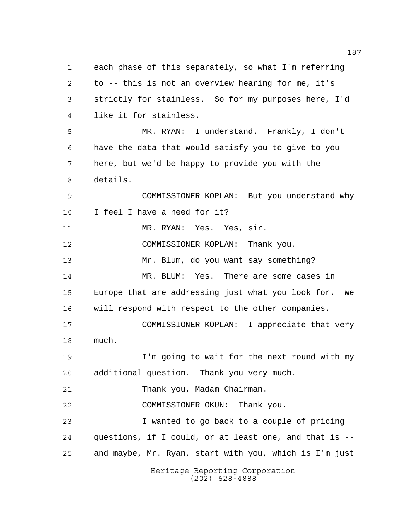Heritage Reporting Corporation each phase of this separately, so what I'm referring to -- this is not an overview hearing for me, it's strictly for stainless. So for my purposes here, I'd like it for stainless. MR. RYAN: I understand. Frankly, I don't have the data that would satisfy you to give to you here, but we'd be happy to provide you with the details. COMMISSIONER KOPLAN: But you understand why I feel I have a need for it? MR. RYAN: Yes. Yes, sir. COMMISSIONER KOPLAN: Thank you. Mr. Blum, do you want say something? MR. BLUM: Yes. There are some cases in Europe that are addressing just what you look for. We will respond with respect to the other companies. COMMISSIONER KOPLAN: I appreciate that very much. I'm going to wait for the next round with my additional question. Thank you very much. 21 Thank you, Madam Chairman. COMMISSIONER OKUN: Thank you. I wanted to go back to a couple of pricing questions, if I could, or at least one, and that is -- and maybe, Mr. Ryan, start with you, which is I'm just

(202) 628-4888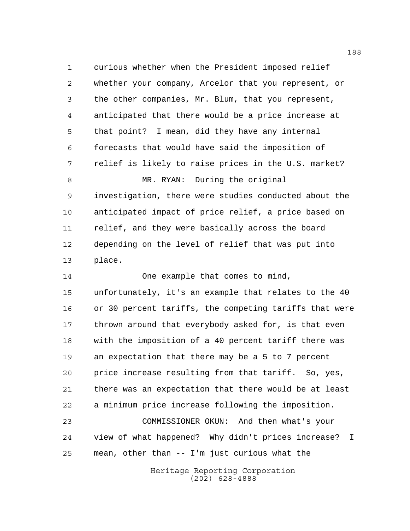curious whether when the President imposed relief whether your company, Arcelor that you represent, or the other companies, Mr. Blum, that you represent, anticipated that there would be a price increase at that point? I mean, did they have any internal forecasts that would have said the imposition of relief is likely to raise prices in the U.S. market? 8 MR. RYAN: During the original investigation, there were studies conducted about the anticipated impact of price relief, a price based on relief, and they were basically across the board depending on the level of relief that was put into place.

 One example that comes to mind, unfortunately, it's an example that relates to the 40 or 30 percent tariffs, the competing tariffs that were thrown around that everybody asked for, is that even with the imposition of a 40 percent tariff there was an expectation that there may be a 5 to 7 percent price increase resulting from that tariff. So, yes, there was an expectation that there would be at least a minimum price increase following the imposition. COMMISSIONER OKUN: And then what's your

 view of what happened? Why didn't prices increase? I mean, other than -- I'm just curious what the

> Heritage Reporting Corporation (202) 628-4888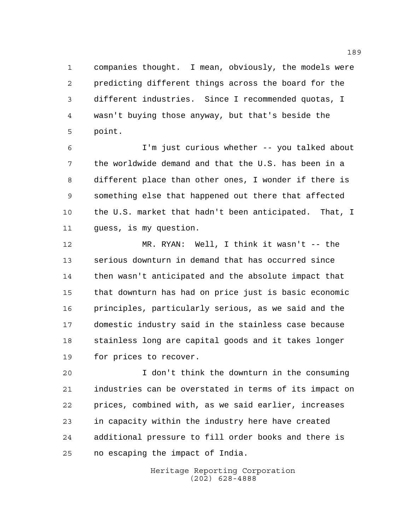companies thought. I mean, obviously, the models were predicting different things across the board for the different industries. Since I recommended quotas, I wasn't buying those anyway, but that's beside the point.

 I'm just curious whether -- you talked about the worldwide demand and that the U.S. has been in a different place than other ones, I wonder if there is something else that happened out there that affected the U.S. market that hadn't been anticipated. That, I guess, is my question.

 MR. RYAN: Well, I think it wasn't -- the serious downturn in demand that has occurred since then wasn't anticipated and the absolute impact that that downturn has had on price just is basic economic principles, particularly serious, as we said and the domestic industry said in the stainless case because stainless long are capital goods and it takes longer for prices to recover.

 I don't think the downturn in the consuming industries can be overstated in terms of its impact on prices, combined with, as we said earlier, increases in capacity within the industry here have created additional pressure to fill order books and there is no escaping the impact of India.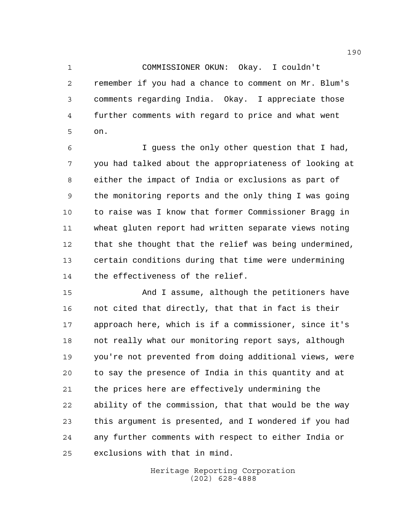COMMISSIONER OKUN: Okay. I couldn't remember if you had a chance to comment on Mr. Blum's comments regarding India. Okay. I appreciate those further comments with regard to price and what went on.

 I guess the only other question that I had, you had talked about the appropriateness of looking at either the impact of India or exclusions as part of the monitoring reports and the only thing I was going to raise was I know that former Commissioner Bragg in wheat gluten report had written separate views noting that she thought that the relief was being undermined, certain conditions during that time were undermining the effectiveness of the relief.

 And I assume, although the petitioners have not cited that directly, that that in fact is their approach here, which is if a commissioner, since it's not really what our monitoring report says, although you're not prevented from doing additional views, were to say the presence of India in this quantity and at the prices here are effectively undermining the ability of the commission, that that would be the way this argument is presented, and I wondered if you had any further comments with respect to either India or exclusions with that in mind.

> Heritage Reporting Corporation (202) 628-4888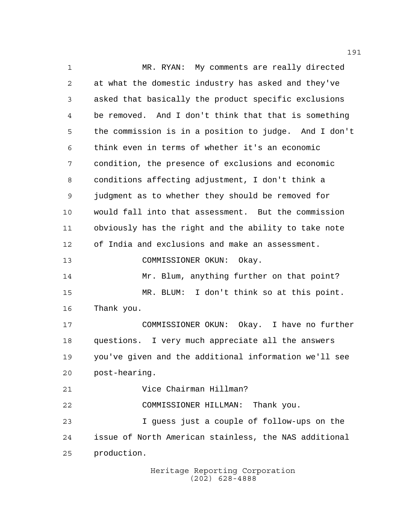MR. RYAN: My comments are really directed at what the domestic industry has asked and they've asked that basically the product specific exclusions be removed. And I don't think that that is something the commission is in a position to judge. And I don't think even in terms of whether it's an economic condition, the presence of exclusions and economic conditions affecting adjustment, I don't think a judgment as to whether they should be removed for would fall into that assessment. But the commission obviously has the right and the ability to take note of India and exclusions and make an assessment. COMMISSIONER OKUN: Okay. 14 Mr. Blum, anything further on that point? MR. BLUM: I don't think so at this point. Thank you. COMMISSIONER OKUN: Okay. I have no further questions. I very much appreciate all the answers you've given and the additional information we'll see post-hearing. Vice Chairman Hillman? COMMISSIONER HILLMAN: Thank you. I guess just a couple of follow-ups on the issue of North American stainless, the NAS additional production.

Heritage Reporting Corporation (202) 628-4888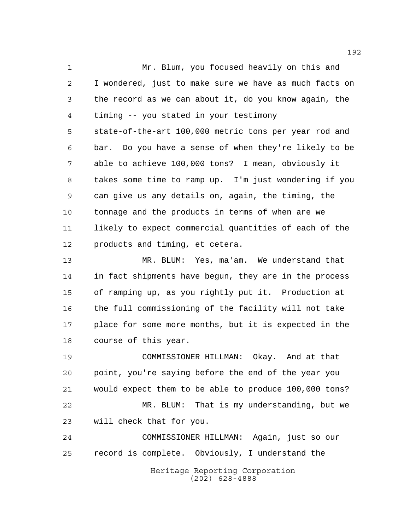Mr. Blum, you focused heavily on this and I wondered, just to make sure we have as much facts on the record as we can about it, do you know again, the timing -- you stated in your testimony state-of-the-art 100,000 metric tons per year rod and bar. Do you have a sense of when they're likely to be able to achieve 100,000 tons? I mean, obviously it takes some time to ramp up. I'm just wondering if you can give us any details on, again, the timing, the tonnage and the products in terms of when are we likely to expect commercial quantities of each of the products and timing, et cetera.

 MR. BLUM: Yes, ma'am. We understand that in fact shipments have begun, they are in the process of ramping up, as you rightly put it. Production at the full commissioning of the facility will not take place for some more months, but it is expected in the course of this year.

 COMMISSIONER HILLMAN: Okay. And at that point, you're saying before the end of the year you would expect them to be able to produce 100,000 tons? MR. BLUM: That is my understanding, but we will check that for you. COMMISSIONER HILLMAN: Again, just so our

Heritage Reporting Corporation record is complete. Obviously, I understand the

(202) 628-4888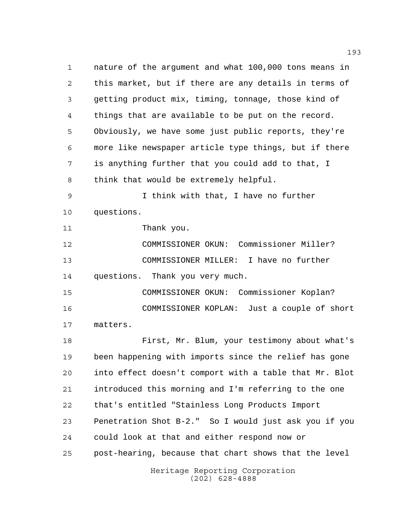Heritage Reporting Corporation (202) 628-4888 nature of the argument and what 100,000 tons means in this market, but if there are any details in terms of getting product mix, timing, tonnage, those kind of things that are available to be put on the record. Obviously, we have some just public reports, they're more like newspaper article type things, but if there is anything further that you could add to that, I think that would be extremely helpful. I think with that, I have no further questions. Thank you. COMMISSIONER OKUN: Commissioner Miller? COMMISSIONER MILLER: I have no further questions. Thank you very much. COMMISSIONER OKUN: Commissioner Koplan? COMMISSIONER KOPLAN: Just a couple of short matters. First, Mr. Blum, your testimony about what's been happening with imports since the relief has gone into effect doesn't comport with a table that Mr. Blot introduced this morning and I'm referring to the one that's entitled "Stainless Long Products Import Penetration Shot B-2." So I would just ask you if you could look at that and either respond now or post-hearing, because that chart shows that the level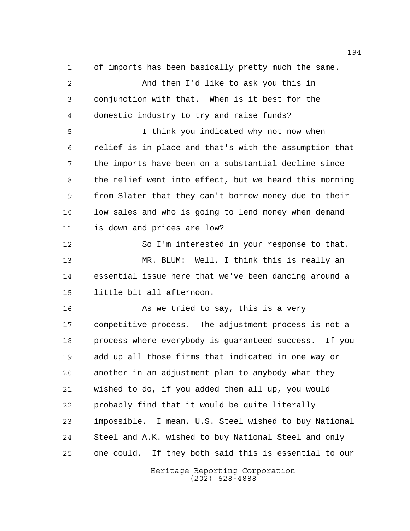of imports has been basically pretty much the same.

 And then I'd like to ask you this in conjunction with that. When is it best for the domestic industry to try and raise funds?

 I think you indicated why not now when relief is in place and that's with the assumption that the imports have been on a substantial decline since the relief went into effect, but we heard this morning from Slater that they can't borrow money due to their low sales and who is going to lend money when demand is down and prices are low?

 So I'm interested in your response to that. MR. BLUM: Well, I think this is really an essential issue here that we've been dancing around a little bit all afternoon.

16 As we tried to say, this is a very competitive process. The adjustment process is not a process where everybody is guaranteed success. If you add up all those firms that indicated in one way or another in an adjustment plan to anybody what they wished to do, if you added them all up, you would probably find that it would be quite literally impossible. I mean, U.S. Steel wished to buy National Steel and A.K. wished to buy National Steel and only one could. If they both said this is essential to our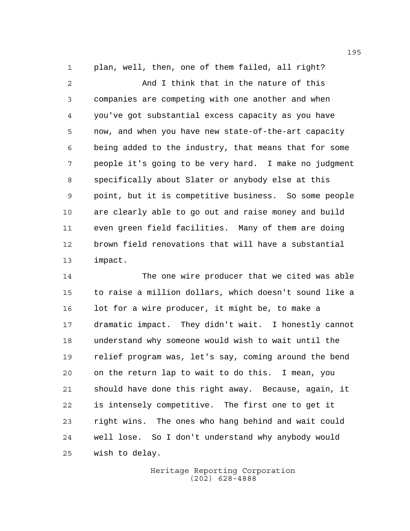plan, well, then, one of them failed, all right? And I think that in the nature of this companies are competing with one another and when you've got substantial excess capacity as you have now, and when you have new state-of-the-art capacity being added to the industry, that means that for some people it's going to be very hard. I make no judgment specifically about Slater or anybody else at this point, but it is competitive business. So some people are clearly able to go out and raise money and build even green field facilities. Many of them are doing brown field renovations that will have a substantial impact.

 The one wire producer that we cited was able to raise a million dollars, which doesn't sound like a lot for a wire producer, it might be, to make a dramatic impact. They didn't wait. I honestly cannot understand why someone would wish to wait until the relief program was, let's say, coming around the bend on the return lap to wait to do this. I mean, you should have done this right away. Because, again, it is intensely competitive. The first one to get it right wins. The ones who hang behind and wait could well lose. So I don't understand why anybody would wish to delay.

> Heritage Reporting Corporation (202) 628-4888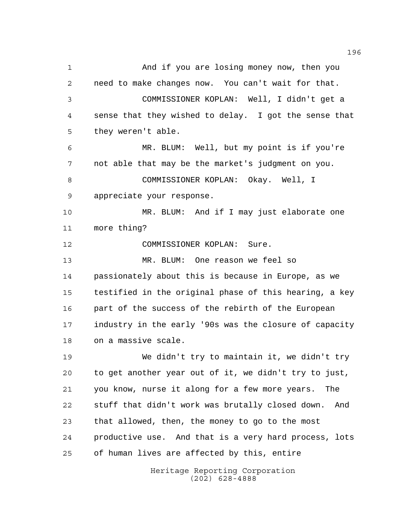And if you are losing money now, then you need to make changes now. You can't wait for that. COMMISSIONER KOPLAN: Well, I didn't get a sense that they wished to delay. I got the sense that they weren't able. MR. BLUM: Well, but my point is if you're not able that may be the market's judgment on you. COMMISSIONER KOPLAN: Okay. Well, I appreciate your response. MR. BLUM: And if I may just elaborate one more thing? COMMISSIONER KOPLAN: Sure. MR. BLUM: One reason we feel so passionately about this is because in Europe, as we testified in the original phase of this hearing, a key 16 part of the success of the rebirth of the European industry in the early '90s was the closure of capacity on a massive scale. We didn't try to maintain it, we didn't try to get another year out of it, we didn't try to just, you know, nurse it along for a few more years. The stuff that didn't work was brutally closed down. And that allowed, then, the money to go to the most productive use. And that is a very hard process, lots of human lives are affected by this, entire

> Heritage Reporting Corporation (202) 628-4888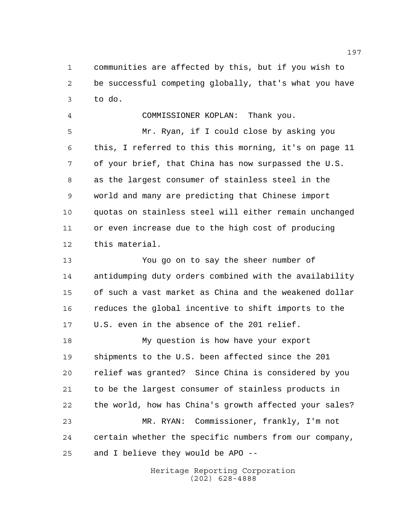communities are affected by this, but if you wish to be successful competing globally, that's what you have to do.

 COMMISSIONER KOPLAN: Thank you. Mr. Ryan, if I could close by asking you this, I referred to this this morning, it's on page 11 of your brief, that China has now surpassed the U.S. as the largest consumer of stainless steel in the world and many are predicting that Chinese import quotas on stainless steel will either remain unchanged or even increase due to the high cost of producing this material.

 You go on to say the sheer number of antidumping duty orders combined with the availability of such a vast market as China and the weakened dollar reduces the global incentive to shift imports to the U.S. even in the absence of the 201 relief.

 My question is how have your export shipments to the U.S. been affected since the 201 relief was granted? Since China is considered by you to be the largest consumer of stainless products in the world, how has China's growth affected your sales? MR. RYAN: Commissioner, frankly, I'm not certain whether the specific numbers from our company, and I believe they would be APO --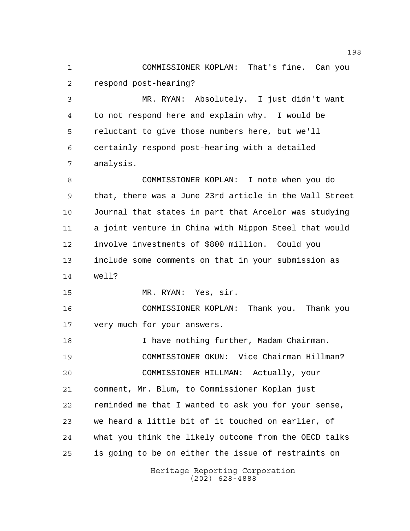COMMISSIONER KOPLAN: That's fine. Can you respond post-hearing?

 MR. RYAN: Absolutely. I just didn't want to not respond here and explain why. I would be reluctant to give those numbers here, but we'll certainly respond post-hearing with a detailed analysis.

 COMMISSIONER KOPLAN: I note when you do that, there was a June 23rd article in the Wall Street Journal that states in part that Arcelor was studying a joint venture in China with Nippon Steel that would involve investments of \$800 million. Could you include some comments on that in your submission as well?

MR. RYAN: Yes, sir.

 COMMISSIONER KOPLAN: Thank you. Thank you very much for your answers.

 I have nothing further, Madam Chairman. COMMISSIONER OKUN: Vice Chairman Hillman? COMMISSIONER HILLMAN: Actually, your comment, Mr. Blum, to Commissioner Koplan just reminded me that I wanted to ask you for your sense, we heard a little bit of it touched on earlier, of what you think the likely outcome from the OECD talks is going to be on either the issue of restraints on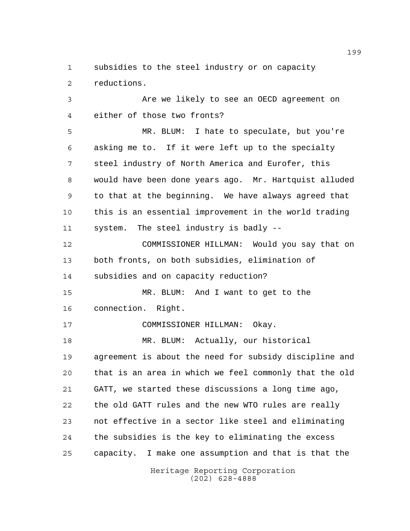subsidies to the steel industry or on capacity reductions.

 Are we likely to see an OECD agreement on either of those two fronts?

 MR. BLUM: I hate to speculate, but you're asking me to. If it were left up to the specialty steel industry of North America and Eurofer, this would have been done years ago. Mr. Hartquist alluded to that at the beginning. We have always agreed that this is an essential improvement in the world trading system. The steel industry is badly --

 COMMISSIONER HILLMAN: Would you say that on both fronts, on both subsidies, elimination of subsidies and on capacity reduction?

 MR. BLUM: And I want to get to the connection. Right.

COMMISSIONER HILLMAN: Okay.

18 MR. BLUM: Actually, our historical agreement is about the need for subsidy discipline and that is an area in which we feel commonly that the old GATT, we started these discussions a long time ago, the old GATT rules and the new WTO rules are really not effective in a sector like steel and eliminating the subsidies is the key to eliminating the excess capacity. I make one assumption and that is that the

> Heritage Reporting Corporation (202) 628-4888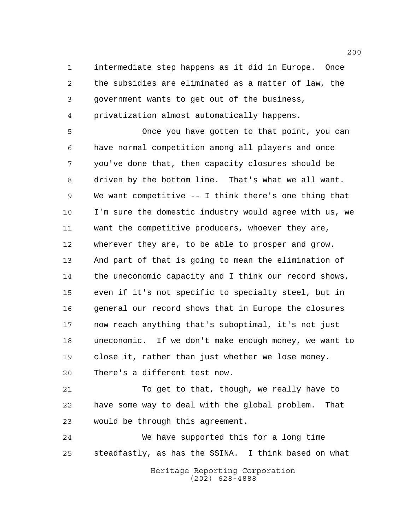intermediate step happens as it did in Europe. Once the subsidies are eliminated as a matter of law, the government wants to get out of the business, privatization almost automatically happens.

 Once you have gotten to that point, you can have normal competition among all players and once you've done that, then capacity closures should be driven by the bottom line. That's what we all want. We want competitive -- I think there's one thing that I'm sure the domestic industry would agree with us, we want the competitive producers, whoever they are, wherever they are, to be able to prosper and grow. And part of that is going to mean the elimination of the uneconomic capacity and I think our record shows, even if it's not specific to specialty steel, but in general our record shows that in Europe the closures now reach anything that's suboptimal, it's not just uneconomic. If we don't make enough money, we want to close it, rather than just whether we lose money. There's a different test now.

 To get to that, though, we really have to have some way to deal with the global problem. That would be through this agreement.

 We have supported this for a long time steadfastly, as has the SSINA. I think based on what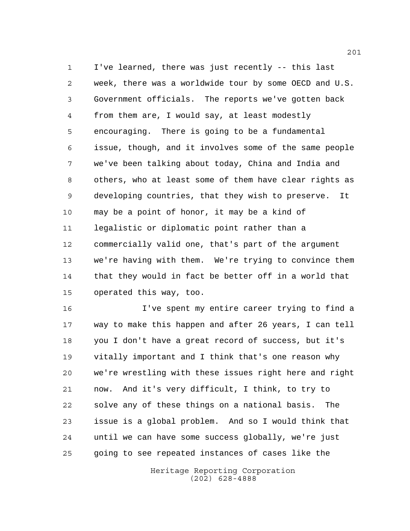I've learned, there was just recently -- this last week, there was a worldwide tour by some OECD and U.S. Government officials. The reports we've gotten back from them are, I would say, at least modestly encouraging. There is going to be a fundamental issue, though, and it involves some of the same people we've been talking about today, China and India and others, who at least some of them have clear rights as developing countries, that they wish to preserve. It may be a point of honor, it may be a kind of legalistic or diplomatic point rather than a commercially valid one, that's part of the argument we're having with them. We're trying to convince them that they would in fact be better off in a world that operated this way, too.

 I've spent my entire career trying to find a way to make this happen and after 26 years, I can tell you I don't have a great record of success, but it's vitally important and I think that's one reason why we're wrestling with these issues right here and right now. And it's very difficult, I think, to try to solve any of these things on a national basis. The issue is a global problem. And so I would think that until we can have some success globally, we're just going to see repeated instances of cases like the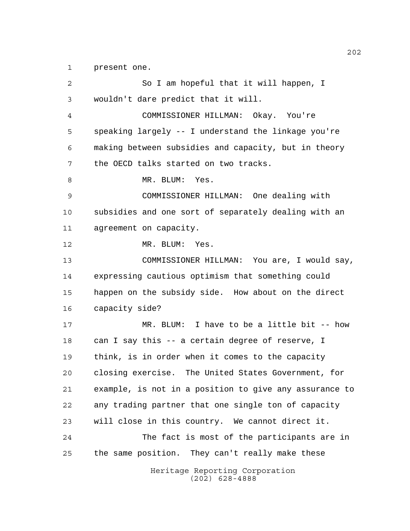present one.

| $\overline{2}$ | So I am hopeful that it will happen, I                 |
|----------------|--------------------------------------------------------|
| 3              | wouldn't dare predict that it will.                    |
| 4              | COMMISSIONER HILLMAN: Okay. You're                     |
| 5              | speaking largely -- I understand the linkage you're    |
| 6              | making between subsidies and capacity, but in theory   |
| 7              | the OECD talks started on two tracks.                  |
| 8              | MR. BLUM: Yes.                                         |
| 9              | COMMISSIONER HILLMAN: One dealing with                 |
| 10             | subsidies and one sort of separately dealing with an   |
| 11             | agreement on capacity.                                 |
| 12             | MR. BLUM: Yes.                                         |
| 13             | COMMISSIONER HILLMAN: You are, I would say,            |
| 14             | expressing cautious optimism that something could      |
| 15             | happen on the subsidy side. How about on the direct    |
| 16             | capacity side?                                         |
| 17             | MR. BLUM: I have to be a little bit -- how             |
| 18             | can I say this -- a certain degree of reserve, I       |
| 19             | think, is in order when it comes to the capacity       |
| 20             | closing exercise. The United States Government, for    |
| 21             | example, is not in a position to give any assurance to |
| 22             | any trading partner that one single ton of capacity    |
| 23             | will close in this country. We cannot direct it.       |
| 24             | The fact is most of the participants are in            |
| 25             | the same position. They can't really make these        |
|                | Heritage Reporting Corporation<br>$(202)$ 628-4888     |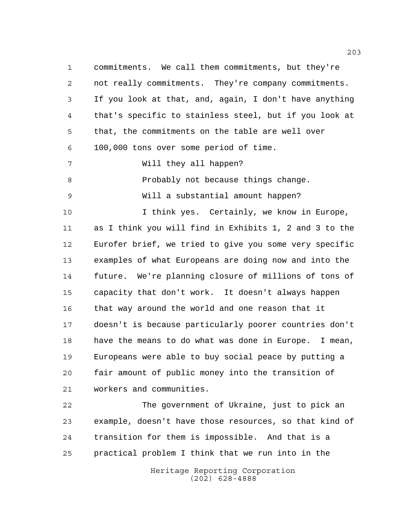commitments. We call them commitments, but they're not really commitments. They're company commitments. If you look at that, and, again, I don't have anything that's specific to stainless steel, but if you look at that, the commitments on the table are well over 100,000 tons over some period of time. Will they all happen? Probably not because things change. Will a substantial amount happen? I think yes. Certainly, we know in Europe, as I think you will find in Exhibits 1, 2 and 3 to the Eurofer brief, we tried to give you some very specific examples of what Europeans are doing now and into the future. We're planning closure of millions of tons of capacity that don't work. It doesn't always happen that way around the world and one reason that it doesn't is because particularly poorer countries don't have the means to do what was done in Europe. I mean, Europeans were able to buy social peace by putting a fair amount of public money into the transition of workers and communities. The government of Ukraine, just to pick an

 example, doesn't have those resources, so that kind of transition for them is impossible. And that is a practical problem I think that we run into in the

> Heritage Reporting Corporation (202) 628-4888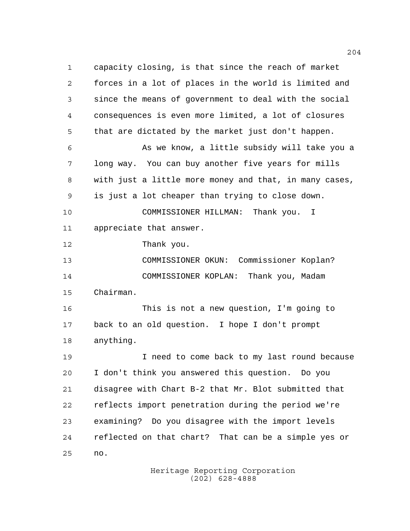capacity closing, is that since the reach of market forces in a lot of places in the world is limited and since the means of government to deal with the social consequences is even more limited, a lot of closures that are dictated by the market just don't happen. As we know, a little subsidy will take you a long way. You can buy another five years for mills with just a little more money and that, in many cases, is just a lot cheaper than trying to close down. COMMISSIONER HILLMAN: Thank you. I appreciate that answer. Thank you. COMMISSIONER OKUN: Commissioner Koplan? COMMISSIONER KOPLAN: Thank you, Madam Chairman. This is not a new question, I'm going to back to an old question. I hope I don't prompt anything. I need to come back to my last round because I don't think you answered this question. Do you disagree with Chart B-2 that Mr. Blot submitted that reflects import penetration during the period we're examining? Do you disagree with the import levels reflected on that chart? That can be a simple yes or no.

> Heritage Reporting Corporation (202) 628-4888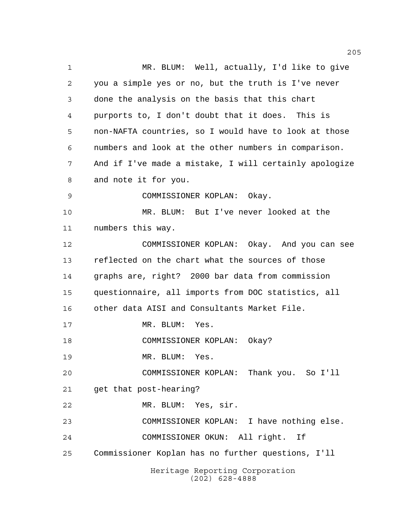Heritage Reporting Corporation (202) 628-4888 MR. BLUM: Well, actually, I'd like to give you a simple yes or no, but the truth is I've never done the analysis on the basis that this chart purports to, I don't doubt that it does. This is non-NAFTA countries, so I would have to look at those numbers and look at the other numbers in comparison. And if I've made a mistake, I will certainly apologize and note it for you. COMMISSIONER KOPLAN: Okay. MR. BLUM: But I've never looked at the numbers this way. COMMISSIONER KOPLAN: Okay. And you can see reflected on the chart what the sources of those graphs are, right? 2000 bar data from commission questionnaire, all imports from DOC statistics, all other data AISI and Consultants Market File. 17 MR. BLUM: Yes. COMMISSIONER KOPLAN: Okay? MR. BLUM: Yes. COMMISSIONER KOPLAN: Thank you. So I'll get that post-hearing? MR. BLUM: Yes, sir. COMMISSIONER KOPLAN: I have nothing else. COMMISSIONER OKUN: All right. If Commissioner Koplan has no further questions, I'll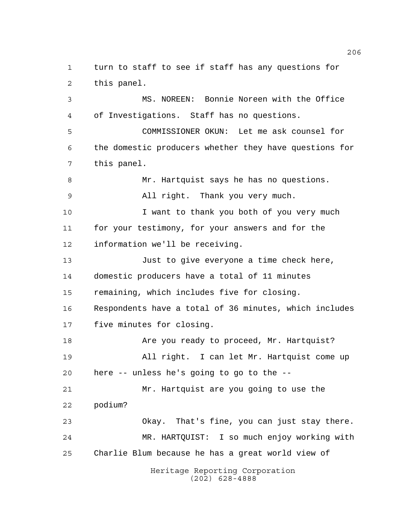Heritage Reporting Corporation turn to staff to see if staff has any questions for this panel. MS. NOREEN: Bonnie Noreen with the Office of Investigations. Staff has no questions. COMMISSIONER OKUN: Let me ask counsel for the domestic producers whether they have questions for this panel. Mr. Hartquist says he has no questions. All right. Thank you very much. 10 I want to thank you both of you very much for your testimony, for your answers and for the information we'll be receiving. Just to give everyone a time check here, domestic producers have a total of 11 minutes remaining, which includes five for closing. Respondents have a total of 36 minutes, which includes five minutes for closing. Are you ready to proceed, Mr. Hartquist? All right. I can let Mr. Hartquist come up here -- unless he's going to go to the -- Mr. Hartquist are you going to use the podium? Okay. That's fine, you can just stay there. MR. HARTQUIST: I so much enjoy working with Charlie Blum because he has a great world view of

(202) 628-4888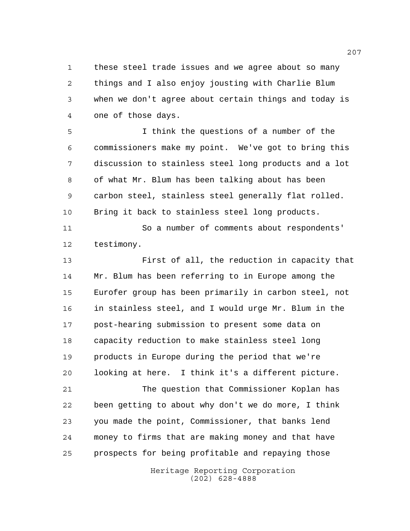these steel trade issues and we agree about so many things and I also enjoy jousting with Charlie Blum when we don't agree about certain things and today is one of those days.

 I think the questions of a number of the commissioners make my point. We've got to bring this discussion to stainless steel long products and a lot of what Mr. Blum has been talking about has been carbon steel, stainless steel generally flat rolled. Bring it back to stainless steel long products.

 So a number of comments about respondents' testimony.

 First of all, the reduction in capacity that Mr. Blum has been referring to in Europe among the Eurofer group has been primarily in carbon steel, not in stainless steel, and I would urge Mr. Blum in the post-hearing submission to present some data on capacity reduction to make stainless steel long products in Europe during the period that we're looking at here. I think it's a different picture.

 The question that Commissioner Koplan has been getting to about why don't we do more, I think you made the point, Commissioner, that banks lend money to firms that are making money and that have prospects for being profitable and repaying those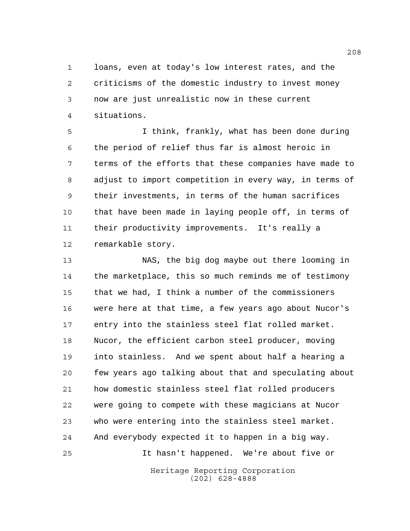loans, even at today's low interest rates, and the criticisms of the domestic industry to invest money now are just unrealistic now in these current situations.

 I think, frankly, what has been done during the period of relief thus far is almost heroic in terms of the efforts that these companies have made to adjust to import competition in every way, in terms of their investments, in terms of the human sacrifices that have been made in laying people off, in terms of their productivity improvements. It's really a remarkable story.

 NAS, the big dog maybe out there looming in the marketplace, this so much reminds me of testimony that we had, I think a number of the commissioners were here at that time, a few years ago about Nucor's entry into the stainless steel flat rolled market. Nucor, the efficient carbon steel producer, moving into stainless. And we spent about half a hearing a few years ago talking about that and speculating about how domestic stainless steel flat rolled producers were going to compete with these magicians at Nucor who were entering into the stainless steel market. And everybody expected it to happen in a big way. It hasn't happened. We're about five or

> Heritage Reporting Corporation (202) 628-4888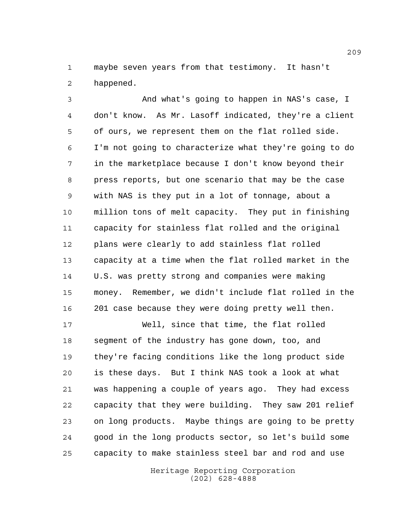maybe seven years from that testimony. It hasn't happened.

 And what's going to happen in NAS's case, I don't know. As Mr. Lasoff indicated, they're a client of ours, we represent them on the flat rolled side. I'm not going to characterize what they're going to do in the marketplace because I don't know beyond their press reports, but one scenario that may be the case with NAS is they put in a lot of tonnage, about a million tons of melt capacity. They put in finishing capacity for stainless flat rolled and the original plans were clearly to add stainless flat rolled capacity at a time when the flat rolled market in the U.S. was pretty strong and companies were making money. Remember, we didn't include flat rolled in the 201 case because they were doing pretty well then.

 Well, since that time, the flat rolled segment of the industry has gone down, too, and they're facing conditions like the long product side is these days. But I think NAS took a look at what was happening a couple of years ago. They had excess capacity that they were building. They saw 201 relief on long products. Maybe things are going to be pretty good in the long products sector, so let's build some capacity to make stainless steel bar and rod and use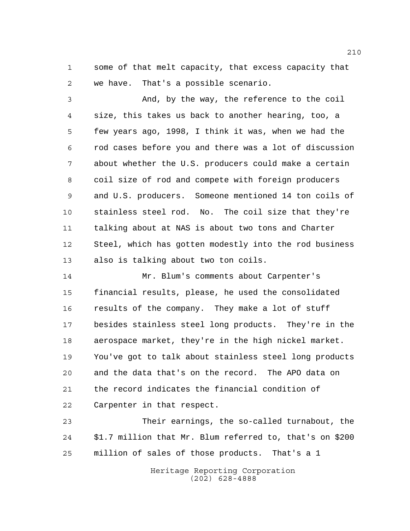some of that melt capacity, that excess capacity that we have. That's a possible scenario.

 And, by the way, the reference to the coil size, this takes us back to another hearing, too, a few years ago, 1998, I think it was, when we had the rod cases before you and there was a lot of discussion about whether the U.S. producers could make a certain coil size of rod and compete with foreign producers and U.S. producers. Someone mentioned 14 ton coils of stainless steel rod. No. The coil size that they're talking about at NAS is about two tons and Charter Steel, which has gotten modestly into the rod business also is talking about two ton coils.

 Mr. Blum's comments about Carpenter's financial results, please, he used the consolidated results of the company. They make a lot of stuff besides stainless steel long products. They're in the aerospace market, they're in the high nickel market. You've got to talk about stainless steel long products and the data that's on the record. The APO data on the record indicates the financial condition of Carpenter in that respect.

 Their earnings, the so-called turnabout, the \$1.7 million that Mr. Blum referred to, that's on \$200 million of sales of those products. That's a 1

> Heritage Reporting Corporation (202) 628-4888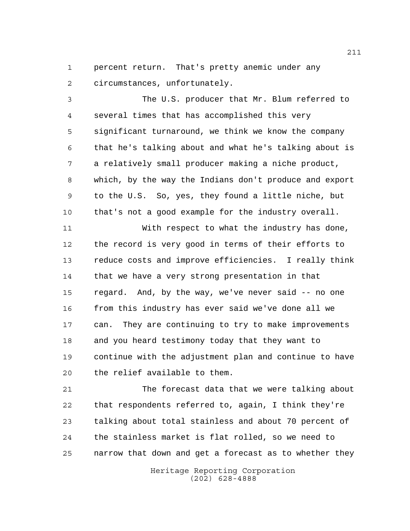percent return. That's pretty anemic under any circumstances, unfortunately.

 The U.S. producer that Mr. Blum referred to several times that has accomplished this very significant turnaround, we think we know the company that he's talking about and what he's talking about is a relatively small producer making a niche product, which, by the way the Indians don't produce and export to the U.S. So, yes, they found a little niche, but that's not a good example for the industry overall.

 With respect to what the industry has done, the record is very good in terms of their efforts to reduce costs and improve efficiencies. I really think that we have a very strong presentation in that regard. And, by the way, we've never said -- no one 16 from this industry has ever said we've done all we can. They are continuing to try to make improvements and you heard testimony today that they want to continue with the adjustment plan and continue to have the relief available to them.

 The forecast data that we were talking about that respondents referred to, again, I think they're talking about total stainless and about 70 percent of the stainless market is flat rolled, so we need to narrow that down and get a forecast as to whether they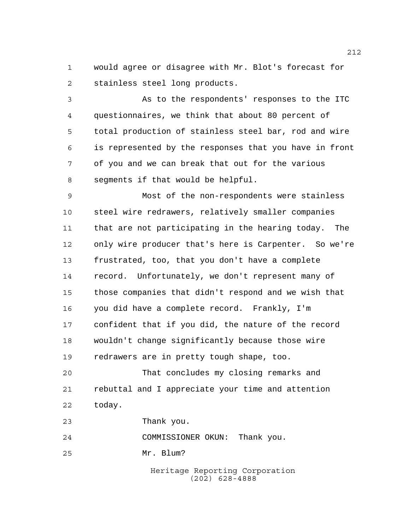would agree or disagree with Mr. Blot's forecast for stainless steel long products.

 As to the respondents' responses to the ITC questionnaires, we think that about 80 percent of total production of stainless steel bar, rod and wire is represented by the responses that you have in front of you and we can break that out for the various segments if that would be helpful.

 Most of the non-respondents were stainless steel wire redrawers, relatively smaller companies that are not participating in the hearing today. The only wire producer that's here is Carpenter. So we're frustrated, too, that you don't have a complete record. Unfortunately, we don't represent many of those companies that didn't respond and we wish that you did have a complete record. Frankly, I'm confident that if you did, the nature of the record wouldn't change significantly because those wire redrawers are in pretty tough shape, too.

 That concludes my closing remarks and rebuttal and I appreciate your time and attention today.

Thank you.

COMMISSIONER OKUN: Thank you.

Mr. Blum?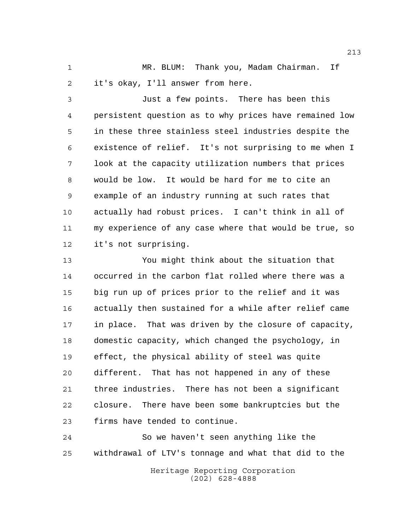MR. BLUM: Thank you, Madam Chairman. If it's okay, I'll answer from here.

 Just a few points. There has been this persistent question as to why prices have remained low in these three stainless steel industries despite the existence of relief. It's not surprising to me when I look at the capacity utilization numbers that prices would be low. It would be hard for me to cite an example of an industry running at such rates that actually had robust prices. I can't think in all of my experience of any case where that would be true, so it's not surprising.

 You might think about the situation that occurred in the carbon flat rolled where there was a big run up of prices prior to the relief and it was actually then sustained for a while after relief came in place. That was driven by the closure of capacity, domestic capacity, which changed the psychology, in effect, the physical ability of steel was quite different. That has not happened in any of these three industries. There has not been a significant closure. There have been some bankruptcies but the firms have tended to continue.

 So we haven't seen anything like the withdrawal of LTV's tonnage and what that did to the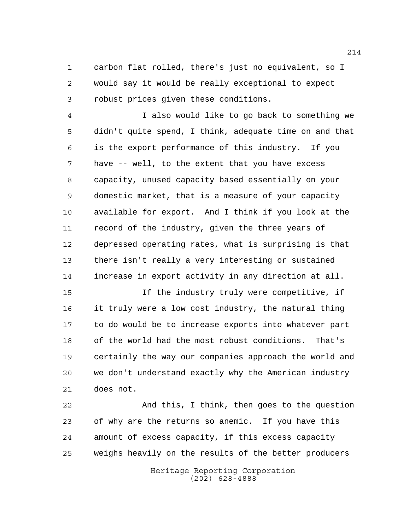carbon flat rolled, there's just no equivalent, so I would say it would be really exceptional to expect robust prices given these conditions.

 I also would like to go back to something we didn't quite spend, I think, adequate time on and that is the export performance of this industry. If you have -- well, to the extent that you have excess capacity, unused capacity based essentially on your domestic market, that is a measure of your capacity available for export. And I think if you look at the record of the industry, given the three years of depressed operating rates, what is surprising is that there isn't really a very interesting or sustained increase in export activity in any direction at all.

 If the industry truly were competitive, if it truly were a low cost industry, the natural thing to do would be to increase exports into whatever part of the world had the most robust conditions. That's certainly the way our companies approach the world and we don't understand exactly why the American industry does not.

 And this, I think, then goes to the question of why are the returns so anemic. If you have this amount of excess capacity, if this excess capacity weighs heavily on the results of the better producers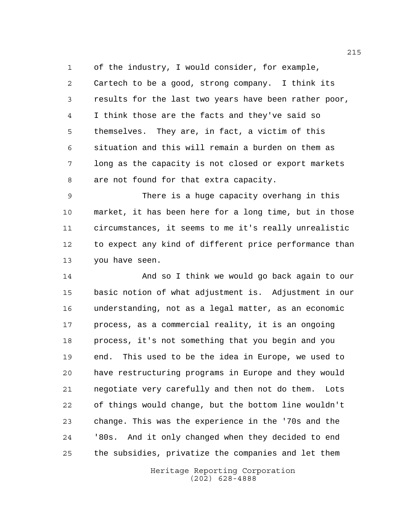of the industry, I would consider, for example, Cartech to be a good, strong company. I think its results for the last two years have been rather poor, I think those are the facts and they've said so themselves. They are, in fact, a victim of this situation and this will remain a burden on them as long as the capacity is not closed or export markets are not found for that extra capacity.

 There is a huge capacity overhang in this market, it has been here for a long time, but in those circumstances, it seems to me it's really unrealistic to expect any kind of different price performance than you have seen.

 And so I think we would go back again to our basic notion of what adjustment is. Adjustment in our understanding, not as a legal matter, as an economic process, as a commercial reality, it is an ongoing process, it's not something that you begin and you end. This used to be the idea in Europe, we used to have restructuring programs in Europe and they would negotiate very carefully and then not do them. Lots of things would change, but the bottom line wouldn't change. This was the experience in the '70s and the '80s. And it only changed when they decided to end the subsidies, privatize the companies and let them

> Heritage Reporting Corporation (202) 628-4888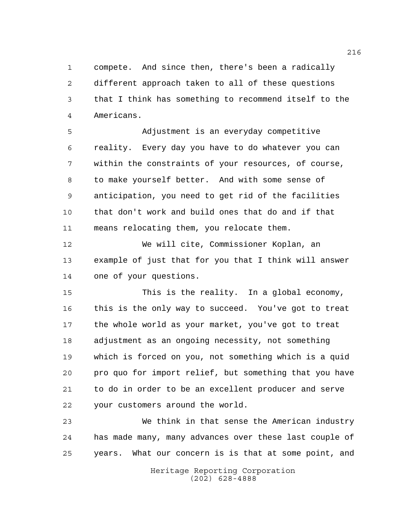compete. And since then, there's been a radically different approach taken to all of these questions that I think has something to recommend itself to the Americans.

 Adjustment is an everyday competitive reality. Every day you have to do whatever you can within the constraints of your resources, of course, to make yourself better. And with some sense of anticipation, you need to get rid of the facilities that don't work and build ones that do and if that means relocating them, you relocate them.

 We will cite, Commissioner Koplan, an example of just that for you that I think will answer one of your questions.

 This is the reality. In a global economy, this is the only way to succeed. You've got to treat the whole world as your market, you've got to treat adjustment as an ongoing necessity, not something which is forced on you, not something which is a quid pro quo for import relief, but something that you have to do in order to be an excellent producer and serve your customers around the world.

 We think in that sense the American industry has made many, many advances over these last couple of years. What our concern is is that at some point, and

> Heritage Reporting Corporation (202) 628-4888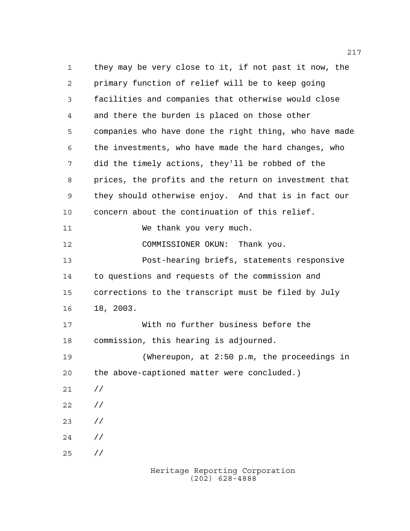they may be very close to it, if not past it now, the primary function of relief will be to keep going facilities and companies that otherwise would close and there the burden is placed on those other companies who have done the right thing, who have made the investments, who have made the hard changes, who did the timely actions, they'll be robbed of the prices, the profits and the return on investment that they should otherwise enjoy. And that is in fact our concern about the continuation of this relief. 11 We thank you very much. COMMISSIONER OKUN: Thank you. Post-hearing briefs, statements responsive to questions and requests of the commission and corrections to the transcript must be filed by July 18, 2003. With no further business before the commission, this hearing is adjourned. (Whereupon, at 2:50 p.m, the proceedings in the above-captioned matter were concluded.) // // // // //

Heritage Reporting Corporation (202) 628-4888